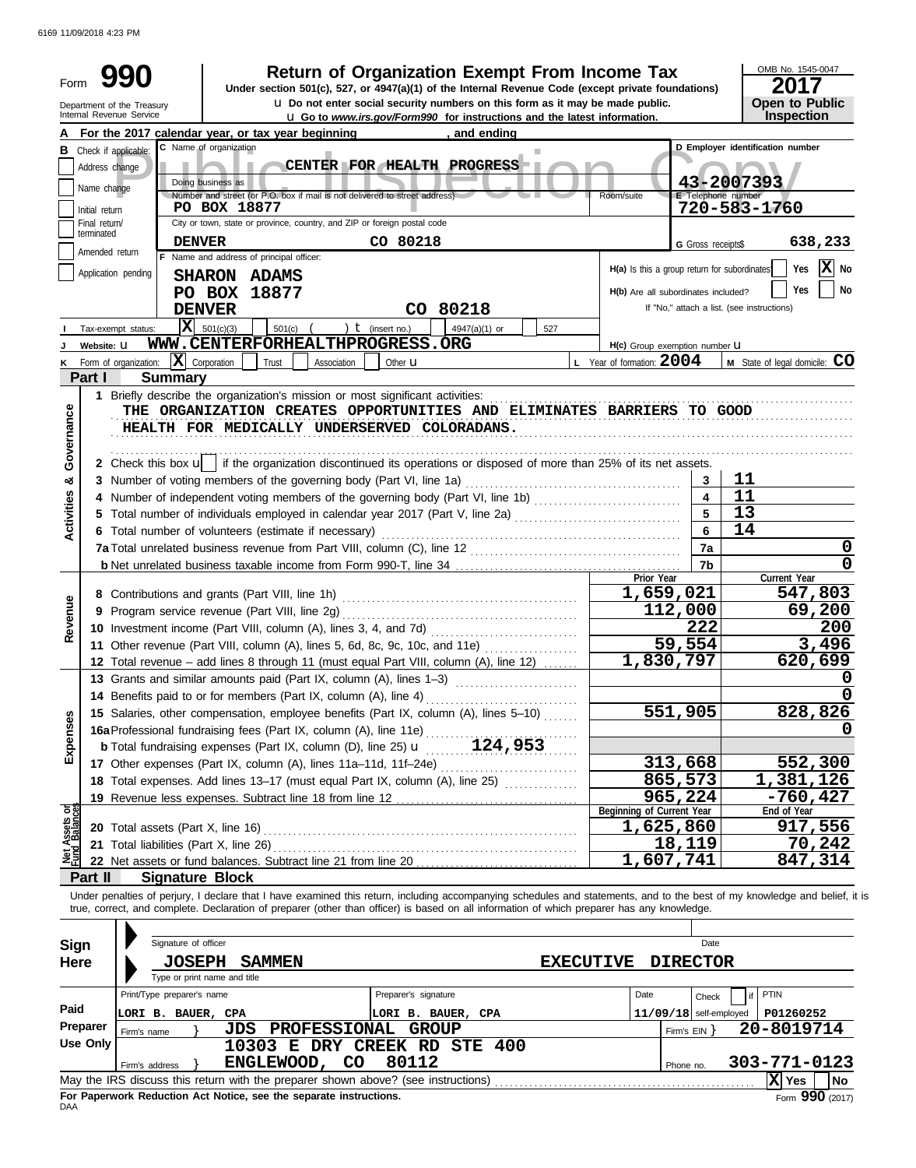6169 11/09/2018 4:23 PM

| Form                |                               | Department of the Treasury                        |                                                                                                                                                                                                                                                                                                                                           |                      | <b>Return of Organization Exempt From Income Tax</b><br>Under section 501(c), 527, or 4947(a)(1) of the Internal Revenue Code (except private foundations)<br><b>u</b> Do not enter social security numbers on this form as it may be made public. |                                              |                          | OMB No. 1545-0047<br>2017<br><b>Open to Public</b> |
|---------------------|-------------------------------|---------------------------------------------------|-------------------------------------------------------------------------------------------------------------------------------------------------------------------------------------------------------------------------------------------------------------------------------------------------------------------------------------------|----------------------|----------------------------------------------------------------------------------------------------------------------------------------------------------------------------------------------------------------------------------------------------|----------------------------------------------|--------------------------|----------------------------------------------------|
|                     |                               | Internal Revenue Service                          |                                                                                                                                                                                                                                                                                                                                           |                      | <b>u</b> Go to www.irs.gov/Form990 for instructions and the latest information.                                                                                                                                                                    |                                              |                          | Inspection                                         |
|                     | Address change<br>Name change | <b>B</b> Check if applicable:                     | For the 2017 calendar year, or tax year beginning<br>C Name of organization<br>Doing business as<br>Number and street (or P.O. box if mail is not delivered to street address)                                                                                                                                                            |                      | , and ending<br>CENTER FOR HEALTH PROGRESS                                                                                                                                                                                                         | Room/suite                                   | E Telephone number       | D Employer identification number<br>43-2007393     |
|                     | Initial return                |                                                   | PO BOX 18877                                                                                                                                                                                                                                                                                                                              |                      |                                                                                                                                                                                                                                                    |                                              |                          | 720-583-1760                                       |
|                     | Final return/<br>terminated   |                                                   | City or town, state or province, country, and ZIP or foreign postal code                                                                                                                                                                                                                                                                  |                      |                                                                                                                                                                                                                                                    |                                              |                          |                                                    |
|                     | Amended return                | <b>DENVER</b>                                     |                                                                                                                                                                                                                                                                                                                                           | CO 80218             |                                                                                                                                                                                                                                                    |                                              | G Gross receipts\$       | 638,233                                            |
|                     |                               |                                                   | F Name and address of principal officer:                                                                                                                                                                                                                                                                                                  |                      |                                                                                                                                                                                                                                                    | H(a) Is this a group return for subordinates |                          | $ \mathbf{X} $ No<br>Yes                           |
|                     |                               | Application pending                               | SHARON ADAMS                                                                                                                                                                                                                                                                                                                              |                      |                                                                                                                                                                                                                                                    |                                              |                          |                                                    |
|                     |                               |                                                   | PO BOX 18877                                                                                                                                                                                                                                                                                                                              |                      |                                                                                                                                                                                                                                                    | H(b) Are all subordinates included?          |                          | Yes<br>No                                          |
|                     |                               |                                                   | <b>DENVER</b>                                                                                                                                                                                                                                                                                                                             |                      | CO 80218                                                                                                                                                                                                                                           |                                              |                          | If "No," attach a list. (see instructions)         |
|                     |                               | Tax-exempt status:                                | $ \mathbf{X} $ 501(c)(3)<br>501(c)                                                                                                                                                                                                                                                                                                        | ) $t$ (insert no.)   | 4947(a)(1) or<br>527                                                                                                                                                                                                                               |                                              |                          |                                                    |
|                     | Website: U                    |                                                   | WWW.CENTERFORHEALTHPROGRESS.ORG                                                                                                                                                                                                                                                                                                           |                      |                                                                                                                                                                                                                                                    | H(c) Group exemption number <b>U</b>         |                          |                                                    |
|                     |                               | $\mathbf{X}$ Corporation<br>Form of organization: | Trust<br>Association                                                                                                                                                                                                                                                                                                                      | Other <b>u</b>       |                                                                                                                                                                                                                                                    | L Year of formation: $2004$                  |                          | M State of legal domicile: CO                      |
|                     | Part I                        | <b>Summary</b>                                    |                                                                                                                                                                                                                                                                                                                                           |                      |                                                                                                                                                                                                                                                    |                                              |                          |                                                    |
|                     |                               |                                                   | 1 Briefly describe the organization's mission or most significant activities:                                                                                                                                                                                                                                                             |                      |                                                                                                                                                                                                                                                    |                                              |                          |                                                    |
| Governance          |                               |                                                   | THE ORGANIZATION CREATES OPPORTUNITIES AND ELIMINATES BARRIERS TO GOOD<br>HEALTH FOR MEDICALLY UNDERSERVED COLORADANS.                                                                                                                                                                                                                    |                      |                                                                                                                                                                                                                                                    |                                              |                          |                                                    |
|                     |                               |                                                   | 2 Check this box u   if the organization discontinued its operations or disposed of more than 25% of its net assets.                                                                                                                                                                                                                      |                      |                                                                                                                                                                                                                                                    |                                              |                          | 11                                                 |
| ೲ                   |                               |                                                   | 3 Number of voting members of the governing body (Part VI, line 1a)                                                                                                                                                                                                                                                                       |                      |                                                                                                                                                                                                                                                    |                                              | 3<br>4                   | 11                                                 |
| <b>Activities</b>   |                               |                                                   | 4 Number of independent voting members of the governing body (Part VI, line 1b)                                                                                                                                                                                                                                                           |                      |                                                                                                                                                                                                                                                    |                                              |                          |                                                    |
|                     |                               |                                                   |                                                                                                                                                                                                                                                                                                                                           |                      |                                                                                                                                                                                                                                                    |                                              |                          | 13                                                 |
|                     |                               |                                                   | 6 Total number of volunteers (estimate if necessary)                                                                                                                                                                                                                                                                                      |                      |                                                                                                                                                                                                                                                    |                                              | 6                        | 14                                                 |
|                     |                               |                                                   |                                                                                                                                                                                                                                                                                                                                           |                      |                                                                                                                                                                                                                                                    |                                              | 7a                       | 0                                                  |
|                     |                               |                                                   |                                                                                                                                                                                                                                                                                                                                           |                      |                                                                                                                                                                                                                                                    |                                              | 7b                       | 0                                                  |
|                     |                               |                                                   |                                                                                                                                                                                                                                                                                                                                           |                      |                                                                                                                                                                                                                                                    | Prior Year                                   |                          | Current Year<br>547,803                            |
|                     |                               |                                                   | 8 Contributions and grants (Part VIII, line 1h)                                                                                                                                                                                                                                                                                           |                      |                                                                                                                                                                                                                                                    |                                              | 1,659,021                |                                                    |
|                     |                               |                                                   | 9 Program service revenue (Part VIII, line 2g)                                                                                                                                                                                                                                                                                            |                      |                                                                                                                                                                                                                                                    |                                              | 112,000                  | 69,200                                             |
| Revenue             |                               |                                                   | 10 Investment income (Part VIII, column (A), lines 3, 4, and 7d)                                                                                                                                                                                                                                                                          |                      |                                                                                                                                                                                                                                                    |                                              | 222                      | 200                                                |
|                     |                               |                                                   | 11 Other revenue (Part VIII, column (A), lines 5, 6d, 8c, 9c, 10c, and 11e)                                                                                                                                                                                                                                                               |                      | .                                                                                                                                                                                                                                                  |                                              | $\overline{59,554}$      | 3,496                                              |
|                     |                               |                                                   | 12 Total revenue – add lines 8 through 11 (must equal Part VIII, column (A), line 12)                                                                                                                                                                                                                                                     |                      |                                                                                                                                                                                                                                                    |                                              | 1,830,797                | 620,699                                            |
|                     |                               |                                                   | 13 Grants and similar amounts paid (Part IX, column (A), lines 1-3)                                                                                                                                                                                                                                                                       |                      |                                                                                                                                                                                                                                                    |                                              |                          | 0                                                  |
|                     |                               |                                                   | 14 Benefits paid to or for members (Part IX, column (A), line 4)                                                                                                                                                                                                                                                                          |                      |                                                                                                                                                                                                                                                    |                                              |                          | 0                                                  |
|                     |                               |                                                   | 15 Salaries, other compensation, employee benefits (Part IX, column (A), lines 5-10)                                                                                                                                                                                                                                                      |                      |                                                                                                                                                                                                                                                    |                                              | 551,905                  | 828,826                                            |
| Expenses            |                               |                                                   | 16a Professional fundraising fees (Part IX, column (A), line 11e)                                                                                                                                                                                                                                                                         |                      |                                                                                                                                                                                                                                                    |                                              |                          |                                                    |
|                     |                               |                                                   | <b>b</b> Total fundraising expenses (Part IX, column (D), line 25) $\mathbf{u}$ 124, 953                                                                                                                                                                                                                                                  |                      |                                                                                                                                                                                                                                                    |                                              |                          |                                                    |
|                     |                               |                                                   | 17 Other expenses (Part IX, column (A), lines 11a-11d, 11f-24e)                                                                                                                                                                                                                                                                           |                      |                                                                                                                                                                                                                                                    |                                              | 313,668                  | 552,300                                            |
|                     |                               |                                                   |                                                                                                                                                                                                                                                                                                                                           |                      |                                                                                                                                                                                                                                                    |                                              | 865,573                  | 1,381,126                                          |
|                     |                               |                                                   | 19 Revenue less expenses. Subtract line 18 from line 12                                                                                                                                                                                                                                                                                   |                      |                                                                                                                                                                                                                                                    |                                              | 965,224                  | -760,427                                           |
| Assets or           |                               |                                                   |                                                                                                                                                                                                                                                                                                                                           |                      |                                                                                                                                                                                                                                                    | Beginning of Current Year                    |                          | End of Year                                        |
|                     |                               |                                                   |                                                                                                                                                                                                                                                                                                                                           |                      |                                                                                                                                                                                                                                                    |                                              | 1,625,860                | 917,556                                            |
| Det <sub>rind</sub> |                               | 21 Total liabilities (Part X, line 26)            |                                                                                                                                                                                                                                                                                                                                           |                      |                                                                                                                                                                                                                                                    |                                              | 18,119                   | 70,242                                             |
|                     |                               |                                                   |                                                                                                                                                                                                                                                                                                                                           |                      |                                                                                                                                                                                                                                                    |                                              | 1,607,741                | 847,314                                            |
|                     | Part II                       | <b>Signature Block</b>                            |                                                                                                                                                                                                                                                                                                                                           |                      |                                                                                                                                                                                                                                                    |                                              |                          |                                                    |
| Sign<br>Here        |                               | Signature of officer<br><b>JOSEPH</b>             | Under penalties of perjury, I declare that I have examined this return, including accompanying schedules and statements, and to the best of my knowledge and belief, it is<br>true, correct, and complete. Declaration of preparer (other than officer) is based on all information of which preparer has any knowledge.<br><b>SAMMEN</b> |                      |                                                                                                                                                                                                                                                    | <b>EXECUTIVE</b>                             | Date<br><b>DIRECTOR</b>  |                                                    |
|                     |                               |                                                   | Type or print name and title                                                                                                                                                                                                                                                                                                              |                      |                                                                                                                                                                                                                                                    |                                              |                          |                                                    |
|                     |                               | Print/Type preparer's name                        |                                                                                                                                                                                                                                                                                                                                           | Preparer's signature |                                                                                                                                                                                                                                                    | Date                                         | Check                    | PTIN                                               |
| Paid                |                               | LORI B. BAUER, CPA                                |                                                                                                                                                                                                                                                                                                                                           | LORI B. BAUER, CPA   |                                                                                                                                                                                                                                                    |                                              | $11/09/18$ self-employed | P01260252                                          |
|                     | Preparer                      | Firm's name                                       | PROFESSIONAL GROUP<br>JDS                                                                                                                                                                                                                                                                                                                 |                      |                                                                                                                                                                                                                                                    |                                              | Firm's $EIN$ }           | 20-8019714                                         |
|                     | <b>Use Only</b>               |                                                   | 10303 E DRY CREEK RD STE 400                                                                                                                                                                                                                                                                                                              |                      |                                                                                                                                                                                                                                                    |                                              |                          |                                                    |
|                     |                               | Firm's address                                    | ENGLEWOOD,<br>CO                                                                                                                                                                                                                                                                                                                          | 80112                |                                                                                                                                                                                                                                                    |                                              | Phone no.                | 303-771-0123                                       |
|                     |                               |                                                   |                                                                                                                                                                                                                                                                                                                                           |                      |                                                                                                                                                                                                                                                    |                                              |                          | X Yes<br>No                                        |

|     |  | TWAY THE INDIVIDUAL THIS TENDED WILL THE PLEPATEL SHOWLE ADOVE!    |  |  |  |  |  |
|-----|--|--------------------------------------------------------------------|--|--|--|--|--|
|     |  | For Paperwork Reduction Act Notice, see the separate instructions. |  |  |  |  |  |
| DAA |  |                                                                    |  |  |  |  |  |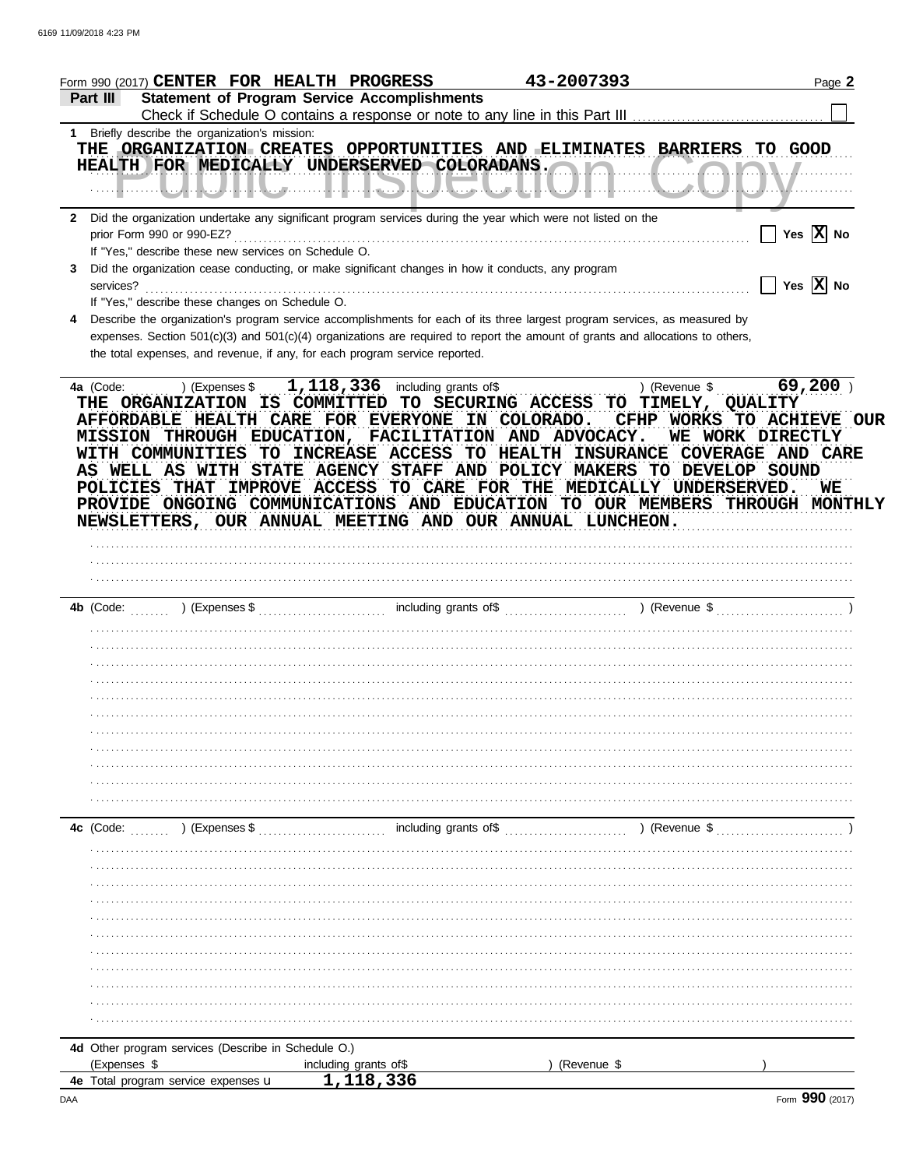|              | Form 990 (2017) <b>CENTER FOR HEALTH PROGRESS</b>                                                                                                                                                                                                                                                                                                                                                                              | 43-2007393    | Page 2                                                  |
|--------------|--------------------------------------------------------------------------------------------------------------------------------------------------------------------------------------------------------------------------------------------------------------------------------------------------------------------------------------------------------------------------------------------------------------------------------|---------------|---------------------------------------------------------|
|              | <b>Statement of Program Service Accomplishments</b><br>Part III                                                                                                                                                                                                                                                                                                                                                                |               |                                                         |
|              | 1 Briefly describe the organization's mission:                                                                                                                                                                                                                                                                                                                                                                                 |               |                                                         |
|              | THE ORGANIZATION CREATES OPPORTUNITIES AND ELIMINATES BARRIERS TO GOOD                                                                                                                                                                                                                                                                                                                                                         |               |                                                         |
|              | HEALTH FOR MEDICALLY UNDERSERVED COLORADANS. A MARIE AND MULLER MEDICALLY                                                                                                                                                                                                                                                                                                                                                      |               |                                                         |
|              |                                                                                                                                                                                                                                                                                                                                                                                                                                |               |                                                         |
|              |                                                                                                                                                                                                                                                                                                                                                                                                                                |               |                                                         |
| $\mathbf{2}$ | Did the organization undertake any significant program services during the year which were not listed on the                                                                                                                                                                                                                                                                                                                   |               |                                                         |
|              |                                                                                                                                                                                                                                                                                                                                                                                                                                |               | Yes $\overline{X}$ No                                   |
|              | If "Yes," describe these new services on Schedule O.                                                                                                                                                                                                                                                                                                                                                                           |               |                                                         |
| 3            | Did the organization cease conducting, or make significant changes in how it conducts, any program                                                                                                                                                                                                                                                                                                                             |               |                                                         |
|              |                                                                                                                                                                                                                                                                                                                                                                                                                                |               | $\overline{\phantom{a}}$ Yes $\overline{\mathrm{X}}$ No |
|              | If "Yes," describe these changes on Schedule O.                                                                                                                                                                                                                                                                                                                                                                                |               |                                                         |
| 4            | Describe the organization's program service accomplishments for each of its three largest program services, as measured by<br>expenses. Section 501(c)(3) and 501(c)(4) organizations are required to report the amount of grants and allocations to others,                                                                                                                                                                   |               |                                                         |
|              | the total expenses, and revenue, if any, for each program service reported.                                                                                                                                                                                                                                                                                                                                                    |               |                                                         |
|              |                                                                                                                                                                                                                                                                                                                                                                                                                                |               |                                                         |
|              | THE ORGANIZATION IS COMMITTED TO SECURING ACCESS TO TIMELY, QUALITY<br>AFFORDABLE HEALTH CARE FOR EVERYONE IN COLORADO.<br>MISSION THROUGH EDUCATION, FACILITATION AND ADVOCACY. WE WORK DIRECTLY<br>WITH COMMUNITIES TO INCREASE ACCESS TO HEALTH INSURANCE COVERAGE AND CARE<br>AS WELL AS WITH STATE AGENCY STAFF AND POLICY MAKERS TO DEVELOP SOUND<br>POLICIES THAT IMPROVE ACCESS TO CARE FOR THE MEDICALLY UNDERSERVED. |               | $69,200$ )<br>CFHP WORKS TO ACHIEVE OUR<br>WE           |
|              | PROVIDE ONGOING COMMUNICATIONS AND EDUCATION TO OUR MEMBERS THROUGH MONTHLY                                                                                                                                                                                                                                                                                                                                                    |               |                                                         |
|              | NEWSLETTERS, OUR ANNUAL MEETING AND OUR ANNUAL LUNCHEON.                                                                                                                                                                                                                                                                                                                                                                       |               |                                                         |
|              |                                                                                                                                                                                                                                                                                                                                                                                                                                |               |                                                         |
|              |                                                                                                                                                                                                                                                                                                                                                                                                                                |               |                                                         |
|              |                                                                                                                                                                                                                                                                                                                                                                                                                                |               |                                                         |
|              |                                                                                                                                                                                                                                                                                                                                                                                                                                |               |                                                         |
|              |                                                                                                                                                                                                                                                                                                                                                                                                                                |               |                                                         |
|              |                                                                                                                                                                                                                                                                                                                                                                                                                                |               |                                                         |
|              |                                                                                                                                                                                                                                                                                                                                                                                                                                |               |                                                         |
|              |                                                                                                                                                                                                                                                                                                                                                                                                                                |               |                                                         |
|              |                                                                                                                                                                                                                                                                                                                                                                                                                                |               |                                                         |
|              |                                                                                                                                                                                                                                                                                                                                                                                                                                |               |                                                         |
|              |                                                                                                                                                                                                                                                                                                                                                                                                                                |               |                                                         |
|              |                                                                                                                                                                                                                                                                                                                                                                                                                                |               |                                                         |
|              |                                                                                                                                                                                                                                                                                                                                                                                                                                |               |                                                         |
|              |                                                                                                                                                                                                                                                                                                                                                                                                                                |               |                                                         |
|              |                                                                                                                                                                                                                                                                                                                                                                                                                                |               |                                                         |
|              |                                                                                                                                                                                                                                                                                                                                                                                                                                |               |                                                         |
|              | including grants of \$<br>) (Expenses \$<br>4c (Code:                                                                                                                                                                                                                                                                                                                                                                          | ) (Revenue \$ |                                                         |
|              |                                                                                                                                                                                                                                                                                                                                                                                                                                |               |                                                         |
|              |                                                                                                                                                                                                                                                                                                                                                                                                                                |               |                                                         |
|              |                                                                                                                                                                                                                                                                                                                                                                                                                                |               |                                                         |
|              |                                                                                                                                                                                                                                                                                                                                                                                                                                |               |                                                         |
|              |                                                                                                                                                                                                                                                                                                                                                                                                                                |               |                                                         |
|              |                                                                                                                                                                                                                                                                                                                                                                                                                                |               |                                                         |
|              |                                                                                                                                                                                                                                                                                                                                                                                                                                |               |                                                         |
|              |                                                                                                                                                                                                                                                                                                                                                                                                                                |               |                                                         |
|              |                                                                                                                                                                                                                                                                                                                                                                                                                                |               |                                                         |
|              |                                                                                                                                                                                                                                                                                                                                                                                                                                |               |                                                         |
|              |                                                                                                                                                                                                                                                                                                                                                                                                                                |               |                                                         |
|              | 4d Other program services (Describe in Schedule O.)                                                                                                                                                                                                                                                                                                                                                                            |               |                                                         |
|              | (Expenses \$<br>including grants of \$<br>1,118,336                                                                                                                                                                                                                                                                                                                                                                            | (Revenue \$   |                                                         |
|              | 4e Total program service expenses u                                                                                                                                                                                                                                                                                                                                                                                            |               |                                                         |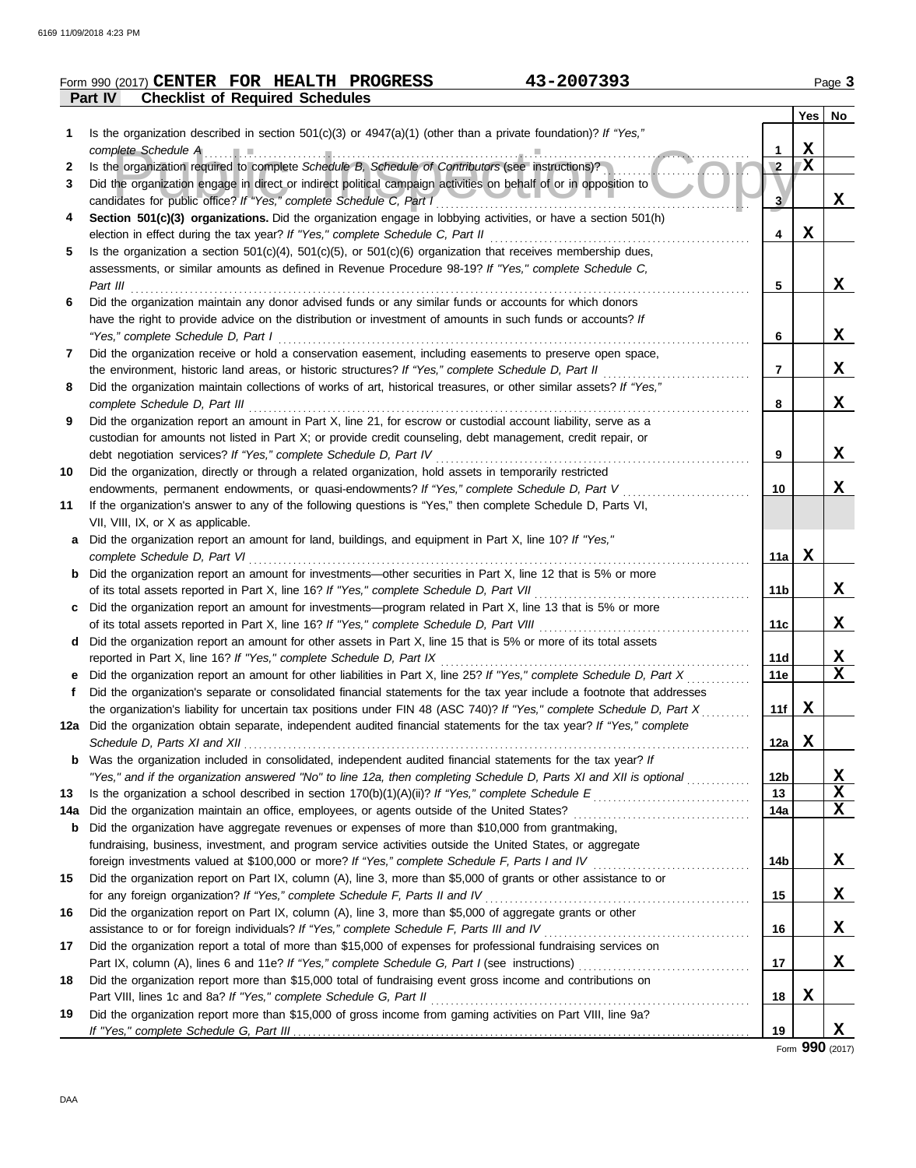|     | 43-2007393<br>Form 990 (2017) CENTER FOR HEALTH PROGRESS                                                                                                                                                      |                |   | Page 3        |
|-----|---------------------------------------------------------------------------------------------------------------------------------------------------------------------------------------------------------------|----------------|---|---------------|
|     | <b>Checklist of Required Schedules</b><br><b>Part IV</b>                                                                                                                                                      |                |   |               |
|     |                                                                                                                                                                                                               |                |   | $Yes \mid No$ |
| 1.  | Is the organization described in section $501(c)(3)$ or $4947(a)(1)$ (other than a private foundation)? If "Yes,"                                                                                             |                |   |               |
|     | complete Schedule A                                                                                                                                                                                           | 1              | X |               |
| 2   | Is the organization required to complete Schedule B, Schedule of Contributors (see instructions)?                                                                                                             | $\overline{2}$ | X |               |
| 3   | Did the organization engage in direct or indirect political campaign activities on behalf of or in opposition to                                                                                              |                |   |               |
|     |                                                                                                                                                                                                               | 3              |   | X             |
| 4   | Section 501(c)(3) organizations. Did the organization engage in lobbying activities, or have a section 501(h)                                                                                                 |                |   |               |
|     |                                                                                                                                                                                                               | 4              | X |               |
| 5   | Is the organization a section $501(c)(4)$ , $501(c)(5)$ , or $501(c)(6)$ organization that receives membership dues,                                                                                          |                |   |               |
|     | assessments, or similar amounts as defined in Revenue Procedure 98-19? If "Yes," complete Schedule C,                                                                                                         |                |   |               |
|     | Part III                                                                                                                                                                                                      | 5              |   | X             |
| 6   | Did the organization maintain any donor advised funds or any similar funds or accounts for which donors                                                                                                       |                |   |               |
|     | have the right to provide advice on the distribution or investment of amounts in such funds or accounts? If                                                                                                   |                |   |               |
|     | "Yes," complete Schedule D, Part I                                                                                                                                                                            | 6              |   | X             |
| 7   | Did the organization receive or hold a conservation easement, including easements to preserve open space,                                                                                                     |                |   |               |
|     | the environment, historic land areas, or historic structures? If "Yes," complete Schedule D, Part II                                                                                                          | $\overline{7}$ |   | X             |
| 8   | Did the organization maintain collections of works of art, historical treasures, or other similar assets? If "Yes,"                                                                                           |                |   |               |
|     | complete Schedule D, Part III                                                                                                                                                                                 | 8              |   | X             |
| 9   | Did the organization report an amount in Part X, line 21, for escrow or custodial account liability, serve as a                                                                                               |                |   |               |
|     | custodian for amounts not listed in Part X; or provide credit counseling, debt management, credit repair, or                                                                                                  |                |   |               |
|     | debt negotiation services? If "Yes," complete Schedule D, Part IV                                                                                                                                             | 9              |   | X             |
| 10  | Did the organization, directly or through a related organization, hold assets in temporarily restricted                                                                                                       |                |   |               |
|     | endowments, permanent endowments, or quasi-endowments? If "Yes," complete Schedule D, Part V                                                                                                                  | 10             |   | X             |
| 11  | If the organization's answer to any of the following questions is "Yes," then complete Schedule D, Parts VI,                                                                                                  |                |   |               |
|     | VII, VIII, IX, or X as applicable.                                                                                                                                                                            |                |   |               |
| а   | Did the organization report an amount for land, buildings, and equipment in Part X, line 10? If "Yes,"                                                                                                        |                |   |               |
|     | complete Schedule D, Part VI                                                                                                                                                                                  | 11a            | X |               |
| b   | Did the organization report an amount for investments—other securities in Part X, line 12 that is 5% or more                                                                                                  |                |   |               |
|     | of its total assets reported in Part X, line 16? If "Yes," complete Schedule D, Part VII                                                                                                                      | 11b            |   | X             |
|     | Did the organization report an amount for investments—program related in Part X, line 13 that is 5% or more                                                                                                   |                |   |               |
|     | of its total assets reported in Part X, line 16? If "Yes," complete Schedule D, Part VIII<br>Did the organization report an amount for other assets in Part X, line 15 that is 5% or more of its total assets | 11c            |   | X             |
| d   | reported in Part X, line 16? If "Yes," complete Schedule D, Part IX                                                                                                                                           | 11d            |   |               |
|     | Did the organization report an amount for other liabilities in Part X, line 25? If "Yes," complete Schedule D, Part X                                                                                         | 11e            |   | <u>x</u><br>X |
|     | Did the organization's separate or consolidated financial statements for the tax year include a footnote that addresses                                                                                       |                |   |               |
|     | the organization's liability for uncertain tax positions under FIN 48 (ASC 740)? If "Yes," complete Schedule D, Part X                                                                                        | 11f            | X |               |
|     | 12a Did the organization obtain separate, independent audited financial statements for the tax year? If "Yes," complete                                                                                       |                |   |               |
|     |                                                                                                                                                                                                               | 12a            | X |               |
| b   | Was the organization included in consolidated, independent audited financial statements for the tax year? If                                                                                                  |                |   |               |
|     | "Yes," and if the organization answered "No" to line 12a, then completing Schedule D, Parts XI and XII is optional                                                                                            | 12b            |   | <u>х</u>      |
| 13  | Is the organization a school described in section $170(b)(1)(A)(ii)?$ If "Yes," complete Schedule E                                                                                                           | 13             |   | X             |
| 14a | Did the organization maintain an office, employees, or agents outside of the United States?                                                                                                                   | 14a            |   | X             |
| b   | Did the organization have aggregate revenues or expenses of more than \$10,000 from grantmaking,                                                                                                              |                |   |               |
|     | fundraising, business, investment, and program service activities outside the United States, or aggregate                                                                                                     |                |   |               |
|     | foreign investments valued at \$100,000 or more? If "Yes," complete Schedule F, Parts I and IV                                                                                                                | 14b            |   | X             |
| 15  | Did the organization report on Part IX, column (A), line 3, more than \$5,000 of grants or other assistance to or                                                                                             |                |   |               |
|     | for any foreign organization? If "Yes," complete Schedule F, Parts II and IV                                                                                                                                  | 15             |   | X             |
| 16  | Did the organization report on Part IX, column (A), line 3, more than \$5,000 of aggregate grants or other                                                                                                    |                |   |               |
|     | assistance to or for foreign individuals? If "Yes," complete Schedule F, Parts III and IV                                                                                                                     | 16             |   | X             |
| 17  | Did the organization report a total of more than \$15,000 of expenses for professional fundraising services on                                                                                                |                |   |               |
|     |                                                                                                                                                                                                               | 17             |   | X             |
| 18  | Did the organization report more than \$15,000 total of fundraising event gross income and contributions on                                                                                                   |                |   |               |
|     | Part VIII, lines 1c and 8a? If "Yes," complete Schedule G, Part II                                                                                                                                            | 18             | X |               |
| 19  | Did the organization report more than \$15,000 of gross income from gaming activities on Part VIII, line 9a?                                                                                                  |                |   |               |
|     |                                                                                                                                                                                                               | 19             |   | X             |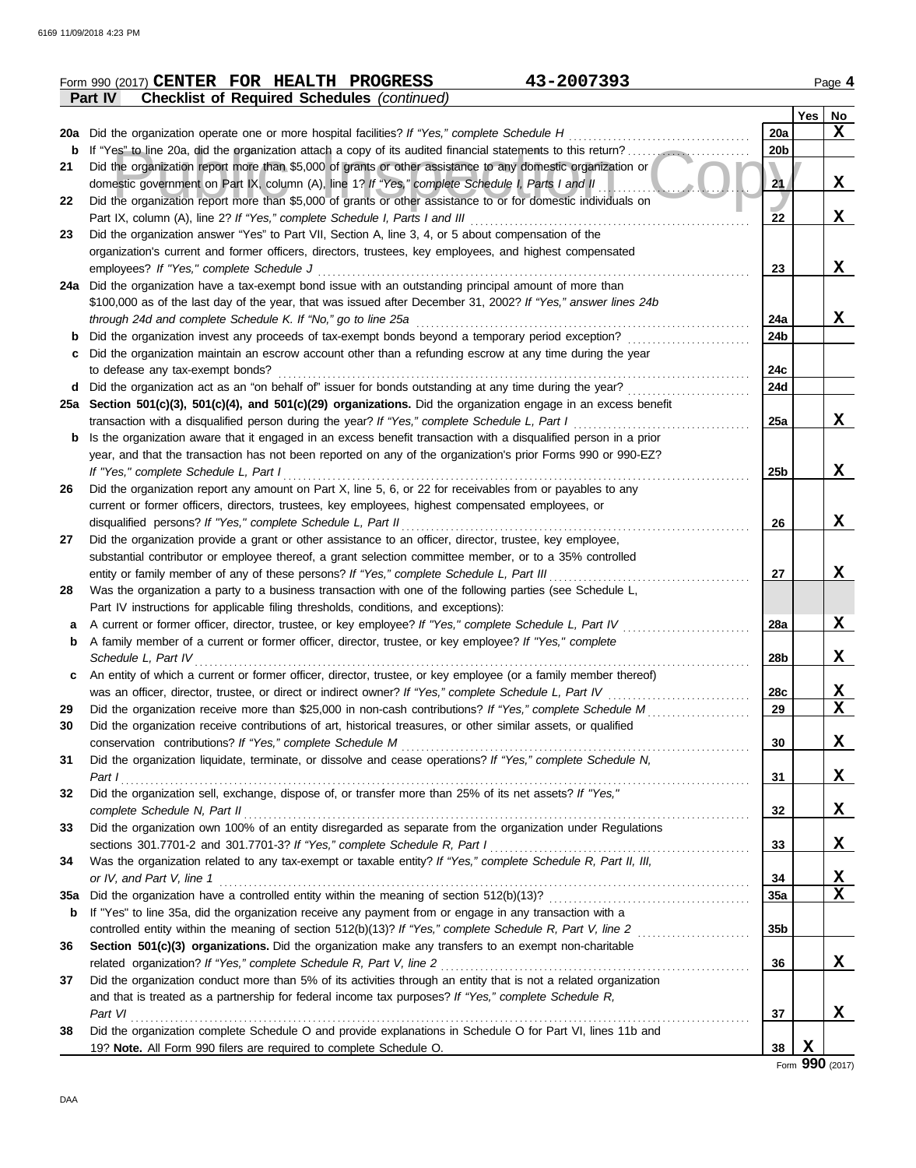|     | 43-2007393<br>Form 990 (2017) CENTER FOR HEALTH PROGRESS                                                         |                 |            | Page 4                  |
|-----|------------------------------------------------------------------------------------------------------------------|-----------------|------------|-------------------------|
|     | <b>Checklist of Required Schedules (continued)</b><br><b>Part IV</b>                                             |                 |            |                         |
|     |                                                                                                                  |                 | <b>Yes</b> | No                      |
|     | 20a Did the organization operate one or more hospital facilities? If "Yes," complete Schedule H                  | 20a             |            | X                       |
| b   | If "Yes" to line 20a, did the organization attach a copy of its audited financial statements to this return?     | 20 <sub>b</sub> |            |                         |
| 21  | Did the organization report more than \$5,000 of grants or other assistance to any domestic organization or      |                 |            |                         |
|     | domestic government on Part IX, column (A), line 1? If "Yes," complete Schedule I, Parts I and II                | 21              |            | X                       |
| 22  | Did the organization report more than \$5,000 of grants or other assistance to or for domestic individuals on    |                 |            |                         |
|     | Part IX, column (A), line 2? If "Yes," complete Schedule I, Parts I and III                                      | 22              |            | X                       |
| 23  | Did the organization answer "Yes" to Part VII, Section A, line 3, 4, or 5 about compensation of the              |                 |            |                         |
|     | organization's current and former officers, directors, trustees, key employees, and highest compensated          |                 |            |                         |
|     | employees? If "Yes," complete Schedule J                                                                         | 23              |            | X                       |
|     | 24a Did the organization have a tax-exempt bond issue with an outstanding principal amount of more than          |                 |            |                         |
|     | \$100,000 as of the last day of the year, that was issued after December 31, 2002? If "Yes," answer lines 24b    |                 |            |                         |
|     | through 24d and complete Schedule K. If "No," go to line 25a                                                     | 24a             |            | X                       |
| b   | Did the organization invest any proceeds of tax-exempt bonds beyond a temporary period exception?                | 24b             |            |                         |
| с   | Did the organization maintain an escrow account other than a refunding escrow at any time during the year        |                 |            |                         |
|     | to defease any tax-exempt bonds?                                                                                 | 24c             |            |                         |
| d   | Did the organization act as an "on behalf of" issuer for bonds outstanding at any time during the year?          | 24d             |            |                         |
|     | 25a Section 501(c)(3), 501(c)(4), and 501(c)(29) organizations. Did the organization engage in an excess benefit |                 |            |                         |
|     | transaction with a disqualified person during the year? If "Yes," complete Schedule L, Part I                    | 25a             |            | x                       |
| b   | Is the organization aware that it engaged in an excess benefit transaction with a disqualified person in a prior |                 |            |                         |
|     | year, and that the transaction has not been reported on any of the organization's prior Forms 990 or 990-EZ?     |                 |            |                         |
|     | If "Yes," complete Schedule L, Part I                                                                            | 25 <sub>b</sub> |            | X                       |
| 26  | Did the organization report any amount on Part X, line 5, 6, or 22 for receivables from or payables to any       |                 |            |                         |
|     | current or former officers, directors, trustees, key employees, highest compensated employees, or                |                 |            |                         |
|     | disqualified persons? If "Yes," complete Schedule L, Part II                                                     | 26              |            | X                       |
| 27  | Did the organization provide a grant or other assistance to an officer, director, trustee, key employee,         |                 |            |                         |
|     | substantial contributor or employee thereof, a grant selection committee member, or to a 35% controlled          |                 |            |                         |
|     | entity or family member of any of these persons? If "Yes," complete Schedule L, Part III                         | 27              |            | X                       |
| 28  | Was the organization a party to a business transaction with one of the following parties (see Schedule L,        |                 |            |                         |
|     | Part IV instructions for applicable filing thresholds, conditions, and exceptions):                              |                 |            |                         |
| a   | A current or former officer, director, trustee, or key employee? If "Yes," complete Schedule L, Part IV          | 28a             |            | $\mathbf x$             |
| b   | A family member of a current or former officer, director, trustee, or key employee? If "Yes," complete           |                 |            |                         |
|     | Schedule L, Part IV                                                                                              | 28b             |            | X                       |
| c   | An entity of which a current or former officer, director, trustee, or key employee (or a family member thereof)  |                 |            |                         |
|     | was an officer, director, trustee, or direct or indirect owner? If "Yes," complete Schedule L, Part IV           | 28c             |            | X                       |
| 29  | Did the organization receive more than \$25,000 in non-cash contributions? If "Yes," complete Schedule M         | 29              |            | $\overline{\mathbf{x}}$ |
| 30  | Did the organization receive contributions of art, historical treasures, or other similar assets, or qualified   |                 |            |                         |
|     | conservation contributions? If "Yes," complete Schedule M                                                        | 30              |            | X                       |
| 31  | Did the organization liquidate, terminate, or dissolve and cease operations? If "Yes," complete Schedule N,      |                 |            |                         |
|     | Part I                                                                                                           | 31              |            | X                       |
| 32  | Did the organization sell, exchange, dispose of, or transfer more than 25% of its net assets? If "Yes,"          |                 |            |                         |
|     | complete Schedule N, Part II                                                                                     | 32              |            | X                       |
| 33  | Did the organization own 100% of an entity disregarded as separate from the organization under Regulations       |                 |            |                         |
|     | sections 301.7701-2 and 301.7701-3? If "Yes," complete Schedule R, Part I                                        | 33              |            | X                       |
| 34  | Was the organization related to any tax-exempt or taxable entity? If "Yes," complete Schedule R, Part II, III,   |                 |            |                         |
|     | or IV, and Part V, line 1                                                                                        | 34              |            | X                       |
| 35a |                                                                                                                  | 35a             |            | X                       |
| b   | If "Yes" to line 35a, did the organization receive any payment from or engage in any transaction with a          |                 |            |                         |
|     | controlled entity within the meaning of section 512(b)(13)? If "Yes," complete Schedule R, Part V, line 2        | 35 <sub>b</sub> |            |                         |
| 36  | Section 501(c)(3) organizations. Did the organization make any transfers to an exempt non-charitable             |                 |            |                         |
|     | related organization? If "Yes," complete Schedule R, Part V, line 2                                              | 36              |            | $\mathbf x$             |
| 37  | Did the organization conduct more than 5% of its activities through an entity that is not a related organization |                 |            |                         |
|     | and that is treated as a partnership for federal income tax purposes? If "Yes," complete Schedule R,             |                 |            |                         |
|     | Part VI                                                                                                          | 37              |            | X                       |
| 38  | Did the organization complete Schedule O and provide explanations in Schedule O for Part VI, lines 11b and       |                 |            |                         |
|     | 19? Note. All Form 990 filers are required to complete Schedule O.                                               | 38              | X          |                         |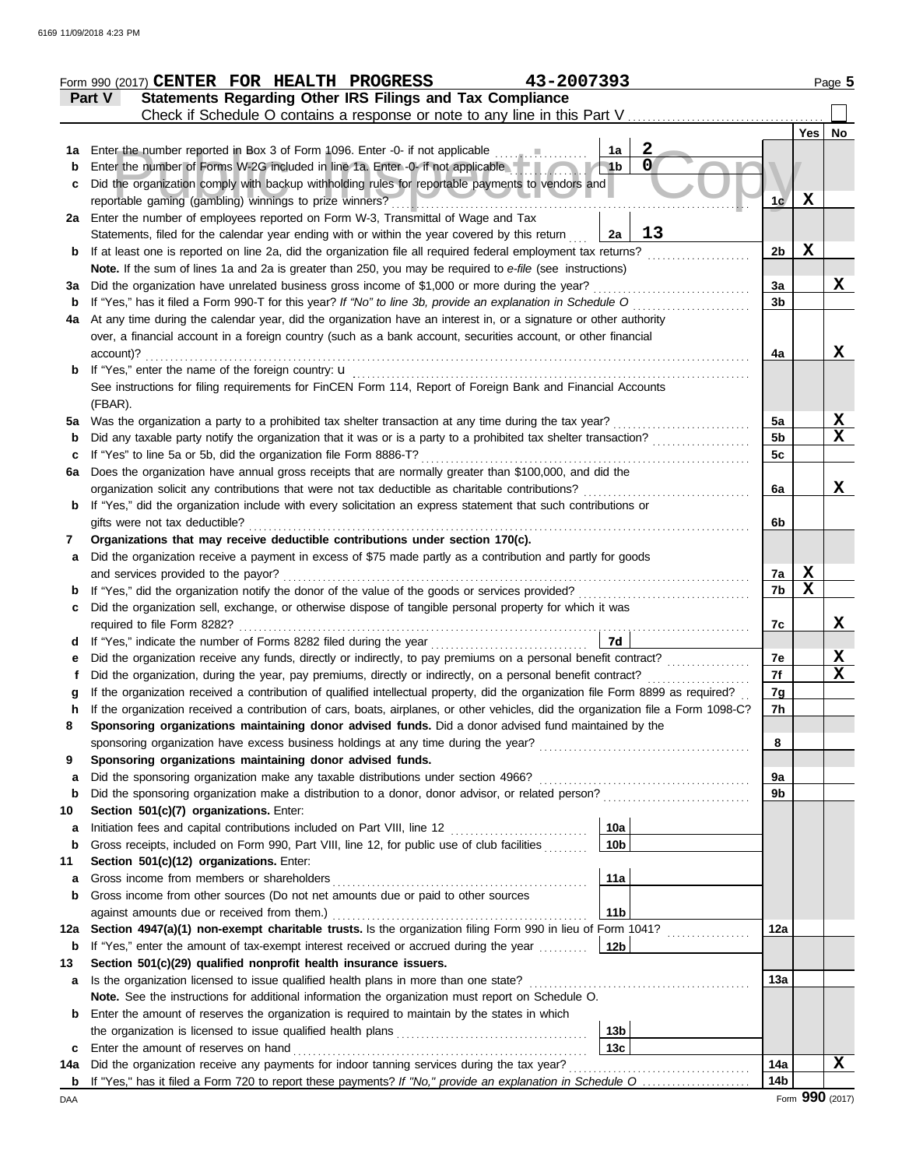|             | 43-2007393<br>Form 990 (2017) CENTER FOR HEALTH PROGRESS                                                                                                                                                   |                |             | Page 5      |
|-------------|------------------------------------------------------------------------------------------------------------------------------------------------------------------------------------------------------------|----------------|-------------|-------------|
|             | Statements Regarding Other IRS Filings and Tax Compliance<br>Part V                                                                                                                                        |                |             |             |
|             | Check if Schedule O contains a response or note to any line in this Part V                                                                                                                                 |                |             |             |
|             |                                                                                                                                                                                                            |                | Yes         | No          |
| 1a          | $\mathbf{2}$<br>Enter the number reported in Box 3 of Form 1096. Enter -0- if not applicable<br>1a                                                                                                         |                |             |             |
| b           | $\mathbf 0$<br>Enter the number of Forms W-2G included in line 1a. Enter -0- if not applicable<br>1 <sub>b</sub>                                                                                           |                |             |             |
| с           | Did the organization comply with backup withholding rules for reportable payments to vendors and                                                                                                           |                |             |             |
|             | reportable gaming (gambling) winnings to prize winners?                                                                                                                                                    | 1c/            | $\mathbf x$ |             |
|             | 2a Enter the number of employees reported on Form W-3, Transmittal of Wage and Tax<br>13                                                                                                                   |                |             |             |
|             | Statements, filed for the calendar year ending with or within the year covered by this return<br>2a                                                                                                        | 2 <sub>b</sub> | $\mathbf x$ |             |
| b           | If at least one is reported on line 2a, did the organization file all required federal employment tax returns?                                                                                             |                |             |             |
|             | Note. If the sum of lines 1a and 2a is greater than 250, you may be required to e-file (see instructions)<br>Did the organization have unrelated business gross income of \$1,000 or more during the year? | За             |             | X           |
| За<br>b     | If "Yes," has it filed a Form 990-T for this year? If "No" to line 3b, provide an explanation in Schedule O                                                                                                | 3 <sub>b</sub> |             |             |
| 4a          | At any time during the calendar year, did the organization have an interest in, or a signature or other authority                                                                                          |                |             |             |
|             | over, a financial account in a foreign country (such as a bank account, securities account, or other financial                                                                                             |                |             |             |
|             | account)?                                                                                                                                                                                                  | 4a             |             | X           |
| b           | If "Yes," enter the name of the foreign country: <b>u</b>                                                                                                                                                  |                |             |             |
|             | See instructions for filing requirements for FinCEN Form 114, Report of Foreign Bank and Financial Accounts                                                                                                |                |             |             |
|             | (FBAR).                                                                                                                                                                                                    |                |             |             |
| 5a          | Was the organization a party to a prohibited tax shelter transaction at any time during the tax year?                                                                                                      | 5a             |             | X           |
| b           | Did any taxable party notify the organization that it was or is a party to a prohibited tax shelter transaction?                                                                                           | 5 <sub>b</sub> |             | X           |
| c           | If "Yes" to line 5a or 5b, did the organization file Form 8886-T?                                                                                                                                          | 5c             |             |             |
| 6a          | Does the organization have annual gross receipts that are normally greater than \$100,000, and did the                                                                                                     |                |             |             |
|             | organization solicit any contributions that were not tax deductible as charitable contributions?                                                                                                           | 6a             |             | x           |
| b           | If "Yes," did the organization include with every solicitation an express statement that such contributions or                                                                                             |                |             |             |
|             | gifts were not tax deductible?                                                                                                                                                                             | 6b             |             |             |
| 7           | Organizations that may receive deductible contributions under section 170(c).                                                                                                                              |                |             |             |
| a           | Did the organization receive a payment in excess of \$75 made partly as a contribution and partly for goods                                                                                                |                |             |             |
|             | and services provided to the payor?                                                                                                                                                                        | 7a             | $\mathbf X$ |             |
| b           | If "Yes," did the organization notify the donor of the value of the goods or services provided?                                                                                                            | 7b             | $\mathbf x$ |             |
| с           | Did the organization sell, exchange, or otherwise dispose of tangible personal property for which it was                                                                                                   |                |             |             |
|             | required to file Form 8282?                                                                                                                                                                                | 7c             |             | X           |
| d           | 7d<br>If "Yes," indicate the number of Forms 8282 filed during the year                                                                                                                                    |                |             |             |
| е           | Did the organization receive any funds, directly or indirectly, to pay premiums on a personal benefit contract?                                                                                            | 7е             |             | X           |
|             | Did the organization, during the year, pay premiums, directly or indirectly, on a personal benefit contract?                                                                                               | 7f             |             | $\mathbf x$ |
|             | If the organization received a contribution of qualified intellectual property, did the organization file Form 8899 as required?                                                                           | 7g             |             |             |
|             | If the organization received a contribution of cars, boats, airplanes, or other vehicles, did the organization file a Form 1098-C?                                                                         | 7h             |             |             |
| 8           | Sponsoring organizations maintaining donor advised funds. Did a donor advised fund maintained by the                                                                                                       |                |             |             |
|             | sponsoring organization have excess business holdings at any time during the year?                                                                                                                         | 8              |             |             |
| 9           | Sponsoring organizations maintaining donor advised funds.                                                                                                                                                  |                |             |             |
| a           | Did the sponsoring organization make any taxable distributions under section 4966?<br>Did the sponsoring organization make a distribution to a donor, donor advisor, or related person?                    | 9a<br>9b       |             |             |
| b<br>10     | Section 501(c)(7) organizations. Enter:                                                                                                                                                                    |                |             |             |
| a           | 10a<br>Initiation fees and capital contributions included on Part VIII, line 12 [11][11][11][11][11][11][11][11][11]                                                                                       |                |             |             |
| $\mathbf b$ | Gross receipts, included on Form 990, Part VIII, line 12, for public use of club facilities<br>10 <sub>b</sub>                                                                                             |                |             |             |
| 11          | Section 501(c)(12) organizations. Enter:                                                                                                                                                                   |                |             |             |
| a           | 11a<br>Gross income from members or shareholders                                                                                                                                                           |                |             |             |
| b           | Gross income from other sources (Do not net amounts due or paid to other sources                                                                                                                           |                |             |             |
|             | 11 <sub>b</sub><br>against amounts due or received from them.)                                                                                                                                             |                |             |             |
| 12a         | Section 4947(a)(1) non-exempt charitable trusts. Is the organization filing Form 990 in lieu of Form 1041?                                                                                                 | 12a            |             |             |
| b           | 12 <sub>b</sub><br>If "Yes," enter the amount of tax-exempt interest received or accrued during the year                                                                                                   |                |             |             |
| 13          | Section 501(c)(29) qualified nonprofit health insurance issuers.                                                                                                                                           |                |             |             |
| a           | Is the organization licensed to issue qualified health plans in more than one state?                                                                                                                       | 13а            |             |             |
|             | Note. See the instructions for additional information the organization must report on Schedule O.                                                                                                          |                |             |             |
| b           | Enter the amount of reserves the organization is required to maintain by the states in which                                                                                                               |                |             |             |
|             | 13b                                                                                                                                                                                                        |                |             |             |
| c           | 13 <sub>c</sub><br>Enter the amount of reserves on hand                                                                                                                                                    |                |             |             |
| 14a         | Did the organization receive any payments for indoor tanning services during the tax year?                                                                                                                 | 14a            |             | X           |
|             | <b>b</b> If "Yes," has it filed a Form 720 to report these payments? If "No," provide an explanation in Schedule O                                                                                         | 14b            |             |             |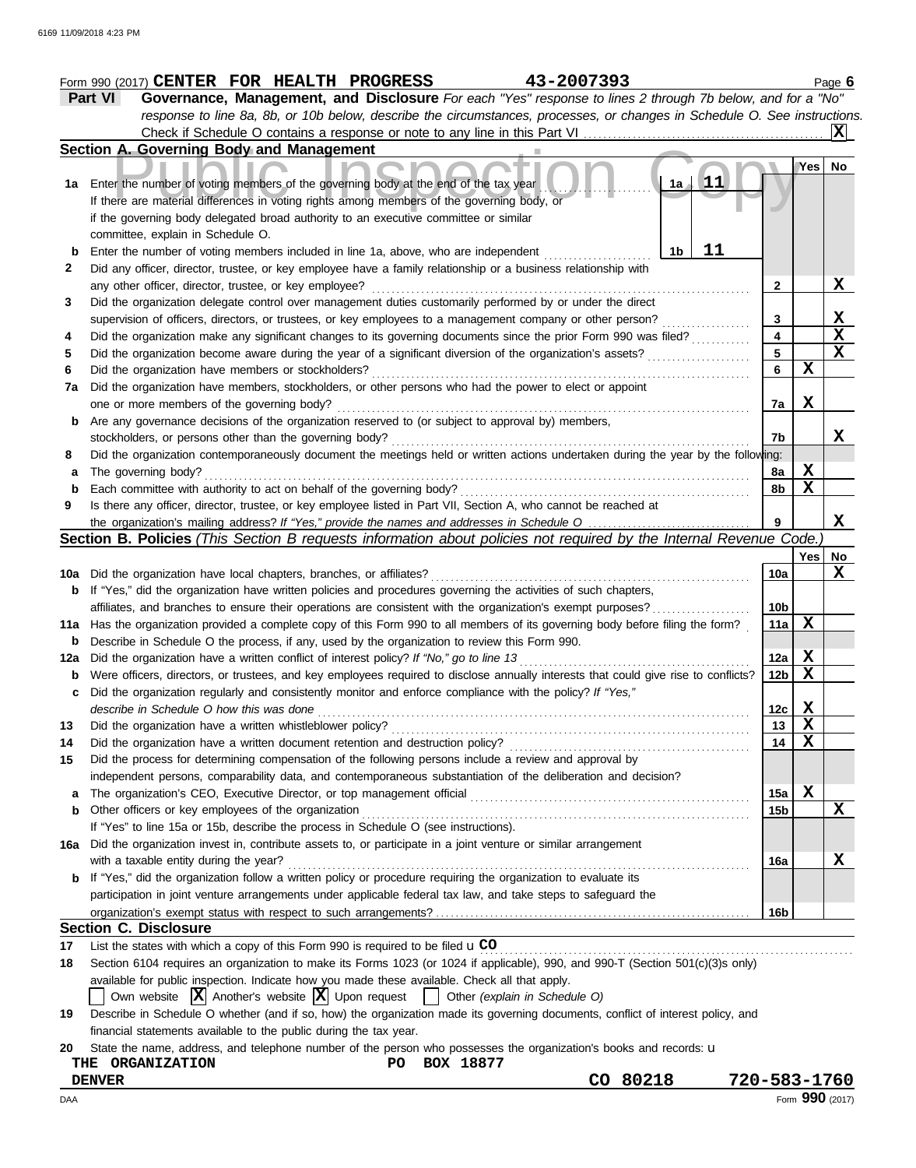|     | 43-2007393<br>Form 990 (2017) CENTER FOR HEALTH PROGRESS                                                                                                                                                                                                  |                         |             | Page 6                  |
|-----|-----------------------------------------------------------------------------------------------------------------------------------------------------------------------------------------------------------------------------------------------------------|-------------------------|-------------|-------------------------|
|     | Governance, Management, and Disclosure For each "Yes" response to lines 2 through 7b below, and for a "No"<br><b>Part VI</b><br>response to line 8a, 8b, or 10b below, describe the circumstances, processes, or changes in Schedule O. See instructions. |                         |             |                         |
|     |                                                                                                                                                                                                                                                           |                         |             | X                       |
|     | Section A. Governing Body and Management                                                                                                                                                                                                                  |                         |             |                         |
|     |                                                                                                                                                                                                                                                           |                         | Yes         | No                      |
|     | $\mathbf{11}$<br>1a<br>1a Enter the number of voting members of the governing body at the end of the tax year                                                                                                                                             |                         |             |                         |
|     | If there are material differences in voting rights among members of the governing body, or                                                                                                                                                                |                         |             |                         |
|     | if the governing body delegated broad authority to an executive committee or similar                                                                                                                                                                      |                         |             |                         |
|     | committee, explain in Schedule O.                                                                                                                                                                                                                         |                         |             |                         |
| b   | 11<br>Enter the number of voting members included in line 1a, above, who are independent<br>1b                                                                                                                                                            |                         |             |                         |
|     | Did any officer, director, trustee, or key employee have a family relationship or a business relationship with                                                                                                                                            |                         |             |                         |
|     | any other officer, director, trustee, or key employee?                                                                                                                                                                                                    | 2                       |             | X                       |
|     | Did the organization delegate control over management duties customarily performed by or under the direct                                                                                                                                                 |                         |             |                         |
|     | supervision of officers, directors, or trustees, or key employees to a management company or other person?                                                                                                                                                | 3                       |             | $\mathbf{x}$            |
|     | Did the organization make any significant changes to its governing documents since the prior Form 990 was filed?                                                                                                                                          | $\overline{\mathbf{4}}$ |             | $\overline{\mathbf{x}}$ |
|     | Did the organization become aware during the year of a significant diversion of the organization's assets?                                                                                                                                                | 5                       |             | $\overline{\mathbf{x}}$ |
|     | Did the organization have members or stockholders?                                                                                                                                                                                                        | 6                       | X           |                         |
| 7a  | Did the organization have members, stockholders, or other persons who had the power to elect or appoint                                                                                                                                                   |                         |             |                         |
|     | one or more members of the governing body?                                                                                                                                                                                                                | 7a                      | X           |                         |
| b   | Are any governance decisions of the organization reserved to (or subject to approval by) members,                                                                                                                                                         |                         |             |                         |
|     | stockholders, or persons other than the governing body?                                                                                                                                                                                                   | 7b                      |             |                         |
|     | Did the organization contemporaneously document the meetings held or written actions undertaken during the year by the following:                                                                                                                         |                         |             |                         |
|     | The governing body?                                                                                                                                                                                                                                       | 8a                      | X           |                         |
|     | Each committee with authority to act on behalf of the governing body?                                                                                                                                                                                     | 8b                      | $\mathbf X$ |                         |
|     | Is there any officer, director, trustee, or key employee listed in Part VII, Section A, who cannot be reached at                                                                                                                                          |                         |             |                         |
|     |                                                                                                                                                                                                                                                           | 9                       |             | X                       |
|     | Section B. Policies (This Section B requests information about policies not required by the Internal Revenue Code.)                                                                                                                                       |                         |             |                         |
|     |                                                                                                                                                                                                                                                           |                         | Yes   No    |                         |
|     | 10a Did the organization have local chapters, branches, or affiliates?                                                                                                                                                                                    | 10a                     |             | X                       |
|     | <b>b</b> If "Yes," did the organization have written policies and procedures governing the activities of such chapters,                                                                                                                                   |                         |             |                         |
|     | affiliates, and branches to ensure their operations are consistent with the organization's exempt purposes?                                                                                                                                               | 10 <sub>b</sub>         |             |                         |
|     | 11a Has the organization provided a complete copy of this Form 990 to all members of its governing body before filing the form?                                                                                                                           | 11a                     | X           |                         |
| b   | Describe in Schedule O the process, if any, used by the organization to review this Form 990.                                                                                                                                                             |                         |             |                         |
|     | 12a Did the organization have a written conflict of interest policy? If "No," go to line 13                                                                                                                                                               | 12a                     | X           |                         |
|     | Were officers, directors, or trustees, and key employees required to disclose annually interests that could give rise to conflicts?                                                                                                                       | 12 <sub>b</sub>         | $\mathbf x$ |                         |
| c   | Did the organization regularly and consistently monitor and enforce compliance with the policy? If "Yes,"                                                                                                                                                 |                         |             |                         |
|     | describe in Schedule O how this was done                                                                                                                                                                                                                  | 12c                     | Χ           |                         |
|     | Did the organization have a written whistleblower policy?                                                                                                                                                                                                 | 13                      | $\mathbf X$ |                         |
|     | Did the organization have a written document retention and destruction policy?                                                                                                                                                                            | 14                      | $\mathbf X$ |                         |
|     | Did the process for determining compensation of the following persons include a review and approval by                                                                                                                                                    |                         |             |                         |
|     | independent persons, comparability data, and contemporaneous substantiation of the deliberation and decision?                                                                                                                                             |                         |             |                         |
| a   | The organization's CEO, Executive Director, or top management official                                                                                                                                                                                    | 15a                     | X           |                         |
| b   | Other officers or key employees of the organization                                                                                                                                                                                                       | 15 <sub>b</sub>         |             | X                       |
|     | If "Yes" to line 15a or 15b, describe the process in Schedule O (see instructions).                                                                                                                                                                       |                         |             |                         |
|     | Did the organization invest in, contribute assets to, or participate in a joint venture or similar arrangement                                                                                                                                            |                         |             |                         |
| 16a | with a taxable entity during the year?                                                                                                                                                                                                                    |                         |             | Х                       |
|     | b If "Yes," did the organization follow a written policy or procedure requiring the organization to evaluate its                                                                                                                                          | 16a                     |             |                         |
|     | participation in joint venture arrangements under applicable federal tax law, and take steps to safeguard the                                                                                                                                             |                         |             |                         |
|     |                                                                                                                                                                                                                                                           |                         |             |                         |
|     |                                                                                                                                                                                                                                                           | 16b                     |             |                         |
|     | <b>Section C. Disclosure</b>                                                                                                                                                                                                                              |                         |             |                         |
|     | List the states with which a copy of this Form 990 is required to be filed u CO                                                                                                                                                                           |                         |             |                         |
|     | Section 6104 requires an organization to make its Forms 1023 (or 1024 if applicable), 990, and 990-T (Section 501(c)(3)s only)                                                                                                                            |                         |             |                         |
|     | available for public inspection. Indicate how you made these available. Check all that apply.                                                                                                                                                             |                         |             |                         |
|     | Own website $ \mathbf{X} $ Another's website $ \mathbf{X} $ Upon request $ \mathbf{X} $ Other (explain in Schedule O)                                                                                                                                     |                         |             |                         |
|     | Describe in Schedule O whether (and if so, how) the organization made its governing documents, conflict of interest policy, and                                                                                                                           |                         |             |                         |
|     | financial statements available to the public during the tax year.                                                                                                                                                                                         |                         |             |                         |

| THE<br><b>ORGANIZATION</b> | PО | <b>BOX</b> | 18877 |          |              |  |
|----------------------------|----|------------|-------|----------|--------------|--|
| DENVER                     |    |            |       | CO 80218 | 720-583-1760 |  |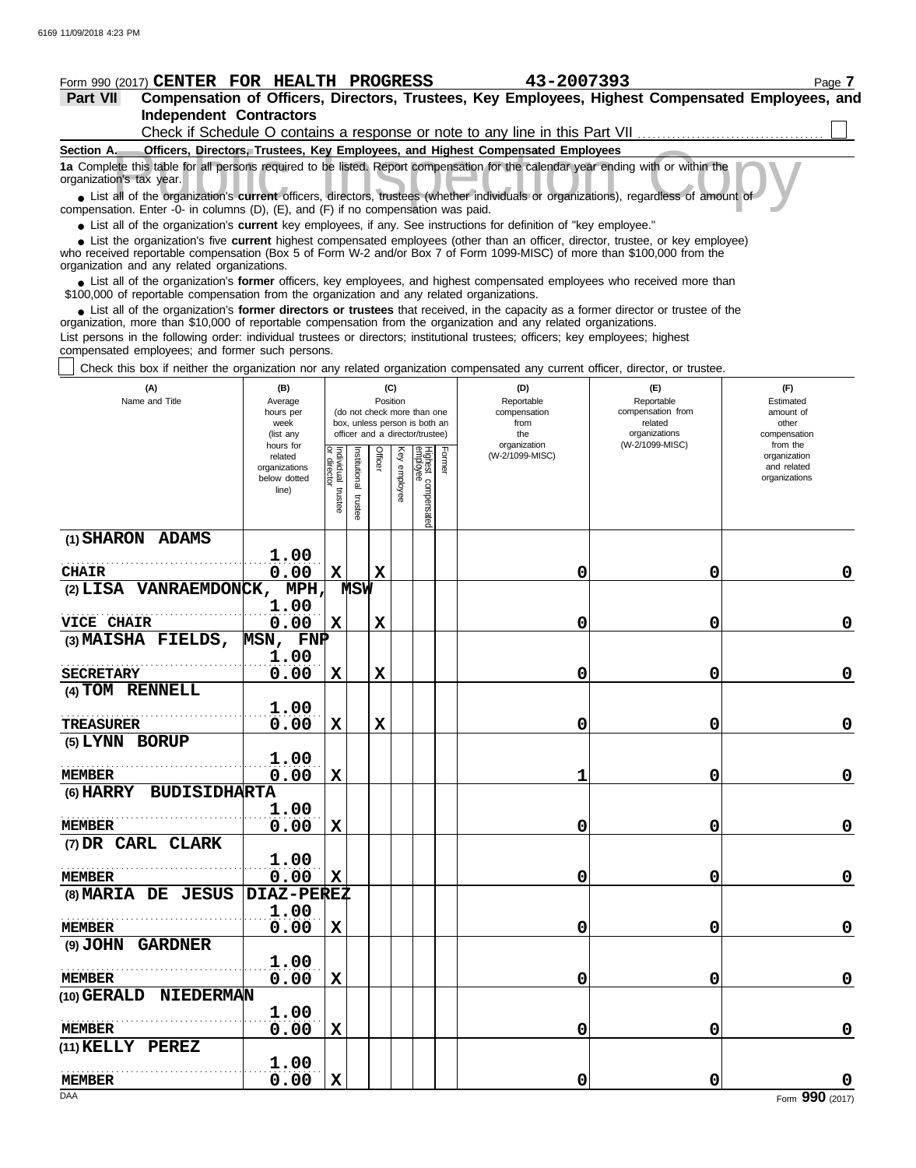## **Public Inspection Complete this table for all persons required to be listed. Report compensation for the calendar year ending with or within the calendar's tax year.<br>
■ List all of the organization's <b>current** officers, **Section A. Officers, Directors, Trustees, Key Employees, and Highest Compensated Employees Independent Contractors Part VII Compensation of Officers, Directors, Trustees, Key Employees, Highest Compensated Employees, and Form 990 (2017) CENTER FOR HEALTH PROGRESS** 43-2007393 **1a** Complete this table for all persons required to be listed. Report compensation for the calendar year ending with or within the organization's tax year. Check if Schedule O contains a response or note to any line in this Part VII

compensation. Enter -0- in columns (D), (E), and (F) if no compensation was paid.

● List all of the organization's **current** key employees, if any. See instructions for definition of "key employee."

who received reportable compensation (Box 5 of Form W-2 and/or Box 7 of Form 1099-MISC) of more than \$100,000 from the organization and any related organizations. ■ List the organization's five **current** highest compensated employees (other than an officer, director, trustee, or key employee)<br>
a received reportable compensation (Box 5 of Form W-2 and/or Box 7 of Form 1099-MISC) of

■ List all of the organization's **former** officers, key employees, and highest compensated employees who received more than<br>00,000 of reportable compensation from the organization and any related organizations \$100,000 of reportable compensation from the organization and any related organizations.

• List all of the organization's **former directors or trustees** that received, in the capacity as a former director or trustee of the prization more than \$10,000 of reportable compensation from the organization and any rel organization, more than \$10,000 of reportable compensation from the organization and any related organizations.

List persons in the following order: individual trustees or directors; institutional trustees; officers; key employees; highest compensated employees; and former such persons.

 $\vert\,\,\vert$  Check this box if neither the organization nor any related organization compensated any current officer, director, or trustee.

| (A)<br>Name and Title                    | (B)<br>Average<br>hours per<br>week<br>(list any<br>hours for |                                   |                         | Position    | (C)             | (do not check more than one<br>box, unless person is both an<br>officer and a director/trustee) |        | (D)<br>Reportable<br>compensation<br>from<br>the<br>organization | (E)<br>Reportable<br>compensation from<br>related<br>organizations<br>(W-2/1099-MISC) | (F)<br>Estimated<br>amount of<br>other<br>compensation<br>from the |  |
|------------------------------------------|---------------------------------------------------------------|-----------------------------------|-------------------------|-------------|-----------------|-------------------------------------------------------------------------------------------------|--------|------------------------------------------------------------------|---------------------------------------------------------------------------------------|--------------------------------------------------------------------|--|
|                                          | related<br>organizations<br>below dotted<br>line)             | Individual trustee<br>or director | nstitutional<br>trustee | Officer     | Ķey<br>employee | lighest compensated<br>imployee                                                                 | Former | (W-2/1099-MISC)                                                  |                                                                                       | organization<br>and related<br>organizations                       |  |
| (1) SHARON ADAMS                         |                                                               |                                   |                         |             |                 |                                                                                                 |        |                                                                  |                                                                                       |                                                                    |  |
|                                          | 1.00                                                          |                                   |                         |             |                 |                                                                                                 |        |                                                                  |                                                                                       |                                                                    |  |
| <b>CHAIR</b><br>$(2)$ LISA VANRAEMDONCK, | 0.00<br>MPH,                                                  | X                                 | MSW                     | $\mathbf x$ |                 |                                                                                                 |        | 0                                                                | 0                                                                                     | 0                                                                  |  |
|                                          | 1.00                                                          |                                   |                         |             |                 |                                                                                                 |        |                                                                  |                                                                                       |                                                                    |  |
| <b>VICE CHAIR</b>                        | 0.00                                                          | $\mathbf X$                       |                         | $\mathbf x$ |                 |                                                                                                 |        | 0                                                                | 0                                                                                     | $\mathbf 0$                                                        |  |
| (3) MAISHA FIELDS,                       | MSN, FNP                                                      |                                   |                         |             |                 |                                                                                                 |        |                                                                  |                                                                                       |                                                                    |  |
| <b>SECRETARY</b>                         | 1.00<br>0.00                                                  | X                                 |                         | X           |                 |                                                                                                 |        | 0                                                                | 0                                                                                     | $\mathbf 0$                                                        |  |
| (4) TOM RENNELL                          |                                                               |                                   |                         |             |                 |                                                                                                 |        |                                                                  |                                                                                       |                                                                    |  |
|                                          | 1.00                                                          |                                   |                         |             |                 |                                                                                                 |        |                                                                  |                                                                                       |                                                                    |  |
| TREASURER                                | 0.00                                                          | $\mathbf x$                       |                         | $\mathbf x$ |                 |                                                                                                 |        | 0                                                                | 0                                                                                     | $\mathbf 0$                                                        |  |
| (5) LYNN BORUP                           |                                                               |                                   |                         |             |                 |                                                                                                 |        |                                                                  |                                                                                       |                                                                    |  |
| <b>MEMBER</b>                            | 1.00<br>0.00                                                  | X                                 |                         |             |                 |                                                                                                 |        |                                                                  | 0                                                                                     | $\mathbf 0$                                                        |  |
| <b>BUDISIDHARTA</b><br>$(6)$ HARRY       |                                                               |                                   |                         |             |                 |                                                                                                 |        |                                                                  |                                                                                       |                                                                    |  |
|                                          | 1.00                                                          |                                   |                         |             |                 |                                                                                                 |        |                                                                  |                                                                                       |                                                                    |  |
| <b>MEMBER</b>                            | 0.00                                                          | X                                 |                         |             |                 |                                                                                                 |        | 0                                                                | 0                                                                                     | 0                                                                  |  |
| (7) DR CARL CLARK                        |                                                               |                                   |                         |             |                 |                                                                                                 |        |                                                                  |                                                                                       |                                                                    |  |
|                                          | 1.00                                                          |                                   |                         |             |                 |                                                                                                 |        |                                                                  |                                                                                       |                                                                    |  |
| <b>MEMBER</b>                            | 0.00                                                          | X                                 |                         |             |                 |                                                                                                 |        | 0                                                                | 0                                                                                     | $\mathbf 0$                                                        |  |
| (8) MARIA DE JESUS                       | DIAZ-PEREZ<br>1.00                                            |                                   |                         |             |                 |                                                                                                 |        |                                                                  |                                                                                       |                                                                    |  |
| <b>MEMBER</b>                            | 0.00                                                          | $\mathbf X$                       |                         |             |                 |                                                                                                 |        | 0                                                                | 0                                                                                     | $\mathbf 0$                                                        |  |
| <b>GARDNER</b><br>(9) JOHN               |                                                               |                                   |                         |             |                 |                                                                                                 |        |                                                                  |                                                                                       |                                                                    |  |
|                                          | 1.00                                                          |                                   |                         |             |                 |                                                                                                 |        |                                                                  |                                                                                       |                                                                    |  |
| <b>MEMBER</b>                            | 0.00                                                          | $\mathbf x$                       |                         |             |                 |                                                                                                 |        | 0                                                                | 0                                                                                     | $\mathbf 0$                                                        |  |
| (10) GERALD NIEDERMAN                    |                                                               |                                   |                         |             |                 |                                                                                                 |        |                                                                  |                                                                                       |                                                                    |  |
|                                          | 1.00                                                          |                                   |                         |             |                 |                                                                                                 |        |                                                                  |                                                                                       |                                                                    |  |
| <b>MEMBER</b>                            | 0.00                                                          | X                                 |                         |             |                 |                                                                                                 |        | 0                                                                | 0                                                                                     | $\mathbf 0$                                                        |  |
| (11) KELLY PEREZ                         | 1.00                                                          |                                   |                         |             |                 |                                                                                                 |        |                                                                  |                                                                                       |                                                                    |  |
| <b>MEMBER</b>                            | 0.00                                                          | X                                 |                         |             |                 |                                                                                                 |        | 0                                                                | 0                                                                                     |                                                                    |  |
| DAA                                      |                                                               |                                   |                         |             |                 |                                                                                                 |        |                                                                  |                                                                                       | Form 990 (2017)                                                    |  |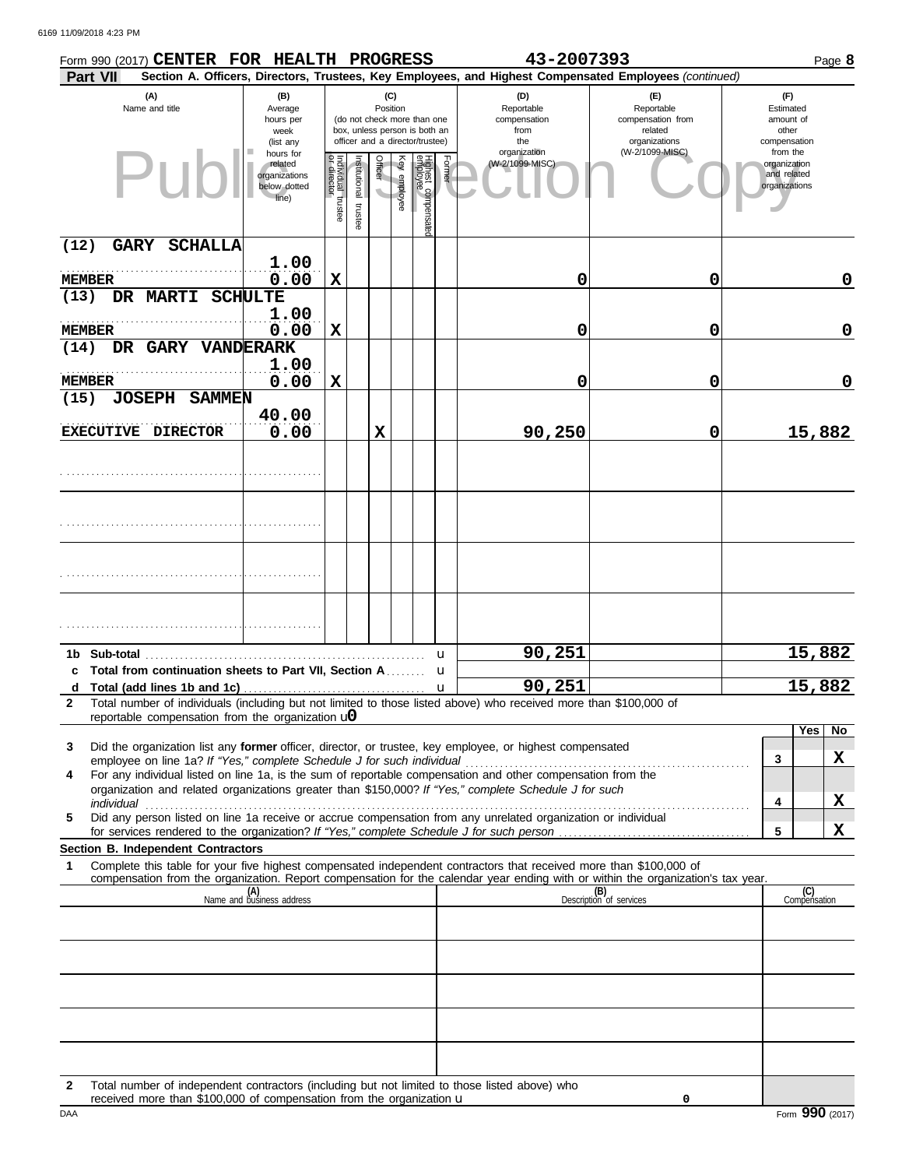| Form 990 (2017) CENTER FOR HEALTH PROGRESS                                                                                                                                                                                |                                                                |                                   |                          |          |              |                                                                                                 |        | 43-2007393                                                                                             |                                                                    |                                                          | Page 8                    |
|---------------------------------------------------------------------------------------------------------------------------------------------------------------------------------------------------------------------------|----------------------------------------------------------------|-----------------------------------|--------------------------|----------|--------------|-------------------------------------------------------------------------------------------------|--------|--------------------------------------------------------------------------------------------------------|--------------------------------------------------------------------|----------------------------------------------------------|---------------------------|
| Part VII                                                                                                                                                                                                                  |                                                                |                                   |                          |          |              |                                                                                                 |        | Section A. Officers, Directors, Trustees, Key Employees, and Highest Compensated Employees (continued) |                                                                    |                                                          |                           |
| (A)<br>Name and title                                                                                                                                                                                                     | (B)<br>Average<br>hours per<br>week<br>(list any               |                                   |                          | Position | (C)          | (do not check more than one<br>box, unless person is both an<br>officer and a director/trustee) |        | (D)<br>Reportable<br>compensation<br>from<br>the                                                       | (F)<br>Reportable<br>compensation from<br>related<br>organizations | (F)<br>Estimated<br>amount of<br>other<br>compensation   |                           |
| Put                                                                                                                                                                                                                       | hours for<br>related<br>organizations<br>below dotted<br>line) | Individual trustee<br>or director | Institutional<br>trustee | Officer  | Key employee | Highest compensatec<br>employee                                                                 | Former | organization<br>(W-2/1099-MISC)                                                                        | (W-2/1099-MISC)                                                    | from the<br>organization<br>and related<br>organizations |                           |
| <b>GARY SCHALLA</b><br>(12)                                                                                                                                                                                               |                                                                |                                   |                          |          |              |                                                                                                 |        |                                                                                                        |                                                                    |                                                          |                           |
| <b>MEMBER</b>                                                                                                                                                                                                             | 1.00<br>0.00                                                   | $\mathbf x$                       |                          |          |              |                                                                                                 |        | 0                                                                                                      | 0                                                                  |                                                          | 0                         |
| DR MARTI SCHULTE<br>(13)                                                                                                                                                                                                  | 1.00                                                           |                                   |                          |          |              |                                                                                                 |        |                                                                                                        |                                                                    |                                                          |                           |
| <b>MEMBER</b><br>DR GARY VANDERARK<br>(14)                                                                                                                                                                                | 0.00                                                           | $\mathbf x$                       |                          |          |              |                                                                                                 |        | 0                                                                                                      | 0                                                                  |                                                          | 0                         |
| <b>MEMBER</b>                                                                                                                                                                                                             | 1.00                                                           | $\mathbf x$                       |                          |          |              |                                                                                                 |        |                                                                                                        | 0                                                                  |                                                          | 0                         |
| (15)<br><b>JOSEPH SAMMEN</b>                                                                                                                                                                                              | 0.00                                                           |                                   |                          |          |              |                                                                                                 |        | 0                                                                                                      |                                                                    |                                                          |                           |
| EXECUTIVE DIRECTOR                                                                                                                                                                                                        | 40.00<br>0.00                                                  |                                   |                          | X        |              |                                                                                                 |        | 90,250                                                                                                 | 0                                                                  |                                                          | 15,882                    |
|                                                                                                                                                                                                                           |                                                                |                                   |                          |          |              |                                                                                                 |        |                                                                                                        |                                                                    |                                                          |                           |
|                                                                                                                                                                                                                           |                                                                |                                   |                          |          |              |                                                                                                 |        |                                                                                                        |                                                                    |                                                          |                           |
|                                                                                                                                                                                                                           |                                                                |                                   |                          |          |              |                                                                                                 |        |                                                                                                        |                                                                    |                                                          |                           |
|                                                                                                                                                                                                                           |                                                                |                                   |                          |          |              |                                                                                                 |        |                                                                                                        |                                                                    |                                                          |                           |
|                                                                                                                                                                                                                           |                                                                |                                   |                          |          |              |                                                                                                 |        |                                                                                                        |                                                                    |                                                          |                           |
| 1b Sub-total                                                                                                                                                                                                              |                                                                |                                   |                          |          |              |                                                                                                 | u      | 90,251                                                                                                 |                                                                    |                                                          | 15,882                    |
| c Total from continuation sheets to Part VII, Section A.<br>d                                                                                                                                                             |                                                                |                                   |                          |          |              |                                                                                                 | u<br>u | 90,251                                                                                                 |                                                                    |                                                          | 15,882                    |
| Total number of individuals (including but not limited to those listed above) who received more than \$100,000 of<br>2<br>reportable compensation from the organization $\mathbf{u}$                                      |                                                                |                                   |                          |          |              |                                                                                                 |        |                                                                                                        |                                                                    |                                                          |                           |
| 3                                                                                                                                                                                                                         |                                                                |                                   |                          |          |              |                                                                                                 |        |                                                                                                        |                                                                    |                                                          | Yes<br>$\overline{N_{0}}$ |
| Did the organization list any former officer, director, or trustee, key employee, or highest compensated<br>employee on line 1a? If "Yes," complete Schedule J for such individual                                        |                                                                |                                   |                          |          |              |                                                                                                 |        |                                                                                                        |                                                                    | 3                                                        | X                         |
| For any individual listed on line 1a, is the sum of reportable compensation and other compensation from the<br>4<br>organization and related organizations greater than \$150,000? If "Yes," complete Schedule J for such |                                                                |                                   |                          |          |              |                                                                                                 |        |                                                                                                        |                                                                    |                                                          |                           |
| Did any person listed on line 1a receive or accrue compensation from any unrelated organization or individual<br>5                                                                                                        |                                                                |                                   |                          |          |              |                                                                                                 |        |                                                                                                        |                                                                    | 4                                                        | X                         |
| Section B. Independent Contractors                                                                                                                                                                                        |                                                                |                                   |                          |          |              |                                                                                                 |        |                                                                                                        |                                                                    | 5                                                        | X                         |
| Complete this table for your five highest compensated independent contractors that received more than \$100,000 of<br>1                                                                                                   |                                                                |                                   |                          |          |              |                                                                                                 |        |                                                                                                        |                                                                    |                                                          |                           |
| compensation from the organization. Report compensation for the calendar year ending with or within the organization's tax year.                                                                                          | (A)<br>Name and business address                               |                                   |                          |          |              |                                                                                                 |        |                                                                                                        | (B)<br>Description of services                                     |                                                          | (C)<br>Compensation       |
|                                                                                                                                                                                                                           |                                                                |                                   |                          |          |              |                                                                                                 |        |                                                                                                        |                                                                    |                                                          |                           |
|                                                                                                                                                                                                                           |                                                                |                                   |                          |          |              |                                                                                                 |        |                                                                                                        |                                                                    |                                                          |                           |
|                                                                                                                                                                                                                           |                                                                |                                   |                          |          |              |                                                                                                 |        |                                                                                                        |                                                                    |                                                          |                           |
|                                                                                                                                                                                                                           |                                                                |                                   |                          |          |              |                                                                                                 |        |                                                                                                        |                                                                    |                                                          |                           |
|                                                                                                                                                                                                                           |                                                                |                                   |                          |          |              |                                                                                                 |        |                                                                                                        |                                                                    |                                                          |                           |
|                                                                                                                                                                                                                           |                                                                |                                   |                          |          |              |                                                                                                 |        |                                                                                                        |                                                                    |                                                          |                           |

**2** Total number of independent contractors (including but not limited to those listed above) who received more than \$100,000 of compensation from the organization u

**0**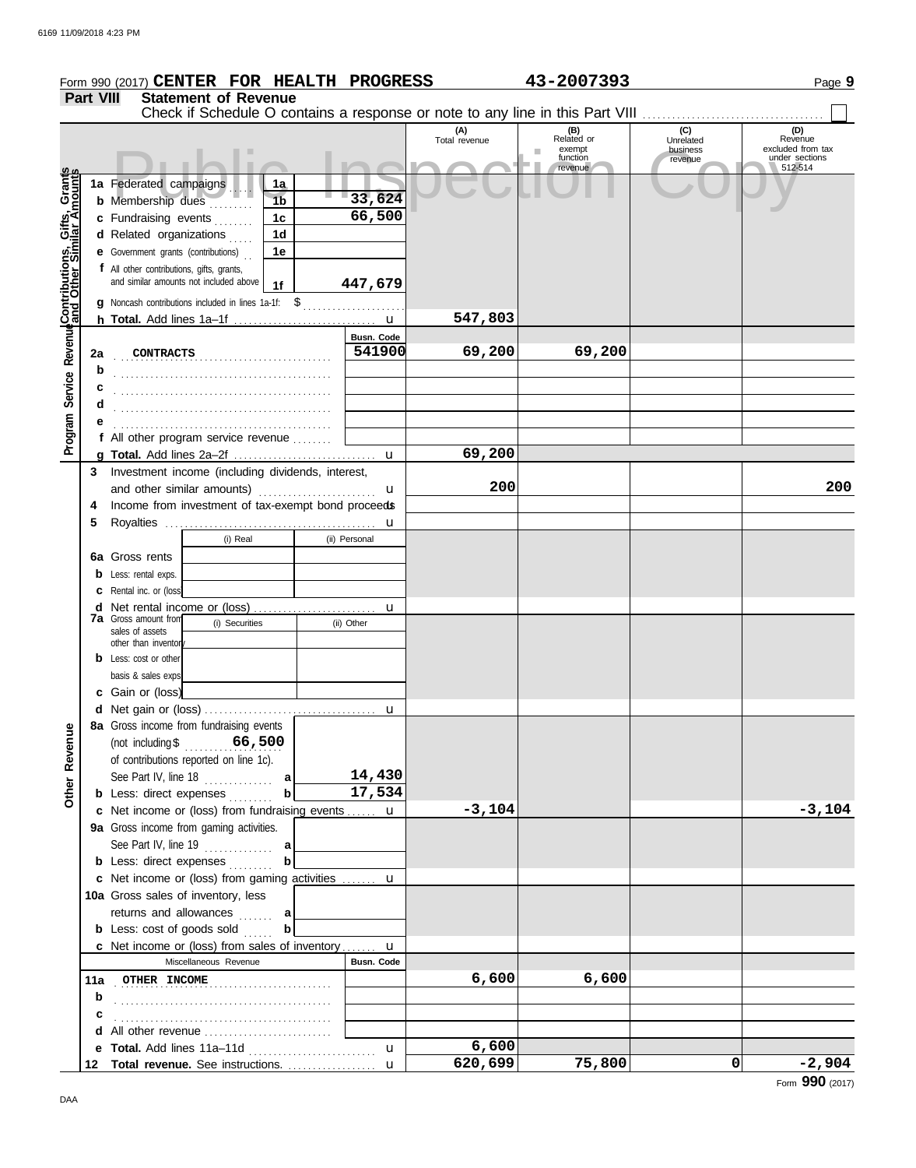|                                              |                  | Form 990 (2017) CENTER FOR HEALTH PROGRESS                                          |               |                      | 43-2007393                                         |                                         | Page 9                                                           |
|----------------------------------------------|------------------|-------------------------------------------------------------------------------------|---------------|----------------------|----------------------------------------------------|-----------------------------------------|------------------------------------------------------------------|
|                                              | <b>Part VIII</b> | <b>Statement of Revenue</b>                                                         |               |                      |                                                    |                                         |                                                                  |
|                                              |                  | Check if Schedule O contains a response or note to any line in this Part VIII       |               |                      |                                                    |                                         |                                                                  |
|                                              |                  |                                                                                     |               | (A)<br>Total revenue | (B)<br>Related or<br>exempt<br>function<br>revenue | (C)<br>Unrelated<br>business<br>revenue | (D)<br>Revenue<br>excluded from tax<br>under sections<br>512-514 |
| Service Revenue Contributions, Gifts, Grants |                  | 1a Federated campaigns<br>1a                                                        |               |                      |                                                    |                                         |                                                                  |
|                                              |                  | 1 <sub>b</sub><br><b>b</b> Membership dues                                          | 33,624        |                      |                                                    |                                         |                                                                  |
|                                              |                  | c Fundraising events<br>1c                                                          | 66,500        |                      |                                                    |                                         |                                                                  |
|                                              |                  | 1 <sub>d</sub><br>d Related organizations                                           |               |                      |                                                    |                                         |                                                                  |
|                                              |                  | <b>e</b> Government grants (contributions)<br>1e                                    |               |                      |                                                    |                                         |                                                                  |
|                                              |                  | f All other contributions, gifts, grants,<br>and similar amounts not included above | 447,679       |                      |                                                    |                                         |                                                                  |
|                                              |                  | 1f                                                                                  |               |                      |                                                    |                                         |                                                                  |
|                                              |                  | g Noncash contributions included in lines 1a-1f: \$                                 |               | 547,803              |                                                    |                                         |                                                                  |
|                                              |                  |                                                                                     | Busn. Code    |                      |                                                    |                                         |                                                                  |
|                                              | 2a               | CONTRACTS                                                                           | 541900        | 69,200               | 69,200                                             |                                         |                                                                  |
|                                              | b                |                                                                                     |               |                      |                                                    |                                         |                                                                  |
|                                              |                  |                                                                                     |               |                      |                                                    |                                         |                                                                  |
|                                              | d                |                                                                                     |               |                      |                                                    |                                         |                                                                  |
|                                              |                  |                                                                                     |               |                      |                                                    |                                         |                                                                  |
| Program                                      |                  | f All other program service revenue                                                 |               |                      |                                                    |                                         |                                                                  |
|                                              |                  |                                                                                     |               | 69,200               |                                                    |                                         |                                                                  |
|                                              | 3                | Investment income (including dividends, interest,                                   |               |                      |                                                    |                                         |                                                                  |
|                                              |                  | and other similar amounts)                                                          | u             | 200                  |                                                    |                                         | 200                                                              |
|                                              | 4                | Income from investment of tax-exempt bond proceeds                                  |               |                      |                                                    |                                         |                                                                  |
|                                              | 5                |                                                                                     | u             |                      |                                                    |                                         |                                                                  |
|                                              |                  | (i) Real                                                                            | (ii) Personal |                      |                                                    |                                         |                                                                  |
|                                              |                  | 6a Gross rents                                                                      |               |                      |                                                    |                                         |                                                                  |
|                                              |                  | Less: rental exps.                                                                  |               |                      |                                                    |                                         |                                                                  |
|                                              | d                | <b>c</b> Rental inc. or (loss)                                                      | u             |                      |                                                    |                                         |                                                                  |
|                                              |                  | <b>7a</b> Gross amount from<br>(i) Securities                                       | (ii) Other    |                      |                                                    |                                         |                                                                  |
|                                              |                  | sales of assets<br>other than inventor                                              |               |                      |                                                    |                                         |                                                                  |
|                                              |                  | <b>b</b> Less: cost or other                                                        |               |                      |                                                    |                                         |                                                                  |
|                                              |                  | basis & sales exps                                                                  |               |                      |                                                    |                                         |                                                                  |
|                                              |                  | c Gain or (loss)                                                                    |               |                      |                                                    |                                         |                                                                  |
|                                              |                  |                                                                                     | $\mathbf u$   |                      |                                                    |                                         |                                                                  |
|                                              |                  | 8a Gross income from fundraising events                                             |               |                      |                                                    |                                         |                                                                  |
|                                              |                  | (not including $$$ 66,500                                                           |               |                      |                                                    |                                         |                                                                  |
|                                              |                  | of contributions reported on line 1c).                                              |               |                      |                                                    |                                         |                                                                  |
| Other Revenue                                |                  | See Part IV, line $18$<br>a                                                         | 14,430        |                      |                                                    |                                         |                                                                  |
|                                              |                  | $\mathbf b$<br><b>b</b> Less: direct expenses                                       | 17,534        |                      |                                                    |                                         |                                                                  |
|                                              |                  | c Net income or (loss) from fundraising events  u                                   |               | $-3,104$             |                                                    |                                         | $-3,104$                                                         |
|                                              |                  | 9a Gross income from gaming activities.                                             |               |                      |                                                    |                                         |                                                                  |
|                                              |                  | b<br><b>b</b> Less: direct expenses                                                 |               |                      |                                                    |                                         |                                                                  |
|                                              |                  | c Net income or (loss) from gaming activities  u                                    |               |                      |                                                    |                                         |                                                                  |
|                                              |                  | 10a Gross sales of inventory, less                                                  |               |                      |                                                    |                                         |                                                                  |
|                                              |                  | returns and allowances  a                                                           |               |                      |                                                    |                                         |                                                                  |
|                                              |                  | <b>b</b> Less: cost of goods sold<br>b                                              |               |                      |                                                    |                                         |                                                                  |
|                                              |                  | <b>c</b> Net income or (loss) from sales of inventory $\mathbf{u}$                  |               |                      |                                                    |                                         |                                                                  |
|                                              |                  | Miscellaneous Revenue                                                               | Busn. Code    |                      |                                                    |                                         |                                                                  |
|                                              |                  | 11a OTHER INCOME                                                                    |               | 6,600                | 6,600                                              |                                         |                                                                  |
|                                              | b                |                                                                                     |               |                      |                                                    |                                         |                                                                  |
|                                              |                  |                                                                                     |               |                      |                                                    |                                         |                                                                  |
|                                              |                  | d All other revenue                                                                 |               |                      |                                                    |                                         |                                                                  |
|                                              |                  | e Total. Add lines 11a-11d                                                          | u             | 6,600                |                                                    |                                         |                                                                  |
|                                              | 12               | Total revenue. See instructions.                                                    | $\mathbf{u}$  | 620,699              | 75,800                                             | 0                                       | $-2,904$                                                         |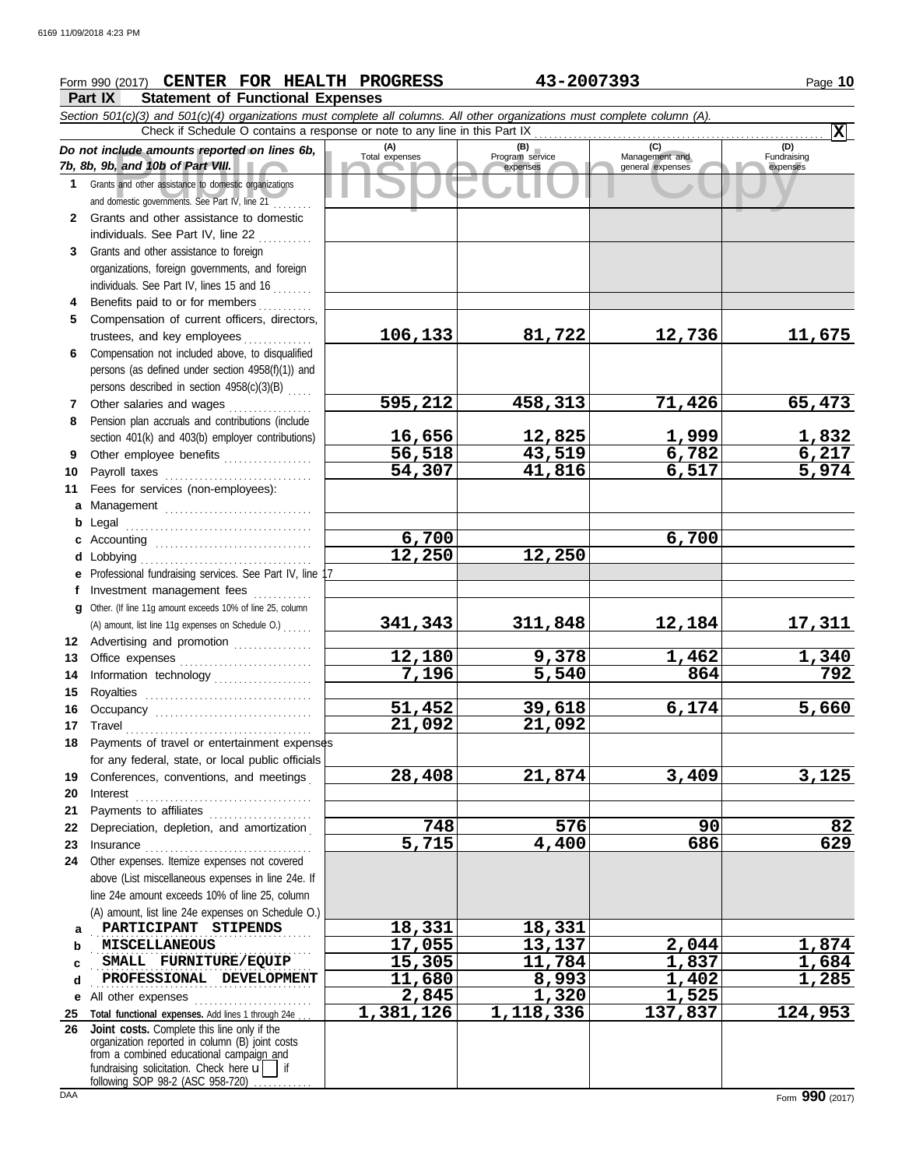# **Form 990 (2017) CENTER FOR HEALTH PROGRESS** 43-2007393 Page 10

**Part IX Statement of Functional Expenses**

|         | Section 501(c)(3) and 501(c)(4) organizations must complete all columns. All other organizations must complete column (A).                                                                                                           |                       |                        |                       |                     |
|---------|--------------------------------------------------------------------------------------------------------------------------------------------------------------------------------------------------------------------------------------|-----------------------|------------------------|-----------------------|---------------------|
|         | Check if Schedule O contains a response or note to any line in this Part IX                                                                                                                                                          |                       |                        |                       | $ \mathbf{x} $      |
|         | Do not include amounts reported on lines 6b,                                                                                                                                                                                         | (A)<br>Total expenses | (B)<br>Program service | (C)<br>Management and | (D)<br>Fundraising  |
|         | 7b, 8b, 9b, and 10b of Part VIII.                                                                                                                                                                                                    |                       | expenses               | general expenses      | expenses            |
| 1.      | Grants and other assistance to domestic organizations<br>and domestic governments. See Part IV, line 21                                                                                                                              |                       |                        |                       |                     |
| 2       | Grants and other assistance to domestic                                                                                                                                                                                              |                       |                        |                       |                     |
|         | individuals. See Part IV, line 22                                                                                                                                                                                                    |                       |                        |                       |                     |
| 3       | Grants and other assistance to foreign                                                                                                                                                                                               |                       |                        |                       |                     |
|         | organizations, foreign governments, and foreign                                                                                                                                                                                      |                       |                        |                       |                     |
|         | individuals. See Part IV, lines 15 and 16                                                                                                                                                                                            |                       |                        |                       |                     |
| 4       | Benefits paid to or for members                                                                                                                                                                                                      |                       |                        |                       |                     |
| 5       | Compensation of current officers, directors,                                                                                                                                                                                         |                       |                        |                       |                     |
|         | trustees, and key employees                                                                                                                                                                                                          | 106,133               | 81,722                 | 12,736                | 11,675              |
| 6       | Compensation not included above, to disqualified                                                                                                                                                                                     |                       |                        |                       |                     |
|         | persons (as defined under section 4958(f)(1)) and                                                                                                                                                                                    |                       |                        |                       |                     |
|         | persons described in section 4958(c)(3)(B)                                                                                                                                                                                           |                       |                        |                       |                     |
| 7       | Other salaries and wages                                                                                                                                                                                                             | 595,212               | 458,313                | 71,426                | 65,473              |
| 8       | Pension plan accruals and contributions (include                                                                                                                                                                                     |                       |                        |                       |                     |
|         | section 401(k) and 403(b) employer contributions)                                                                                                                                                                                    | 16,656                | 12,825                 | <u>1,999</u>          | 1,832<br>6,217      |
| 9       | Other employee benefits                                                                                                                                                                                                              | 56,518                | 43,519                 | 6,782<br>6,517        | $\overline{5,974}$  |
| 10      | Payroll taxes                                                                                                                                                                                                                        | 54,307                | 41,816                 |                       |                     |
| 11      | Fees for services (non-employees):                                                                                                                                                                                                   |                       |                        |                       |                     |
|         | a Management                                                                                                                                                                                                                         |                       |                        |                       |                     |
| b       | Legal                                                                                                                                                                                                                                | 6,700                 |                        | 6,700                 |                     |
| c       | d Lobbying                                                                                                                                                                                                                           | 12,250                | 12,250                 |                       |                     |
|         | e Professional fundraising services. See Part IV, line                                                                                                                                                                               |                       |                        |                       |                     |
| f       | Investment management fees                                                                                                                                                                                                           |                       |                        |                       |                     |
|         | g Other. (If line 11g amount exceeds 10% of line 25, column                                                                                                                                                                          |                       |                        |                       |                     |
|         | (A) amount, list line 11g expenses on Schedule O.)                                                                                                                                                                                   | 341,343               | 311,848                | 12,184                | <u> 17,311 </u>     |
|         | 12 Advertising and promotion                                                                                                                                                                                                         |                       |                        |                       |                     |
| 13      |                                                                                                                                                                                                                                      | 12,180                | 9,378                  | 1,462                 |                     |
| 14      | Information technology                                                                                                                                                                                                               | 7,196                 | 5,540                  | 864                   | $\frac{1,340}{792}$ |
| 15      |                                                                                                                                                                                                                                      |                       |                        |                       |                     |
| 16      |                                                                                                                                                                                                                                      | 51,452                | 39,618                 | 6,174                 | 5,660               |
| 17      | Travel                                                                                                                                                                                                                               | 21,092                | 21,092                 |                       |                     |
| 18      | Payments of travel or entertainment expenses                                                                                                                                                                                         |                       |                        |                       |                     |
|         | for any federal, state, or local public officials                                                                                                                                                                                    |                       |                        |                       |                     |
| 19      | Conferences, conventions, and meetings                                                                                                                                                                                               | 28,408                | 21,874                 | 3,409                 | 3,125               |
| 20      | Interest                                                                                                                                                                                                                             |                       |                        |                       |                     |
| 21      | Payments to affiliates [11] production of the symmetric state of the symmetric state of the symmetric state of the symmetric state of the symmetric state of the symmetric state of the symmetric state of the symmetric state       |                       |                        |                       |                     |
| 22      | Depreciation, depletion, and amortization                                                                                                                                                                                            | 748                   | 576                    | 90                    | 82                  |
| 23      | Insurance <i>manufacture in the continuum of the continuum of the continuum of the continuum of the continuum of the continuum of the continuum of the continuum of the continuum of the continuum of the continuum of the conti</i> | 5,715                 | 4,400                  | 686                   | 629                 |
| 24      | Other expenses. Itemize expenses not covered                                                                                                                                                                                         |                       |                        |                       |                     |
|         | above (List miscellaneous expenses in line 24e. If                                                                                                                                                                                   |                       |                        |                       |                     |
|         | line 24e amount exceeds 10% of line 25, column                                                                                                                                                                                       |                       |                        |                       |                     |
|         | (A) amount, list line 24e expenses on Schedule O.)<br>PARTICIPANT STIPENDS                                                                                                                                                           |                       |                        |                       |                     |
| a       |                                                                                                                                                                                                                                      | 18,331                | 18,331                 |                       |                     |
| b       | <b>MISCELLANEOUS</b><br>SMALL FURNITURE/EQUIP                                                                                                                                                                                        | 17,055<br>15,305      | 13,137<br>11,784       | 2,044<br>1,837        | 1,874<br>1,684      |
| c       | PROFESSIONAL DEVELOPMENT                                                                                                                                                                                                             | 11,680                | 8,993                  | 1,402                 | 1,285               |
| d       | All other expenses                                                                                                                                                                                                                   | 2,845                 | 1,320                  | 1,525                 |                     |
| е<br>25 | Total functional expenses. Add lines 1 through 24e                                                                                                                                                                                   | 1,381,126             | 1,118,336              | 137,837               | 124,953             |
| 26      | Joint costs. Complete this line only if the                                                                                                                                                                                          |                       |                        |                       |                     |
|         | organization reported in column (B) joint costs                                                                                                                                                                                      |                       |                        |                       |                     |
|         | from a combined educational campaign and<br>fundraising solicitation. Check here $\mathbf{u}$                                                                                                                                        |                       |                        |                       |                     |
|         | following SOP 98-2 (ASC 958-720).                                                                                                                                                                                                    |                       |                        |                       |                     |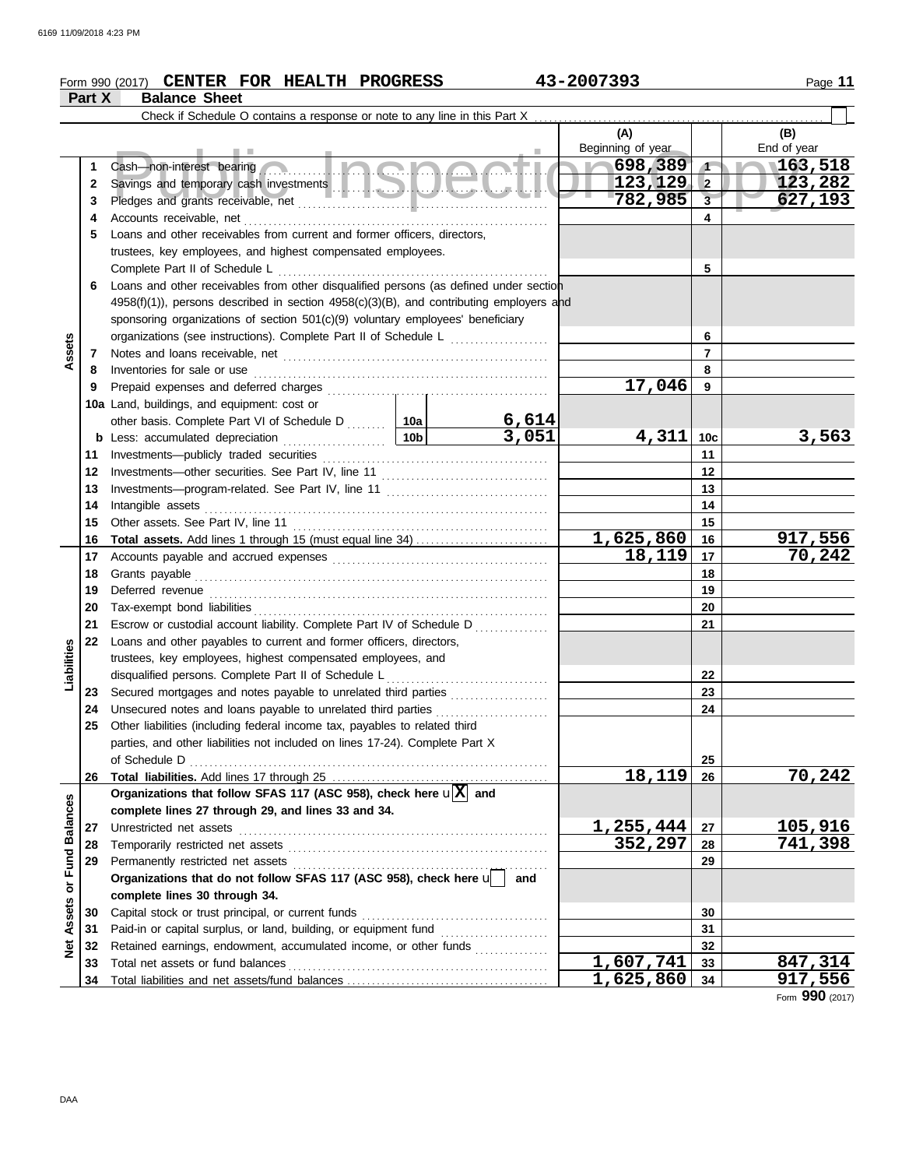# **Form 990 (2017) CENTER FOR HEALTH PROGRESS** 43-2007393 Page 11

|                  | Part X | <b>Balance Sheet</b>                                                                                                                       |                 |       |                   |                 |             |
|------------------|--------|--------------------------------------------------------------------------------------------------------------------------------------------|-----------------|-------|-------------------|-----------------|-------------|
|                  |        | Check if Schedule O contains a response or note to any line in this Part X                                                                 |                 |       |                   |                 |             |
|                  |        |                                                                                                                                            |                 |       | (A)               |                 | (B)         |
|                  |        |                                                                                                                                            |                 |       | Beginning of year |                 | End of year |
|                  | 1      | Cash—non-interest bearing                                                                                                                  |                 |       | $\sim 698,389$    | $\sqrt{1}$      | 163,518     |
|                  | 2      |                                                                                                                                            |                 |       | 123, 129          | $\overline{2}$  | 123,282     |
|                  | 3      |                                                                                                                                            |                 |       | 782,985           | 3 <sup>2</sup>  | 627,193     |
|                  | 4      | Accounts receivable, net                                                                                                                   |                 |       |                   | 4               |             |
|                  | 5      | Loans and other receivables from current and former officers, directors,                                                                   |                 |       |                   |                 |             |
|                  |        | trustees, key employees, and highest compensated employees.                                                                                |                 |       |                   |                 |             |
|                  |        | Complete Part II of Schedule L                                                                                                             |                 |       |                   | 5               |             |
|                  | 6      | Loans and other receivables from other disqualified persons (as defined under section                                                      |                 |       |                   |                 |             |
|                  |        | $4958(f)(1)$ , persons described in section $4958(c)(3)(B)$ , and contributing employers and                                               |                 |       |                   |                 |             |
|                  |        | sponsoring organizations of section 501(c)(9) voluntary employees' beneficiary                                                             |                 |       |                   |                 |             |
|                  |        | organizations (see instructions). Complete Part II of Schedule L                                                                           |                 |       |                   | 6               |             |
| Assets           | 7      |                                                                                                                                            |                 |       |                   | $\overline{7}$  |             |
|                  | 8      | Inventories for sale or use                                                                                                                |                 |       |                   | 8               |             |
|                  | 9      | Prepaid expenses and deferred charges                                                                                                      |                 |       | 17,046            | 9               |             |
|                  |        | 10a Land, buildings, and equipment: cost or                                                                                                |                 |       |                   |                 |             |
|                  |        |                                                                                                                                            |                 | 6,614 |                   |                 |             |
|                  |        | <b>b</b> Less: accumulated depreciation                                                                                                    | 10 <sub>b</sub> | 3,051 | 4,311             | 10 <sub>c</sub> | 3,563       |
|                  | 11     | Investments-publicly traded securities                                                                                                     |                 |       |                   | 11              |             |
|                  | 12     |                                                                                                                                            |                 |       |                   | 12              |             |
|                  | 13     |                                                                                                                                            |                 |       |                   | 13              |             |
|                  | 14     | Intangible assets                                                                                                                          |                 |       |                   | 14              |             |
|                  | 15     | Other assets. See Part IV, line 11                                                                                                         |                 |       |                   | 15              |             |
|                  | 16     | <b>Total assets.</b> Add lines 1 through 15 (must equal line 34)                                                                           |                 |       | 1,625,860         | 16              | 917,556     |
|                  | 17     |                                                                                                                                            |                 |       | 18,119            | 17              | 70,242      |
|                  | 18     | Grants payable                                                                                                                             |                 |       |                   | 18              |             |
|                  | 19     | Deferred revenue                                                                                                                           |                 |       |                   | 19              |             |
|                  | 20     | Tax-exempt bond liabilities                                                                                                                |                 |       |                   | 20              |             |
|                  | 21     | Escrow or custodial account liability. Complete Part IV of Schedule D                                                                      |                 |       |                   | 21              |             |
|                  | 22     | Loans and other payables to current and former officers, directors,                                                                        |                 |       |                   |                 |             |
| Liabilities      |        | trustees, key employees, highest compensated employees, and                                                                                |                 |       |                   |                 |             |
|                  |        | disqualified persons. Complete Part II of Schedule L                                                                                       |                 | .     |                   | 22<br>23        |             |
|                  | 23     | Secured mortgages and notes payable to unrelated third parties                                                                             |                 |       |                   | 24              |             |
|                  | 24     | Unsecured notes and loans payable to unrelated third parties<br>Other liabilities (including federal income tax, payables to related third |                 |       |                   |                 |             |
|                  |        | parties, and other liabilities not included on lines 17-24). Complete Part X                                                               |                 |       |                   |                 |             |
|                  |        | of Schedule D                                                                                                                              |                 |       |                   | 25              |             |
|                  | 26     |                                                                                                                                            |                 |       | 18,119            | 26              | 70,242      |
|                  |        | Organizations that follow SFAS 117 (ASC 958), check here $\mathbf{u}[\mathbf{X}]$ and                                                      |                 |       |                   |                 |             |
|                  |        | complete lines 27 through 29, and lines 33 and 34.                                                                                         |                 |       |                   |                 |             |
|                  | 27     | Unrestricted net assets                                                                                                                    |                 |       | 1,255,444         | 27              | 105,916     |
|                  | 28     | Temporarily restricted net assets                                                                                                          |                 |       | 352,297           | 28              | 741,398     |
| or Fund Balances | 29     | Permanently restricted net assets                                                                                                          |                 |       |                   | 29              |             |
|                  |        | Organizations that do not follow SFAS 117 (ASC 958), check here u                                                                          |                 | and   |                   |                 |             |
|                  |        | complete lines 30 through 34.                                                                                                              |                 |       |                   |                 |             |
| Assets           | 30     | Capital stock or trust principal, or current funds                                                                                         |                 |       |                   | 30              |             |
|                  | 31     |                                                                                                                                            |                 |       |                   | 31              |             |
| <b>Net</b>       | 32     | Retained earnings, endowment, accumulated income, or other funds                                                                           |                 |       |                   | 32              |             |
|                  | 33     | Total net assets or fund balances                                                                                                          |                 |       | 1,607,741         | 33              | 847,314     |
|                  | 34     |                                                                                                                                            |                 |       | <u>1,625,860</u>  | 34              | 917,556     |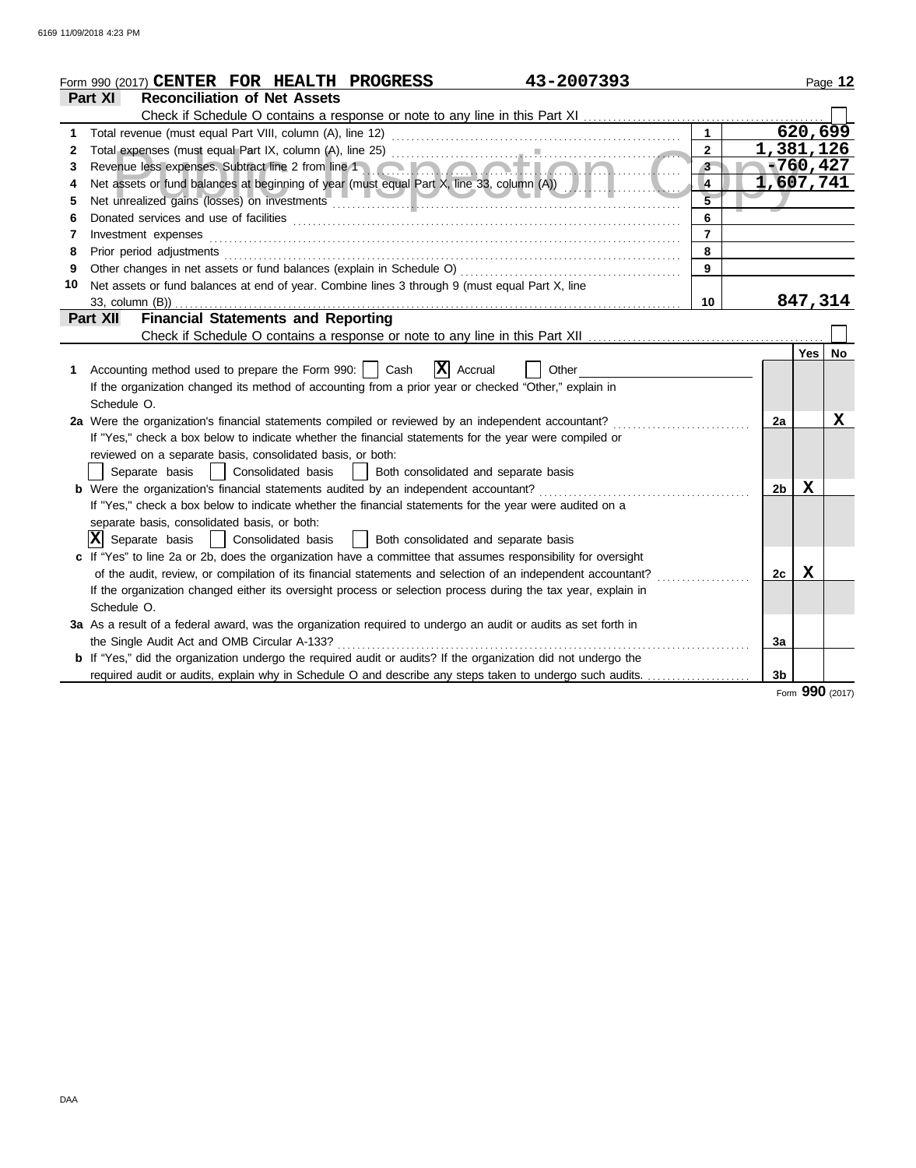| Part XI<br><b>Reconciliation of Net Assets</b><br>620, 699<br>$\mathbf{1}$<br>1<br>1,381,126<br>$\mathbf{2}$<br>2<br><b>TAXABLE</b><br>$-760, 427$<br>$3 -$<br>3<br>1,607,741<br>Net assets or fund balances at beginning of year (must equal Part X, line 33, column (A))<br>4<br>4<br>5<br>6<br>6<br>$\overline{7}$<br>Investment expenses<br>7<br>8<br>Prior period adjustments<br>8<br>Other changes in net assets or fund balances (explain in Schedule O)<br>9<br>9<br>Net assets or fund balances at end of year. Combine lines 3 through 9 (must equal Part X, line<br>10<br>847,314<br>10<br>33, column (B))<br><b>Financial Statements and Reporting</b><br><b>Part XII</b><br><b>Yes</b><br>$ \mathbf{X} $ Accrual<br>Accounting method used to prepare the Form 990:     Cash<br>Other<br>1.<br>If the organization changed its method of accounting from a prior year or checked "Other," explain in<br>Schedule O.<br>x<br>2a Were the organization's financial statements compiled or reviewed by an independent accountant?<br>2a<br>If "Yes," check a box below to indicate whether the financial statements for the year were compiled or<br>reviewed on a separate basis, consolidated basis, or both:<br>  Consolidated basis<br>  Both consolidated and separate basis<br>Separate basis<br>X<br><b>b</b> Were the organization's financial statements audited by an independent accountant?<br>2 <sub>b</sub><br>If "Yes," check a box below to indicate whether the financial statements for the year were audited on a<br>separate basis, consolidated basis, or both:<br>$ \mathbf{X} $ Separate basis<br>  Consolidated basis<br>  Both consolidated and separate basis<br>c If "Yes" to line 2a or 2b, does the organization have a committee that assumes responsibility for oversight<br>Х<br>of the audit, review, or compilation of its financial statements and selection of an independent accountant?<br>2c<br>If the organization changed either its oversight process or selection process during the tax year, explain in<br>Schedule O. | 43-2007393<br>Form 990 (2017) CENTER FOR HEALTH PROGRESS                                                       |  |  | Page 12   |
|-------------------------------------------------------------------------------------------------------------------------------------------------------------------------------------------------------------------------------------------------------------------------------------------------------------------------------------------------------------------------------------------------------------------------------------------------------------------------------------------------------------------------------------------------------------------------------------------------------------------------------------------------------------------------------------------------------------------------------------------------------------------------------------------------------------------------------------------------------------------------------------------------------------------------------------------------------------------------------------------------------------------------------------------------------------------------------------------------------------------------------------------------------------------------------------------------------------------------------------------------------------------------------------------------------------------------------------------------------------------------------------------------------------------------------------------------------------------------------------------------------------------------------------------------------------------------------------------------------------------------------------------------------------------------------------------------------------------------------------------------------------------------------------------------------------------------------------------------------------------------------------------------------------------------------------------------------------------------------------------------------------------------------------------------------------------------------|----------------------------------------------------------------------------------------------------------------|--|--|-----------|
|                                                                                                                                                                                                                                                                                                                                                                                                                                                                                                                                                                                                                                                                                                                                                                                                                                                                                                                                                                                                                                                                                                                                                                                                                                                                                                                                                                                                                                                                                                                                                                                                                                                                                                                                                                                                                                                                                                                                                                                                                                                                               |                                                                                                                |  |  |           |
|                                                                                                                                                                                                                                                                                                                                                                                                                                                                                                                                                                                                                                                                                                                                                                                                                                                                                                                                                                                                                                                                                                                                                                                                                                                                                                                                                                                                                                                                                                                                                                                                                                                                                                                                                                                                                                                                                                                                                                                                                                                                               |                                                                                                                |  |  |           |
|                                                                                                                                                                                                                                                                                                                                                                                                                                                                                                                                                                                                                                                                                                                                                                                                                                                                                                                                                                                                                                                                                                                                                                                                                                                                                                                                                                                                                                                                                                                                                                                                                                                                                                                                                                                                                                                                                                                                                                                                                                                                               |                                                                                                                |  |  |           |
|                                                                                                                                                                                                                                                                                                                                                                                                                                                                                                                                                                                                                                                                                                                                                                                                                                                                                                                                                                                                                                                                                                                                                                                                                                                                                                                                                                                                                                                                                                                                                                                                                                                                                                                                                                                                                                                                                                                                                                                                                                                                               |                                                                                                                |  |  |           |
|                                                                                                                                                                                                                                                                                                                                                                                                                                                                                                                                                                                                                                                                                                                                                                                                                                                                                                                                                                                                                                                                                                                                                                                                                                                                                                                                                                                                                                                                                                                                                                                                                                                                                                                                                                                                                                                                                                                                                                                                                                                                               |                                                                                                                |  |  |           |
|                                                                                                                                                                                                                                                                                                                                                                                                                                                                                                                                                                                                                                                                                                                                                                                                                                                                                                                                                                                                                                                                                                                                                                                                                                                                                                                                                                                                                                                                                                                                                                                                                                                                                                                                                                                                                                                                                                                                                                                                                                                                               |                                                                                                                |  |  |           |
|                                                                                                                                                                                                                                                                                                                                                                                                                                                                                                                                                                                                                                                                                                                                                                                                                                                                                                                                                                                                                                                                                                                                                                                                                                                                                                                                                                                                                                                                                                                                                                                                                                                                                                                                                                                                                                                                                                                                                                                                                                                                               |                                                                                                                |  |  |           |
|                                                                                                                                                                                                                                                                                                                                                                                                                                                                                                                                                                                                                                                                                                                                                                                                                                                                                                                                                                                                                                                                                                                                                                                                                                                                                                                                                                                                                                                                                                                                                                                                                                                                                                                                                                                                                                                                                                                                                                                                                                                                               |                                                                                                                |  |  |           |
|                                                                                                                                                                                                                                                                                                                                                                                                                                                                                                                                                                                                                                                                                                                                                                                                                                                                                                                                                                                                                                                                                                                                                                                                                                                                                                                                                                                                                                                                                                                                                                                                                                                                                                                                                                                                                                                                                                                                                                                                                                                                               |                                                                                                                |  |  |           |
|                                                                                                                                                                                                                                                                                                                                                                                                                                                                                                                                                                                                                                                                                                                                                                                                                                                                                                                                                                                                                                                                                                                                                                                                                                                                                                                                                                                                                                                                                                                                                                                                                                                                                                                                                                                                                                                                                                                                                                                                                                                                               |                                                                                                                |  |  |           |
|                                                                                                                                                                                                                                                                                                                                                                                                                                                                                                                                                                                                                                                                                                                                                                                                                                                                                                                                                                                                                                                                                                                                                                                                                                                                                                                                                                                                                                                                                                                                                                                                                                                                                                                                                                                                                                                                                                                                                                                                                                                                               |                                                                                                                |  |  |           |
|                                                                                                                                                                                                                                                                                                                                                                                                                                                                                                                                                                                                                                                                                                                                                                                                                                                                                                                                                                                                                                                                                                                                                                                                                                                                                                                                                                                                                                                                                                                                                                                                                                                                                                                                                                                                                                                                                                                                                                                                                                                                               |                                                                                                                |  |  |           |
|                                                                                                                                                                                                                                                                                                                                                                                                                                                                                                                                                                                                                                                                                                                                                                                                                                                                                                                                                                                                                                                                                                                                                                                                                                                                                                                                                                                                                                                                                                                                                                                                                                                                                                                                                                                                                                                                                                                                                                                                                                                                               |                                                                                                                |  |  |           |
|                                                                                                                                                                                                                                                                                                                                                                                                                                                                                                                                                                                                                                                                                                                                                                                                                                                                                                                                                                                                                                                                                                                                                                                                                                                                                                                                                                                                                                                                                                                                                                                                                                                                                                                                                                                                                                                                                                                                                                                                                                                                               |                                                                                                                |  |  |           |
|                                                                                                                                                                                                                                                                                                                                                                                                                                                                                                                                                                                                                                                                                                                                                                                                                                                                                                                                                                                                                                                                                                                                                                                                                                                                                                                                                                                                                                                                                                                                                                                                                                                                                                                                                                                                                                                                                                                                                                                                                                                                               |                                                                                                                |  |  |           |
|                                                                                                                                                                                                                                                                                                                                                                                                                                                                                                                                                                                                                                                                                                                                                                                                                                                                                                                                                                                                                                                                                                                                                                                                                                                                                                                                                                                                                                                                                                                                                                                                                                                                                                                                                                                                                                                                                                                                                                                                                                                                               |                                                                                                                |  |  | <b>No</b> |
|                                                                                                                                                                                                                                                                                                                                                                                                                                                                                                                                                                                                                                                                                                                                                                                                                                                                                                                                                                                                                                                                                                                                                                                                                                                                                                                                                                                                                                                                                                                                                                                                                                                                                                                                                                                                                                                                                                                                                                                                                                                                               |                                                                                                                |  |  |           |
|                                                                                                                                                                                                                                                                                                                                                                                                                                                                                                                                                                                                                                                                                                                                                                                                                                                                                                                                                                                                                                                                                                                                                                                                                                                                                                                                                                                                                                                                                                                                                                                                                                                                                                                                                                                                                                                                                                                                                                                                                                                                               |                                                                                                                |  |  |           |
|                                                                                                                                                                                                                                                                                                                                                                                                                                                                                                                                                                                                                                                                                                                                                                                                                                                                                                                                                                                                                                                                                                                                                                                                                                                                                                                                                                                                                                                                                                                                                                                                                                                                                                                                                                                                                                                                                                                                                                                                                                                                               |                                                                                                                |  |  |           |
|                                                                                                                                                                                                                                                                                                                                                                                                                                                                                                                                                                                                                                                                                                                                                                                                                                                                                                                                                                                                                                                                                                                                                                                                                                                                                                                                                                                                                                                                                                                                                                                                                                                                                                                                                                                                                                                                                                                                                                                                                                                                               |                                                                                                                |  |  |           |
|                                                                                                                                                                                                                                                                                                                                                                                                                                                                                                                                                                                                                                                                                                                                                                                                                                                                                                                                                                                                                                                                                                                                                                                                                                                                                                                                                                                                                                                                                                                                                                                                                                                                                                                                                                                                                                                                                                                                                                                                                                                                               |                                                                                                                |  |  |           |
|                                                                                                                                                                                                                                                                                                                                                                                                                                                                                                                                                                                                                                                                                                                                                                                                                                                                                                                                                                                                                                                                                                                                                                                                                                                                                                                                                                                                                                                                                                                                                                                                                                                                                                                                                                                                                                                                                                                                                                                                                                                                               |                                                                                                                |  |  |           |
|                                                                                                                                                                                                                                                                                                                                                                                                                                                                                                                                                                                                                                                                                                                                                                                                                                                                                                                                                                                                                                                                                                                                                                                                                                                                                                                                                                                                                                                                                                                                                                                                                                                                                                                                                                                                                                                                                                                                                                                                                                                                               |                                                                                                                |  |  |           |
|                                                                                                                                                                                                                                                                                                                                                                                                                                                                                                                                                                                                                                                                                                                                                                                                                                                                                                                                                                                                                                                                                                                                                                                                                                                                                                                                                                                                                                                                                                                                                                                                                                                                                                                                                                                                                                                                                                                                                                                                                                                                               |                                                                                                                |  |  |           |
|                                                                                                                                                                                                                                                                                                                                                                                                                                                                                                                                                                                                                                                                                                                                                                                                                                                                                                                                                                                                                                                                                                                                                                                                                                                                                                                                                                                                                                                                                                                                                                                                                                                                                                                                                                                                                                                                                                                                                                                                                                                                               |                                                                                                                |  |  |           |
|                                                                                                                                                                                                                                                                                                                                                                                                                                                                                                                                                                                                                                                                                                                                                                                                                                                                                                                                                                                                                                                                                                                                                                                                                                                                                                                                                                                                                                                                                                                                                                                                                                                                                                                                                                                                                                                                                                                                                                                                                                                                               |                                                                                                                |  |  |           |
|                                                                                                                                                                                                                                                                                                                                                                                                                                                                                                                                                                                                                                                                                                                                                                                                                                                                                                                                                                                                                                                                                                                                                                                                                                                                                                                                                                                                                                                                                                                                                                                                                                                                                                                                                                                                                                                                                                                                                                                                                                                                               |                                                                                                                |  |  |           |
|                                                                                                                                                                                                                                                                                                                                                                                                                                                                                                                                                                                                                                                                                                                                                                                                                                                                                                                                                                                                                                                                                                                                                                                                                                                                                                                                                                                                                                                                                                                                                                                                                                                                                                                                                                                                                                                                                                                                                                                                                                                                               |                                                                                                                |  |  |           |
|                                                                                                                                                                                                                                                                                                                                                                                                                                                                                                                                                                                                                                                                                                                                                                                                                                                                                                                                                                                                                                                                                                                                                                                                                                                                                                                                                                                                                                                                                                                                                                                                                                                                                                                                                                                                                                                                                                                                                                                                                                                                               |                                                                                                                |  |  |           |
|                                                                                                                                                                                                                                                                                                                                                                                                                                                                                                                                                                                                                                                                                                                                                                                                                                                                                                                                                                                                                                                                                                                                                                                                                                                                                                                                                                                                                                                                                                                                                                                                                                                                                                                                                                                                                                                                                                                                                                                                                                                                               |                                                                                                                |  |  |           |
|                                                                                                                                                                                                                                                                                                                                                                                                                                                                                                                                                                                                                                                                                                                                                                                                                                                                                                                                                                                                                                                                                                                                                                                                                                                                                                                                                                                                                                                                                                                                                                                                                                                                                                                                                                                                                                                                                                                                                                                                                                                                               | 3a As a result of a federal award, was the organization required to undergo an audit or audits as set forth in |  |  |           |
| the Single Audit Act and OMB Circular A-133?<br>3a                                                                                                                                                                                                                                                                                                                                                                                                                                                                                                                                                                                                                                                                                                                                                                                                                                                                                                                                                                                                                                                                                                                                                                                                                                                                                                                                                                                                                                                                                                                                                                                                                                                                                                                                                                                                                                                                                                                                                                                                                            |                                                                                                                |  |  |           |
| b If "Yes," did the organization undergo the required audit or audits? If the organization did not undergo the                                                                                                                                                                                                                                                                                                                                                                                                                                                                                                                                                                                                                                                                                                                                                                                                                                                                                                                                                                                                                                                                                                                                                                                                                                                                                                                                                                                                                                                                                                                                                                                                                                                                                                                                                                                                                                                                                                                                                                |                                                                                                                |  |  |           |
| required audit or audits, explain why in Schedule O and describe any steps taken to undergo such audits.<br>3 <sub>b</sub>                                                                                                                                                                                                                                                                                                                                                                                                                                                                                                                                                                                                                                                                                                                                                                                                                                                                                                                                                                                                                                                                                                                                                                                                                                                                                                                                                                                                                                                                                                                                                                                                                                                                                                                                                                                                                                                                                                                                                    |                                                                                                                |  |  |           |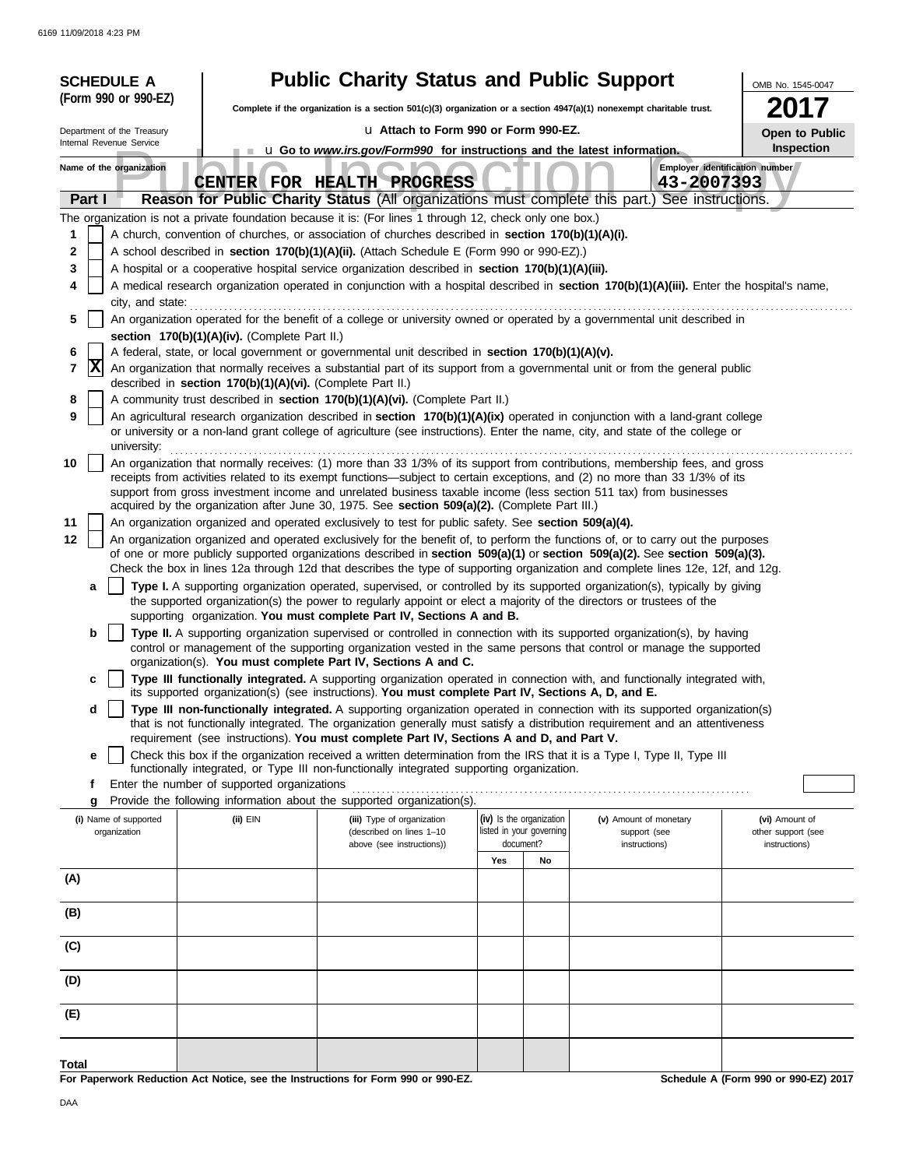| <b>SCHEDULE A</b>                                                   |                                                            | <b>Public Charity Status and Public Support</b>                                                                                                                                                                                                                 |                                       |    |                               | OMB No. 1545-0047                    |
|---------------------------------------------------------------------|------------------------------------------------------------|-----------------------------------------------------------------------------------------------------------------------------------------------------------------------------------------------------------------------------------------------------------------|---------------------------------------|----|-------------------------------|--------------------------------------|
| (Form 990 or 990-EZ)                                                |                                                            | Complete if the organization is a section $501(c)(3)$ organization or a section $4947(a)(1)$ nonexempt charitable trust.                                                                                                                                        |                                       |    |                               |                                      |
| La Attach to Form 990 or Form 990-EZ.<br>Department of the Treasury |                                                            |                                                                                                                                                                                                                                                                 | Open to Public                        |    |                               |                                      |
| Internal Revenue Service                                            |                                                            | <b>u</b> Go to <i>www.irs.gov/Form990</i> for instructions and the latest information.                                                                                                                                                                          |                                       |    |                               | Inspection                           |
| Name of the organization                                            |                                                            | CENTER FOR HEALTH PROGRESS                                                                                                                                                                                                                                      |                                       |    | 43-2007393                    | Employer identification number       |
| Part I                                                              |                                                            | Reason for Public Charity Status (All organizations must complete this part.) See instructions.                                                                                                                                                                 |                                       |    |                               |                                      |
|                                                                     |                                                            | The organization is not a private foundation because it is: (For lines 1 through 12, check only one box.)                                                                                                                                                       |                                       |    |                               |                                      |
| 1                                                                   |                                                            | A church, convention of churches, or association of churches described in section 170(b)(1)(A)(i).                                                                                                                                                              |                                       |    |                               |                                      |
| 2<br>3                                                              |                                                            | A school described in section 170(b)(1)(A)(ii). (Attach Schedule E (Form 990 or 990-EZ).)<br>A hospital or a cooperative hospital service organization described in section 170(b)(1)(A)(iii).                                                                  |                                       |    |                               |                                      |
| 4                                                                   |                                                            | A medical research organization operated in conjunction with a hospital described in section 170(b)(1)(A)(iii). Enter the hospital's name,                                                                                                                      |                                       |    |                               |                                      |
| city, and state:                                                    |                                                            |                                                                                                                                                                                                                                                                 |                                       |    |                               |                                      |
| 5                                                                   |                                                            | An organization operated for the benefit of a college or university owned or operated by a governmental unit described in                                                                                                                                       |                                       |    |                               |                                      |
|                                                                     | section 170(b)(1)(A)(iv). (Complete Part II.)              |                                                                                                                                                                                                                                                                 |                                       |    |                               |                                      |
| 6<br> X<br>7                                                        |                                                            | A federal, state, or local government or governmental unit described in section 170(b)(1)(A)(v).<br>An organization that normally receives a substantial part of its support from a governmental unit or from the general public                                |                                       |    |                               |                                      |
|                                                                     | described in section 170(b)(1)(A)(vi). (Complete Part II.) |                                                                                                                                                                                                                                                                 |                                       |    |                               |                                      |
| 8                                                                   |                                                            | A community trust described in section 170(b)(1)(A)(vi). (Complete Part II.)                                                                                                                                                                                    |                                       |    |                               |                                      |
| 9<br>university:                                                    |                                                            | An agricultural research organization described in section 170(b)(1)(A)(ix) operated in conjunction with a land-grant college<br>or university or a non-land grant college of agriculture (see instructions). Enter the name, city, and state of the college or |                                       |    |                               |                                      |
| 10                                                                  |                                                            | An organization that normally receives: (1) more than 33 1/3% of its support from contributions, membership fees, and gross<br>receipts from activities related to its exempt functions—subject to certain exceptions, and (2) no more than 33 1/3% of its      |                                       |    |                               |                                      |
|                                                                     |                                                            | support from gross investment income and unrelated business taxable income (less section 511 tax) from businesses                                                                                                                                               |                                       |    |                               |                                      |
| 11                                                                  |                                                            | acquired by the organization after June 30, 1975. See section 509(a)(2). (Complete Part III.)<br>An organization organized and operated exclusively to test for public safety. See section 509(a)(4).                                                           |                                       |    |                               |                                      |
| 12                                                                  |                                                            | An organization organized and operated exclusively for the benefit of, to perform the functions of, or to carry out the purposes                                                                                                                                |                                       |    |                               |                                      |
|                                                                     |                                                            | of one or more publicly supported organizations described in section 509(a)(1) or section 509(a)(2). See section 509(a)(3).                                                                                                                                     |                                       |    |                               |                                      |
|                                                                     |                                                            | Check the box in lines 12a through 12d that describes the type of supporting organization and complete lines 12e, 12f, and 12g.                                                                                                                                 |                                       |    |                               |                                      |
| a                                                                   |                                                            | Type I. A supporting organization operated, supervised, or controlled by its supported organization(s), typically by giving<br>the supported organization(s) the power to regularly appoint or elect a majority of the directors or trustees of the             |                                       |    |                               |                                      |
|                                                                     |                                                            | supporting organization. You must complete Part IV, Sections A and B.                                                                                                                                                                                           |                                       |    |                               |                                      |
| b                                                                   |                                                            | Type II. A supporting organization supervised or controlled in connection with its supported organization(s), by having<br>control or management of the supporting organization vested in the same persons that control or manage the supported                 |                                       |    |                               |                                      |
| c                                                                   |                                                            | organization(s). You must complete Part IV, Sections A and C.<br>Type III functionally integrated. A supporting organization operated in connection with, and functionally integrated with,                                                                     |                                       |    |                               |                                      |
|                                                                     |                                                            | its supported organization(s) (see instructions). You must complete Part IV, Sections A, D, and E.                                                                                                                                                              |                                       |    |                               |                                      |
| d                                                                   |                                                            | Type III non-functionally integrated. A supporting organization operated in connection with its supported organization(s)<br>that is not functionally integrated. The organization generally must satisfy a distribution requirement and an attentiveness       |                                       |    |                               |                                      |
|                                                                     |                                                            | requirement (see instructions). You must complete Part IV, Sections A and D, and Part V.                                                                                                                                                                        |                                       |    |                               |                                      |
| e                                                                   |                                                            | Check this box if the organization received a written determination from the IRS that it is a Type I, Type II, Type III                                                                                                                                         |                                       |    |                               |                                      |
| f                                                                   | Enter the number of supported organizations                | functionally integrated, or Type III non-functionally integrated supporting organization.                                                                                                                                                                       |                                       |    |                               |                                      |
| g                                                                   |                                                            | Provide the following information about the supported organization(s).                                                                                                                                                                                          |                                       |    |                               |                                      |
| (i) Name of supported                                               | $(ii)$ EIN                                                 | (iii) Type of organization                                                                                                                                                                                                                                      | (iv) Is the organization              |    | (v) Amount of monetary        | (vi) Amount of                       |
| organization                                                        |                                                            | (described on lines 1-10<br>above (see instructions))                                                                                                                                                                                                           | listed in your governing<br>document? |    | support (see<br>instructions) | other support (see<br>instructions)  |
|                                                                     |                                                            |                                                                                                                                                                                                                                                                 | Yes                                   | No |                               |                                      |
| (A)                                                                 |                                                            |                                                                                                                                                                                                                                                                 |                                       |    |                               |                                      |
| (B)                                                                 |                                                            |                                                                                                                                                                                                                                                                 |                                       |    |                               |                                      |
| (C)                                                                 |                                                            |                                                                                                                                                                                                                                                                 |                                       |    |                               |                                      |
| (D)                                                                 |                                                            |                                                                                                                                                                                                                                                                 |                                       |    |                               |                                      |
| (E)                                                                 |                                                            |                                                                                                                                                                                                                                                                 |                                       |    |                               |                                      |
|                                                                     |                                                            |                                                                                                                                                                                                                                                                 |                                       |    |                               |                                      |
| Total                                                               |                                                            |                                                                                                                                                                                                                                                                 |                                       |    |                               |                                      |
|                                                                     |                                                            | For Paperwork Reduction Act Notice, see the Instructions for Form 990 or 990-EZ.                                                                                                                                                                                |                                       |    |                               | Schedule A (Form 990 or 990-EZ) 2017 |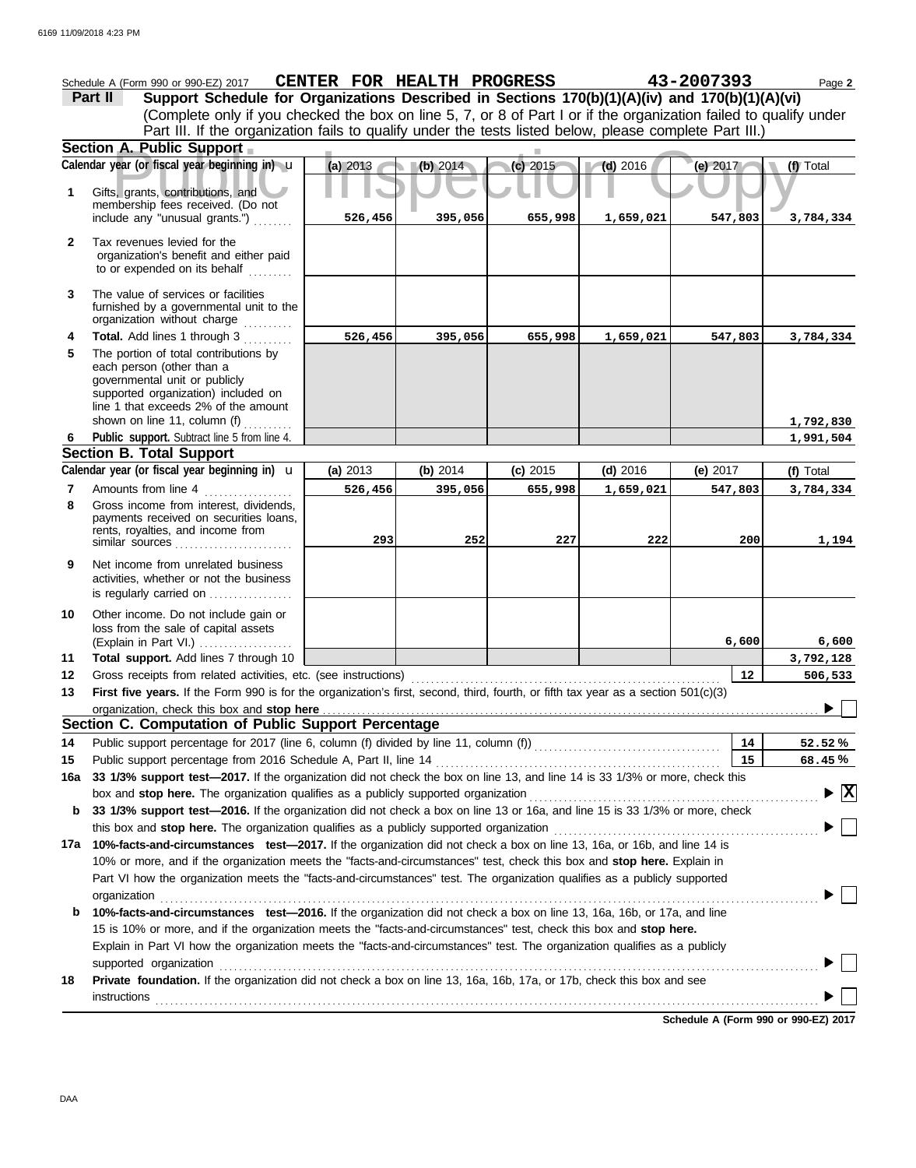|              | Schedule A (Form 990 or 990-EZ) 2017                                                                                                                                                                                         | CENTER FOR HEALTH PROGRESS |          |            |            | 43-2007393 | Page 2                                 |
|--------------|------------------------------------------------------------------------------------------------------------------------------------------------------------------------------------------------------------------------------|----------------------------|----------|------------|------------|------------|----------------------------------------|
|              | Support Schedule for Organizations Described in Sections 170(b)(1)(A)(iv) and 170(b)(1)(A)(vi)<br>Part II                                                                                                                    |                            |          |            |            |            |                                        |
|              | (Complete only if you checked the box on line 5, 7, or 8 of Part I or if the organization failed to qualify under<br>Part III. If the organization fails to qualify under the tests listed below, please complete Part III.) |                            |          |            |            |            |                                        |
|              |                                                                                                                                                                                                                              |                            |          |            |            |            |                                        |
|              | Section A. Public Support                                                                                                                                                                                                    |                            |          |            |            |            |                                        |
|              | Calendar year (or fiscal year beginning in) u                                                                                                                                                                                | (a) 2013                   | (b) 2014 | (c) 2015   | $(d)$ 2016 | (e) 2017   | (f) Total                              |
| 1            | Gifts, grants, contributions, and<br>membership fees received. (Do not                                                                                                                                                       |                            |          |            |            |            |                                        |
|              | include any "unusual grants.")                                                                                                                                                                                               | 526,456                    | 395,056  | 655,998    | 1,659,021  | 547,803    | 3,784,334                              |
| $\mathbf{2}$ | Tax revenues levied for the<br>organization's benefit and either paid<br>to or expended on its behalf                                                                                                                        |                            |          |            |            |            |                                        |
| 3            | The value of services or facilities<br>furnished by a governmental unit to the<br>organization without charge                                                                                                                |                            |          |            |            |            |                                        |
| 4            | Total. Add lines 1 through 3                                                                                                                                                                                                 | 526,456                    | 395,056  | 655,998    | 1,659,021  | 547,803    | 3,784,334                              |
| 5            | The portion of total contributions by<br>each person (other than a<br>governmental unit or publicly<br>supported organization) included on<br>line 1 that exceeds 2% of the amount<br>shown on line 11, column (f)           |                            |          |            |            |            | 1,792,830                              |
| 6            | Public support. Subtract line 5 from line 4.                                                                                                                                                                                 |                            |          |            |            |            | 1,991,504                              |
|              | <b>Section B. Total Support</b>                                                                                                                                                                                              |                            |          |            |            |            |                                        |
|              | Calendar year (or fiscal year beginning in) $\mathbf u$                                                                                                                                                                      | (a) 2013                   | (b) 2014 | $(c)$ 2015 | $(d)$ 2016 | (e) $2017$ | (f) Total                              |
| 7            | Amounts from line 4                                                                                                                                                                                                          | 526,456                    | 395,056  | 655,998    | 1,659,021  | 547,803    | 3,784,334                              |
| 8            | Gross income from interest, dividends,<br>payments received on securities loans,<br>rents, royalties, and income from                                                                                                        | 293                        | 252      | 227        | 222        | 200        | 1,194                                  |
| 9            | Net income from unrelated business<br>activities, whether or not the business<br>is regularly carried on                                                                                                                     |                            |          |            |            |            |                                        |
| 10           | Other income. Do not include gain or<br>loss from the sale of capital assets<br>(Explain in Part VI.)                                                                                                                        |                            |          |            |            | 6,600      | 6,600                                  |
| 11           | Total support. Add lines 7 through 10                                                                                                                                                                                        |                            |          |            |            |            | 3,792,128                              |
| 12           | Gross receipts from related activities, etc. (see instructions)                                                                                                                                                              |                            |          |            |            | 12         | 506,533                                |
| 13           | First five years. If the Form 990 is for the organization's first, second, third, fourth, or fifth tax year as a section 501(c)(3)                                                                                           |                            |          |            |            |            | $\overline{\phantom{a}}$               |
|              | Section C. Computation of Public Support Percentage                                                                                                                                                                          |                            |          |            |            |            |                                        |
| 14           |                                                                                                                                                                                                                              |                            |          |            |            | 14         | 52.52%                                 |
| 15           | Public support percentage from 2016 Schedule A, Part II, line 14                                                                                                                                                             |                            |          |            |            | 15         | 68.45%                                 |
| 16a          | 33 1/3% support test-2017. If the organization did not check the box on line 13, and line 14 is 33 1/3% or more, check this                                                                                                  |                            |          |            |            |            |                                        |
|              | box and stop here. The organization qualifies as a publicly supported organization                                                                                                                                           |                            |          |            |            |            | $\blacktriangleright \boxed{\text{X}}$ |
| b            | 33 1/3% support test-2016. If the organization did not check a box on line 13 or 16a, and line 15 is 33 1/3% or more, check                                                                                                  |                            |          |            |            |            |                                        |
|              | this box and stop here. The organization qualifies as a publicly supported organization                                                                                                                                      |                            |          |            |            |            |                                        |
|              | 17a 10%-facts-and-circumstances test-2017. If the organization did not check a box on line 13, 16a, or 16b, and line 14 is                                                                                                   |                            |          |            |            |            |                                        |
|              | 10% or more, and if the organization meets the "facts-and-circumstances" test, check this box and stop here. Explain in                                                                                                      |                            |          |            |            |            |                                        |
|              | Part VI how the organization meets the "facts-and-circumstances" test. The organization qualifies as a publicly supported                                                                                                    |                            |          |            |            |            |                                        |
|              | organization                                                                                                                                                                                                                 |                            |          |            |            |            |                                        |
| b            | 10%-facts-and-circumstances test-2016. If the organization did not check a box on line 13, 16a, 16b, or 17a, and line                                                                                                        |                            |          |            |            |            |                                        |
|              | 15 is 10% or more, and if the organization meets the "facts-and-circumstances" test, check this box and stop here.                                                                                                           |                            |          |            |            |            |                                        |
|              | Explain in Part VI how the organization meets the "facts-and-circumstances" test. The organization qualifies as a publicly                                                                                                   |                            |          |            |            |            |                                        |
| 18           | supported organization<br>Private foundation. If the organization did not check a box on line 13, 16a, 16b, 17a, or 17b, check this box and see                                                                              |                            |          |            |            |            |                                        |
|              | <b>instructions</b>                                                                                                                                                                                                          |                            |          |            |            |            |                                        |
|              |                                                                                                                                                                                                                              |                            |          |            |            |            |                                        |

**Schedule A (Form 990 or 990-EZ) 2017**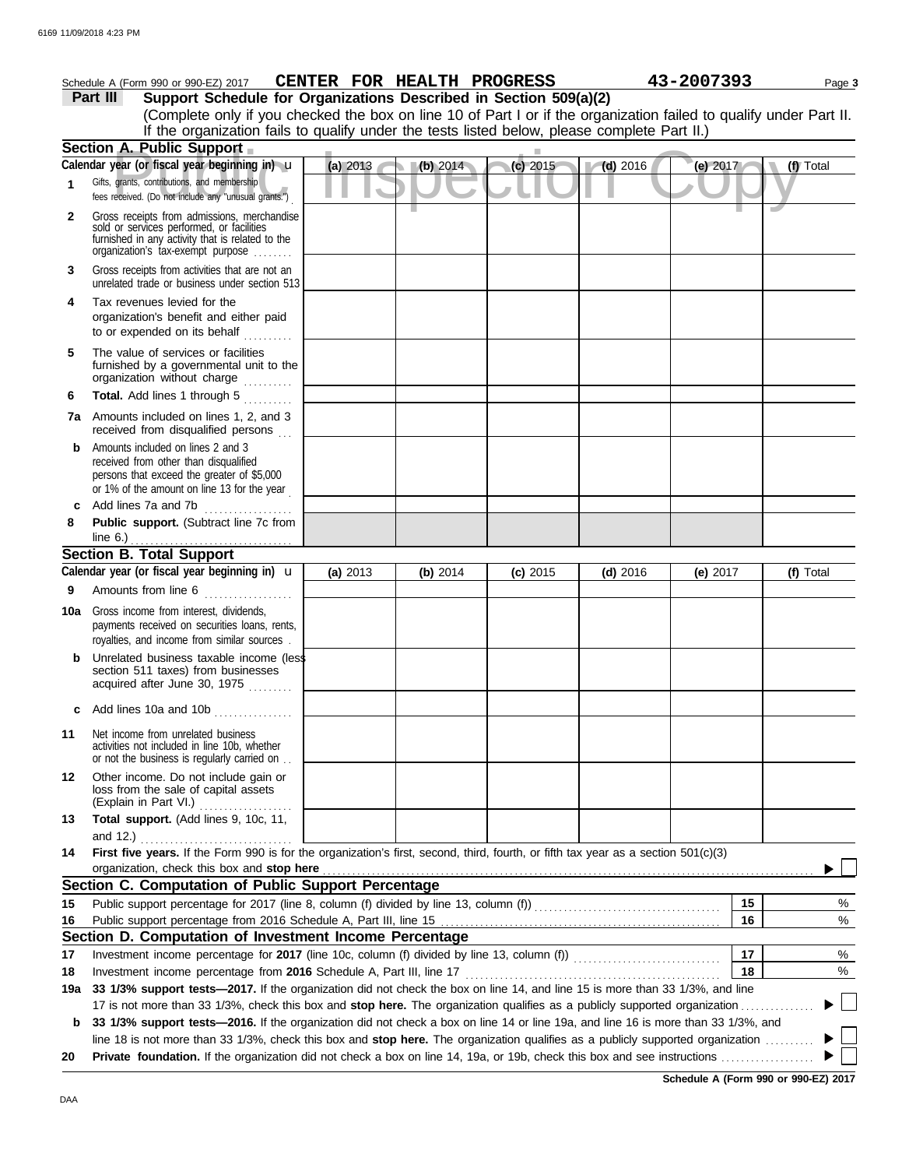|     | Schedule A (Form 990 or 990-EZ) 2017                                                                                                                                              | CENTER FOR HEALTH PROGRESS |            |            |            | 43-2007393 | Page 3    |
|-----|-----------------------------------------------------------------------------------------------------------------------------------------------------------------------------------|----------------------------|------------|------------|------------|------------|-----------|
|     | Support Schedule for Organizations Described in Section 509(a)(2)<br>Part III                                                                                                     |                            |            |            |            |            |           |
|     | (Complete only if you checked the box on line 10 of Part I or if the organization failed to qualify under Part II.                                                                |                            |            |            |            |            |           |
|     | If the organization fails to qualify under the tests listed below, please complete Part II.)                                                                                      |                            |            |            |            |            |           |
|     | Section A. Public Support                                                                                                                                                         |                            |            |            |            |            |           |
|     | Calendar year (or fiscal year beginning in) u                                                                                                                                     | (a) 2013                   | (b) 2014   | $(c)$ 2015 | $(d)$ 2016 | (e) 2017   | (f) Total |
|     | Gifts, grants, contributions, and membership<br>fees received. (Do not include any "unusual grants.")                                                                             |                            |            |            |            |            |           |
| 2   | Gross receipts from admissions, merchandise<br>sold or services performed, or facilities<br>furnished in any activity that is related to the<br>organization's tax-exempt purpose |                            |            |            |            |            |           |
| 3   | Gross receipts from activities that are not an<br>unrelated trade or business under section 513                                                                                   |                            |            |            |            |            |           |
| 4   | Tax revenues levied for the<br>organization's benefit and either paid<br>to or expended on its behalf                                                                             |                            |            |            |            |            |           |
| 5   | The value of services or facilities<br>furnished by a governmental unit to the<br>organization without charge                                                                     |                            |            |            |            |            |           |
| 6   | Total. Add lines 1 through 5                                                                                                                                                      |                            |            |            |            |            |           |
|     | <b>7a</b> Amounts included on lines 1, 2, and 3<br>received from disqualified persons                                                                                             |                            |            |            |            |            |           |
| b   | Amounts included on lines 2 and 3<br>received from other than disqualified<br>persons that exceed the greater of \$5,000<br>or 1% of the amount on line 13 for the year           |                            |            |            |            |            |           |
| c   | Add lines 7a and 7b<br>.                                                                                                                                                          |                            |            |            |            |            |           |
| 8   | Public support. (Subtract line 7c from                                                                                                                                            |                            |            |            |            |            |           |
|     | line $6.$ )                                                                                                                                                                       |                            |            |            |            |            |           |
|     | <b>Section B. Total Support</b>                                                                                                                                                   |                            |            |            |            |            |           |
|     | Calendar year (or fiscal year beginning in) <b>u</b>                                                                                                                              | (a) 2013                   | (b) $2014$ | $(c)$ 2015 | $(d)$ 2016 | (e) $2017$ | (f) Total |
| 9   | Amounts from line 6                                                                                                                                                               |                            |            |            |            |            |           |
| 10a | Gross income from interest, dividends,<br>payments received on securities loans, rents,<br>royalties, and income from similar sources.                                            |                            |            |            |            |            |           |
|     | Unrelated business taxable income (less<br>section 511 taxes) from businesses<br>acquired after June 30, 1975                                                                     |                            |            |            |            |            |           |
| с   | Add lines 10a and 10b                                                                                                                                                             |                            |            |            |            |            |           |
| 11  | Net income from unrelated business<br>activities not included in line 10b, whether<br>or not the business is regularly carried on                                                 |                            |            |            |            |            |           |
| 12  | Other income. Do not include gain or<br>loss from the sale of capital assets<br>(Explain in Part VI.)<br>.                                                                        |                            |            |            |            |            |           |
| 13  | Total support. (Add lines 9, 10c, 11,                                                                                                                                             |                            |            |            |            |            |           |
|     | and $12.$ )<br>First five years. If the Form 990 is for the organization's first, second, third, fourth, or fifth tax year as a section 501(c)(3)                                 |                            |            |            |            |            |           |
| 14  | organization, check this box and stop here                                                                                                                                        |                            |            |            |            |            |           |
|     | Section C. Computation of Public Support Percentage                                                                                                                               |                            |            |            |            |            |           |
| 15  |                                                                                                                                                                                   |                            |            |            |            | 15         | $\%$      |
| 16  |                                                                                                                                                                                   |                            |            |            |            | 16         | $\%$      |
|     | Section D. Computation of Investment Income Percentage                                                                                                                            |                            |            |            |            |            |           |
| 17  |                                                                                                                                                                                   |                            |            |            |            | 17         | %         |
| 18  |                                                                                                                                                                                   |                            |            |            |            | 18         | $\%$      |
| 19a | 33 1/3% support tests-2017. If the organization did not check the box on line 14, and line 15 is more than 33 1/3%, and line                                                      |                            |            |            |            |            |           |
|     | 17 is not more than 33 1/3%, check this box and stop here. The organization qualifies as a publicly supported organization                                                        |                            |            |            |            |            |           |
| b   | 33 1/3% support tests-2016. If the organization did not check a box on line 14 or line 19a, and line 16 is more than 33 1/3%, and                                                 |                            |            |            |            |            |           |
|     | line 18 is not more than 33 1/3%, check this box and stop here. The organization qualifies as a publicly supported organization                                                   |                            |            |            |            |            |           |
| 20  |                                                                                                                                                                                   |                            |            |            |            |            |           |

**Schedule A (Form 990 or 990-EZ) 2017**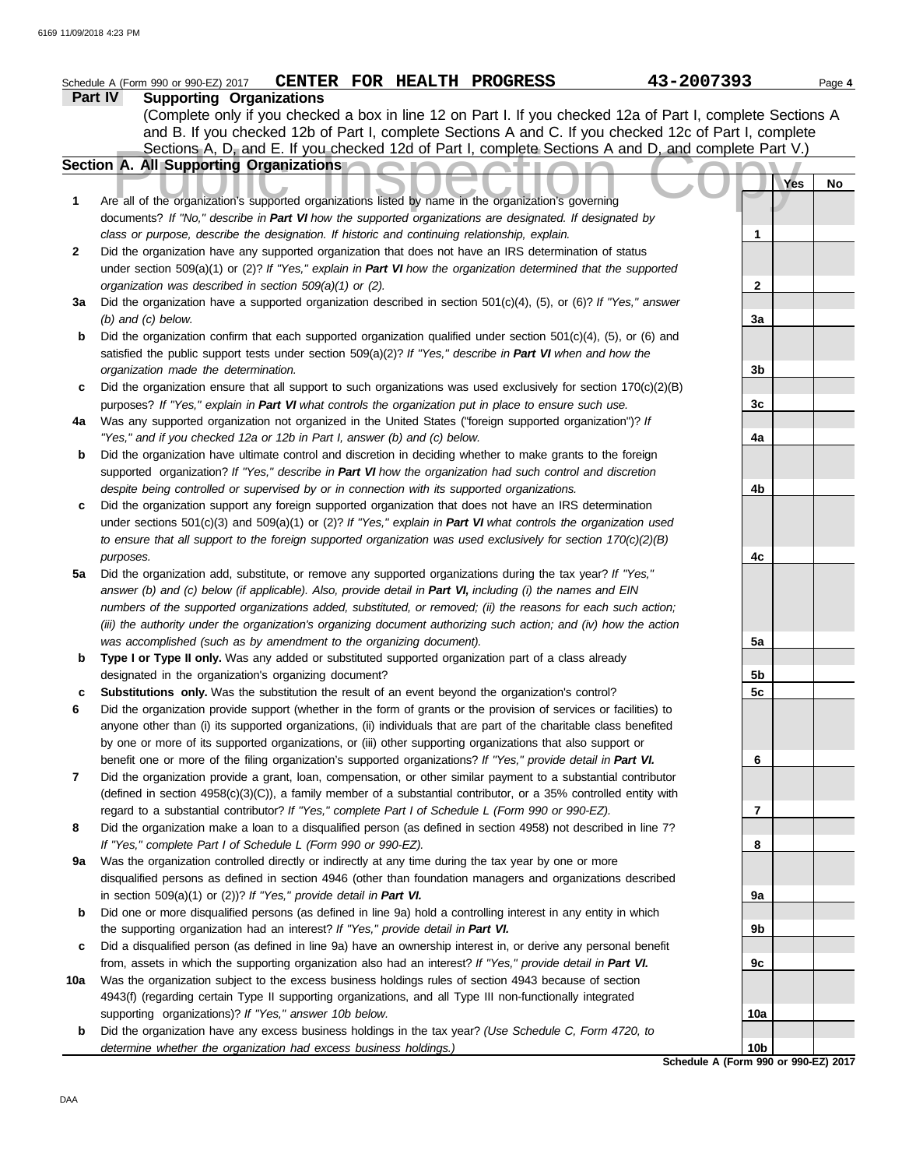|              | CENTER FOR HEALTH PROGRESS<br>Schedule A (Form 990 or 990-EZ) 2017                                                                                                                                                 |  | 43-2007393                           | Page 4    |
|--------------|--------------------------------------------------------------------------------------------------------------------------------------------------------------------------------------------------------------------|--|--------------------------------------|-----------|
|              | <b>Supporting Organizations</b><br><b>Part IV</b>                                                                                                                                                                  |  |                                      |           |
|              | (Complete only if you checked a box in line 12 on Part I. If you checked 12a of Part I, complete Sections A                                                                                                        |  |                                      |           |
|              | and B. If you checked 12b of Part I, complete Sections A and C. If you checked 12c of Part I, complete                                                                                                             |  |                                      |           |
|              | Sections A, D, and E. If you checked 12d of Part I, complete Sections A and D, and complete Part V.)                                                                                                               |  |                                      |           |
|              | Section A. All Supporting Organizations                                                                                                                                                                            |  |                                      |           |
|              |                                                                                                                                                                                                                    |  |                                      | Yes<br>No |
| 1            | Are all of the organization's supported organizations listed by name in the organization's governing                                                                                                               |  |                                      |           |
|              | documents? If "No," describe in Part VI how the supported organizations are designated. If designated by                                                                                                           |  |                                      |           |
|              | class or purpose, describe the designation. If historic and continuing relationship, explain.                                                                                                                      |  | 1                                    |           |
| $\mathbf{2}$ | Did the organization have any supported organization that does not have an IRS determination of status                                                                                                             |  |                                      |           |
|              | under section $509(a)(1)$ or (2)? If "Yes," explain in Part VI how the organization determined that the supported                                                                                                  |  |                                      |           |
|              | organization was described in section 509(a)(1) or (2).                                                                                                                                                            |  | $\mathbf{2}$                         |           |
| За           | Did the organization have a supported organization described in section 501(c)(4), (5), or (6)? If "Yes," answer                                                                                                   |  |                                      |           |
|              | $(b)$ and $(c)$ below.                                                                                                                                                                                             |  | 3a                                   |           |
| b            | Did the organization confirm that each supported organization qualified under section $501(c)(4)$ , (5), or (6) and                                                                                                |  |                                      |           |
|              | satisfied the public support tests under section $509(a)(2)$ ? If "Yes," describe in Part VI when and how the                                                                                                      |  |                                      |           |
|              | organization made the determination.                                                                                                                                                                               |  | 3b                                   |           |
| c            | Did the organization ensure that all support to such organizations was used exclusively for section $170(c)(2)(B)$                                                                                                 |  |                                      |           |
|              | purposes? If "Yes," explain in Part VI what controls the organization put in place to ensure such use.<br>Was any supported organization not organized in the United States ("foreign supported organization")? If |  | 3c                                   |           |
| 4a           | "Yes," and if you checked 12a or 12b in Part I, answer (b) and (c) below.                                                                                                                                          |  | 4a                                   |           |
| b            | Did the organization have ultimate control and discretion in deciding whether to make grants to the foreign                                                                                                        |  |                                      |           |
|              | supported organization? If "Yes," describe in Part VI how the organization had such control and discretion                                                                                                         |  |                                      |           |
|              | despite being controlled or supervised by or in connection with its supported organizations.                                                                                                                       |  | 4b                                   |           |
| c            | Did the organization support any foreign supported organization that does not have an IRS determination                                                                                                            |  |                                      |           |
|              | under sections $501(c)(3)$ and $509(a)(1)$ or $(2)$ ? If "Yes," explain in Part VI what controls the organization used                                                                                             |  |                                      |           |
|              | to ensure that all support to the foreign supported organization was used exclusively for section $170(c)(2)(B)$                                                                                                   |  |                                      |           |
|              | purposes.                                                                                                                                                                                                          |  | 4c                                   |           |
| 5а           | Did the organization add, substitute, or remove any supported organizations during the tax year? If "Yes,"                                                                                                         |  |                                      |           |
|              | answer (b) and (c) below (if applicable). Also, provide detail in Part VI, including (i) the names and EIN                                                                                                         |  |                                      |           |
|              | numbers of the supported organizations added, substituted, or removed; (ii) the reasons for each such action;                                                                                                      |  |                                      |           |
|              | (iii) the authority under the organization's organizing document authorizing such action; and (iv) how the action                                                                                                  |  |                                      |           |
|              | was accomplished (such as by amendment to the organizing document).                                                                                                                                                |  | 5a                                   |           |
| b            | Type I or Type II only. Was any added or substituted supported organization part of a class already                                                                                                                |  |                                      |           |
|              | designated in the organization's organizing document?                                                                                                                                                              |  | 5b                                   |           |
| с            | Substitutions only. Was the substitution the result of an event beyond the organization's control?                                                                                                                 |  | 5c                                   |           |
| 6            | Did the organization provide support (whether in the form of grants or the provision of services or facilities) to                                                                                                 |  |                                      |           |
|              | anyone other than (i) its supported organizations, (ii) individuals that are part of the charitable class benefited                                                                                                |  |                                      |           |
|              | by one or more of its supported organizations, or (iii) other supporting organizations that also support or                                                                                                        |  |                                      |           |
|              | benefit one or more of the filing organization's supported organizations? If "Yes," provide detail in Part VI.                                                                                                     |  | 6                                    |           |
| 7            | Did the organization provide a grant, loan, compensation, or other similar payment to a substantial contributor                                                                                                    |  |                                      |           |
|              | (defined in section 4958(c)(3)(C)), a family member of a substantial contributor, or a 35% controlled entity with                                                                                                  |  |                                      |           |
|              | regard to a substantial contributor? If "Yes," complete Part I of Schedule L (Form 990 or 990-EZ).                                                                                                                 |  | 7                                    |           |
| 8            | Did the organization make a loan to a disqualified person (as defined in section 4958) not described in line 7?                                                                                                    |  |                                      |           |
|              | If "Yes," complete Part I of Schedule L (Form 990 or 990-EZ).                                                                                                                                                      |  | 8                                    |           |
| 9а           | Was the organization controlled directly or indirectly at any time during the tax year by one or more                                                                                                              |  |                                      |           |
|              | disqualified persons as defined in section 4946 (other than foundation managers and organizations described                                                                                                        |  |                                      |           |
|              | in section $509(a)(1)$ or $(2)$ ? If "Yes," provide detail in Part VI.                                                                                                                                             |  | 9а                                   |           |
| b            | Did one or more disqualified persons (as defined in line 9a) hold a controlling interest in any entity in which                                                                                                    |  |                                      |           |
|              | the supporting organization had an interest? If "Yes," provide detail in Part VI.                                                                                                                                  |  | 9b                                   |           |
| c            | Did a disqualified person (as defined in line 9a) have an ownership interest in, or derive any personal benefit                                                                                                    |  |                                      |           |
|              | from, assets in which the supporting organization also had an interest? If "Yes," provide detail in Part VI.                                                                                                       |  | 9c                                   |           |
| 10a          | Was the organization subject to the excess business holdings rules of section 4943 because of section                                                                                                              |  |                                      |           |
|              | 4943(f) (regarding certain Type II supporting organizations, and all Type III non-functionally integrated                                                                                                          |  |                                      |           |
|              | supporting organizations)? If "Yes," answer 10b below.                                                                                                                                                             |  | 10a                                  |           |
| b            | Did the organization have any excess business holdings in the tax year? (Use Schedule C, Form 4720, to                                                                                                             |  | 10 <sub>b</sub>                      |           |
|              | determine whether the organization had excess business holdings.)                                                                                                                                                  |  | Schedule A (Form 990 or 990-EZ) 2017 |           |
|              |                                                                                                                                                                                                                    |  |                                      |           |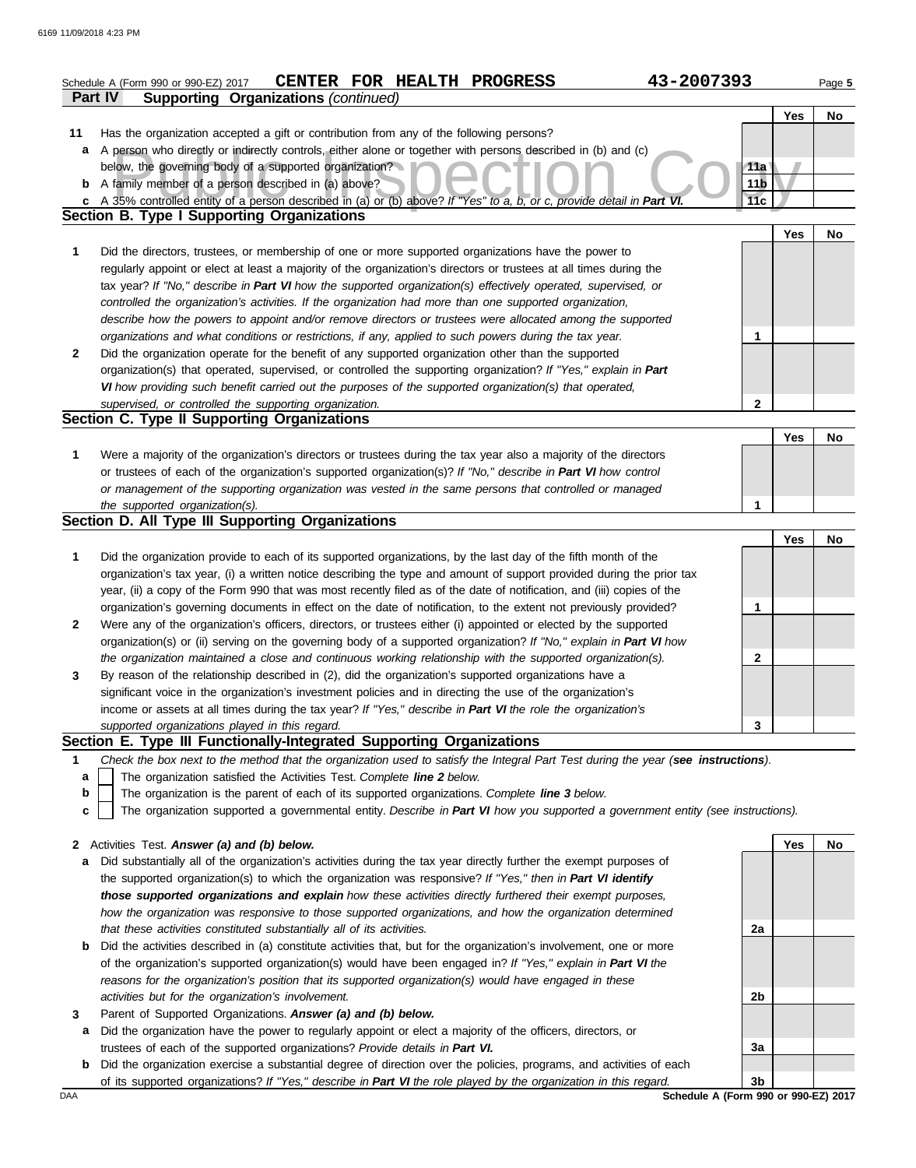|              | 43-2007393<br>CENTER FOR HEALTH PROGRESS<br>Schedule A (Form 990 or 990-EZ) 2017                                                                                                                                     |                 |            | Page 5    |
|--------------|----------------------------------------------------------------------------------------------------------------------------------------------------------------------------------------------------------------------|-----------------|------------|-----------|
|              | <b>Supporting Organizations (continued)</b><br>Part IV                                                                                                                                                               |                 |            |           |
|              |                                                                                                                                                                                                                      |                 | <b>Yes</b> | No        |
| 11           | Has the organization accepted a gift or contribution from any of the following persons?                                                                                                                              |                 |            |           |
| a            | A person who directly or indirectly controls, either alone or together with persons described in (b) and (c)                                                                                                         |                 |            |           |
|              | below, the governing body of a supported organization?                                                                                                                                                               | 11a             |            |           |
|              | <b>b</b> A family member of a person described in (a) above?                                                                                                                                                         | 11 <sub>b</sub> |            |           |
|              | c A 35% controlled entity of a person described in (a) or (b) above? If "Yes" to a, b, or c, provide detail in Part VI.                                                                                              | 11c             |            |           |
|              | <b>Section B. Type I Supporting Organizations</b>                                                                                                                                                                    |                 |            |           |
|              |                                                                                                                                                                                                                      |                 | <b>Yes</b> | No        |
| 1            | Did the directors, trustees, or membership of one or more supported organizations have the power to                                                                                                                  |                 |            |           |
|              | regularly appoint or elect at least a majority of the organization's directors or trustees at all times during the                                                                                                   |                 |            |           |
|              | tax year? If "No," describe in Part VI how the supported organization(s) effectively operated, supervised, or                                                                                                        |                 |            |           |
|              | controlled the organization's activities. If the organization had more than one supported organization,<br>describe how the powers to appoint and/or remove directors or trustees were allocated among the supported |                 |            |           |
|              | organizations and what conditions or restrictions, if any, applied to such powers during the tax year.                                                                                                               | 1               |            |           |
| $\mathbf{2}$ | Did the organization operate for the benefit of any supported organization other than the supported                                                                                                                  |                 |            |           |
|              | organization(s) that operated, supervised, or controlled the supporting organization? If "Yes," explain in Part                                                                                                      |                 |            |           |
|              | VI how providing such benefit carried out the purposes of the supported organization(s) that operated,                                                                                                               |                 |            |           |
|              | supervised, or controlled the supporting organization.                                                                                                                                                               | $\mathbf{2}$    |            |           |
|              | Section C. Type II Supporting Organizations                                                                                                                                                                          |                 |            |           |
|              |                                                                                                                                                                                                                      |                 | <b>Yes</b> | No        |
| 1            | Were a majority of the organization's directors or trustees during the tax year also a majority of the directors                                                                                                     |                 |            |           |
|              | or trustees of each of the organization's supported organization(s)? If "No," describe in Part VI how control                                                                                                        |                 |            |           |
|              | or management of the supporting organization was vested in the same persons that controlled or managed                                                                                                               |                 |            |           |
|              | the supported organization(s).                                                                                                                                                                                       | 1               |            |           |
|              | Section D. All Type III Supporting Organizations                                                                                                                                                                     |                 |            |           |
|              |                                                                                                                                                                                                                      |                 | Yes        | No        |
| 1            | Did the organization provide to each of its supported organizations, by the last day of the fifth month of the                                                                                                       |                 |            |           |
|              | organization's tax year, (i) a written notice describing the type and amount of support provided during the prior tax                                                                                                |                 |            |           |
|              | year, (ii) a copy of the Form 990 that was most recently filed as of the date of notification, and (iii) copies of the                                                                                               |                 |            |           |
|              | organization's governing documents in effect on the date of notification, to the extent not previously provided?                                                                                                     | 1               |            |           |
| $\mathbf{2}$ | Were any of the organization's officers, directors, or trustees either (i) appointed or elected by the supported                                                                                                     |                 |            |           |
|              | organization(s) or (ii) serving on the governing body of a supported organization? If "No," explain in Part VI how                                                                                                   |                 |            |           |
|              | the organization maintained a close and continuous working relationship with the supported organization(s).                                                                                                          | 2               |            |           |
| 3            | By reason of the relationship described in (2), did the organization's supported organizations have a                                                                                                                |                 |            |           |
|              | significant voice in the organization's investment policies and in directing the use of the organization's                                                                                                           |                 |            |           |
|              | income or assets at all times during the tax year? If "Yes," describe in Part VI the role the organization's                                                                                                         |                 |            |           |
|              | supported organizations played in this regard.                                                                                                                                                                       | 3               |            |           |
|              | Section E. Type III Functionally-Integrated Supporting Organizations                                                                                                                                                 |                 |            |           |
| 1            | Check the box next to the method that the organization used to satisfy the Integral Part Test during the year (see instructions).                                                                                    |                 |            |           |
| a            | The organization satisfied the Activities Test. Complete line 2 below.                                                                                                                                               |                 |            |           |
| b            | The organization is the parent of each of its supported organizations. Complete line 3 below.                                                                                                                        |                 |            |           |
| c            | The organization supported a governmental entity. Describe in Part VI how you supported a government entity (see instructions).                                                                                      |                 |            |           |
| $\mathbf{2}$ | Activities Test. Answer (a) and (b) below.                                                                                                                                                                           |                 | Yes        | <b>No</b> |
| a            | Did substantially all of the organization's activities during the tax year directly further the exempt purposes of                                                                                                   |                 |            |           |
|              | the supported organization(s) to which the organization was responsive? If "Yes," then in Part VI identify                                                                                                           |                 |            |           |
|              | those supported organizations and explain how these activities directly furthered their exempt purposes,                                                                                                             |                 |            |           |
|              | how the organization was responsive to those supported organizations, and how the organization determined                                                                                                            |                 |            |           |
|              | that these activities constituted substantially all of its activities.                                                                                                                                               | 2a              |            |           |
| b            | Did the activities described in (a) constitute activities that, but for the organization's involvement, one or more                                                                                                  |                 |            |           |
|              | of the organization's supported organization(s) would have been engaged in? If "Yes," explain in Part VI the                                                                                                         |                 |            |           |
|              | reasons for the organization's position that its supported organization(s) would have engaged in these                                                                                                               |                 |            |           |
|              | activities but for the organization's involvement.                                                                                                                                                                   | 2b              |            |           |
| 3            | Parent of Supported Organizations. Answer (a) and (b) below.                                                                                                                                                         |                 |            |           |
| а            | Did the organization have the power to regularly appoint or elect a majority of the officers, directors, or                                                                                                          |                 |            |           |
|              | trustees of each of the supported organizations? Provide details in Part VI.                                                                                                                                         | 3a              |            |           |

**b** Did the organization exercise a substantial degree of direction over the policies, programs, and activities of each of its supported organizations? *If "Yes," describe in Part VI the role played by the organization in this regard.* **3b**

DAA **Schedule A (Form 990 or 990-EZ) 2017**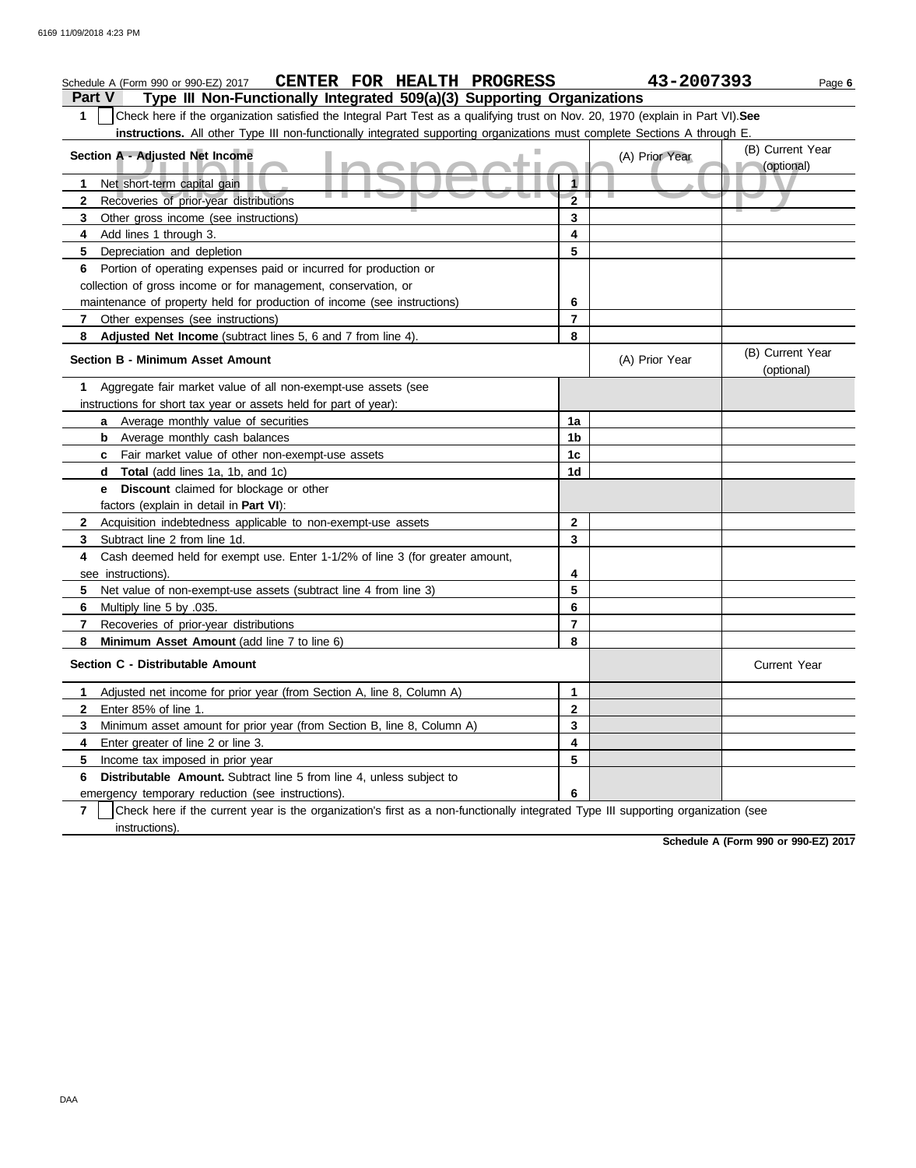| CENTER FOR HEALTH PROGRESS<br>Schedule A (Form 990 or 990-EZ) 2017                                                                                  |                | 43-2007393     | Page 6                         |
|-----------------------------------------------------------------------------------------------------------------------------------------------------|----------------|----------------|--------------------------------|
| Type III Non-Functionally Integrated 509(a)(3) Supporting Organizations<br><b>Part V</b>                                                            |                |                |                                |
| Check here if the organization satisfied the Integral Part Test as a qualifying trust on Nov. 20, 1970 (explain in Part VI). See<br>1               |                |                |                                |
| instructions. All other Type III non-functionally integrated supporting organizations must complete Sections A through E                            |                |                |                                |
| Section A - Adjusted Net Income                                                                                                                     |                | (A) Prior Year | (B) Current Year               |
|                                                                                                                                                     |                |                | (optional)                     |
| Net short-term capital gain<br>1<br>J.<br>×                                                                                                         |                |                |                                |
| $\mathbf{2}$<br>Recoveries of prior-year distributions                                                                                              | $\overline{2}$ |                |                                |
| 3<br>Other gross income (see instructions)                                                                                                          | 3              |                |                                |
| Add lines 1 through 3.<br>4                                                                                                                         | 4              |                |                                |
| 5<br>Depreciation and depletion                                                                                                                     | 5              |                |                                |
| Portion of operating expenses paid or incurred for production or<br>6                                                                               |                |                |                                |
| collection of gross income or for management, conservation, or                                                                                      |                |                |                                |
| maintenance of property held for production of income (see instructions)                                                                            | 6              |                |                                |
| 7<br>Other expenses (see instructions)                                                                                                              | $\overline{7}$ |                |                                |
| 8<br>Adjusted Net Income (subtract lines 5, 6 and 7 from line 4).                                                                                   | 8              |                |                                |
| <b>Section B - Minimum Asset Amount</b>                                                                                                             |                | (A) Prior Year | (B) Current Year<br>(optional) |
| Aggregate fair market value of all non-exempt-use assets (see<br>1                                                                                  |                |                |                                |
| instructions for short tax year or assets held for part of year):                                                                                   |                |                |                                |
| Average monthly value of securities<br>a                                                                                                            | 1a             |                |                                |
| Average monthly cash balances<br>b                                                                                                                  | 1 <sub>b</sub> |                |                                |
| Fair market value of other non-exempt-use assets<br>c                                                                                               | 1c             |                |                                |
| <b>Total</b> (add lines 1a, 1b, and 1c)<br>d                                                                                                        | 1d             |                |                                |
| Discount claimed for blockage or other<br>е                                                                                                         |                |                |                                |
| factors (explain in detail in <b>Part VI</b> ):                                                                                                     |                |                |                                |
| $\mathbf{2}$<br>Acquisition indebtedness applicable to non-exempt-use assets                                                                        | $\mathbf{2}$   |                |                                |
| 3<br>Subtract line 2 from line 1d.                                                                                                                  | 3              |                |                                |
| Cash deemed held for exempt use. Enter 1-1/2% of line 3 (for greater amount,<br>4                                                                   |                |                |                                |
| see instructions)                                                                                                                                   | 4              |                |                                |
| 5<br>Net value of non-exempt-use assets (subtract line 4 from line 3)                                                                               | 5              |                |                                |
| 6<br>Multiply line 5 by .035.                                                                                                                       | 6              |                |                                |
| 7<br>Recoveries of prior-year distributions                                                                                                         | $\overline{7}$ |                |                                |
| 8<br>Minimum Asset Amount (add line 7 to line 6)                                                                                                    | 8              |                |                                |
| Section C - Distributable Amount                                                                                                                    |                |                | <b>Current Year</b>            |
| Adjusted net income for prior year (from Section A, line 8, Column A)<br>1.                                                                         | $\mathbf 1$    |                |                                |
| Enter 85% of line 1.<br>2                                                                                                                           | $\mathbf{2}$   |                |                                |
| Minimum asset amount for prior year (from Section B, line 8, Column A)<br>3                                                                         | 3              |                |                                |
| 4<br>Enter greater of line 2 or line 3.                                                                                                             | 4              |                |                                |
| 5<br>Income tax imposed in prior year                                                                                                               | 5              |                |                                |
| Distributable Amount. Subtract line 5 from line 4, unless subject to<br>6                                                                           |                |                |                                |
| emergency temporary reduction (see instructions).                                                                                                   | 6              |                |                                |
| Check here if the current year is the organization's first as a non-functionally integrated Type III supporting organization (see<br>$\overline{7}$ |                |                |                                |
| instructions).                                                                                                                                      |                |                |                                |

**Schedule A (Form 990 or 990-EZ) 2017**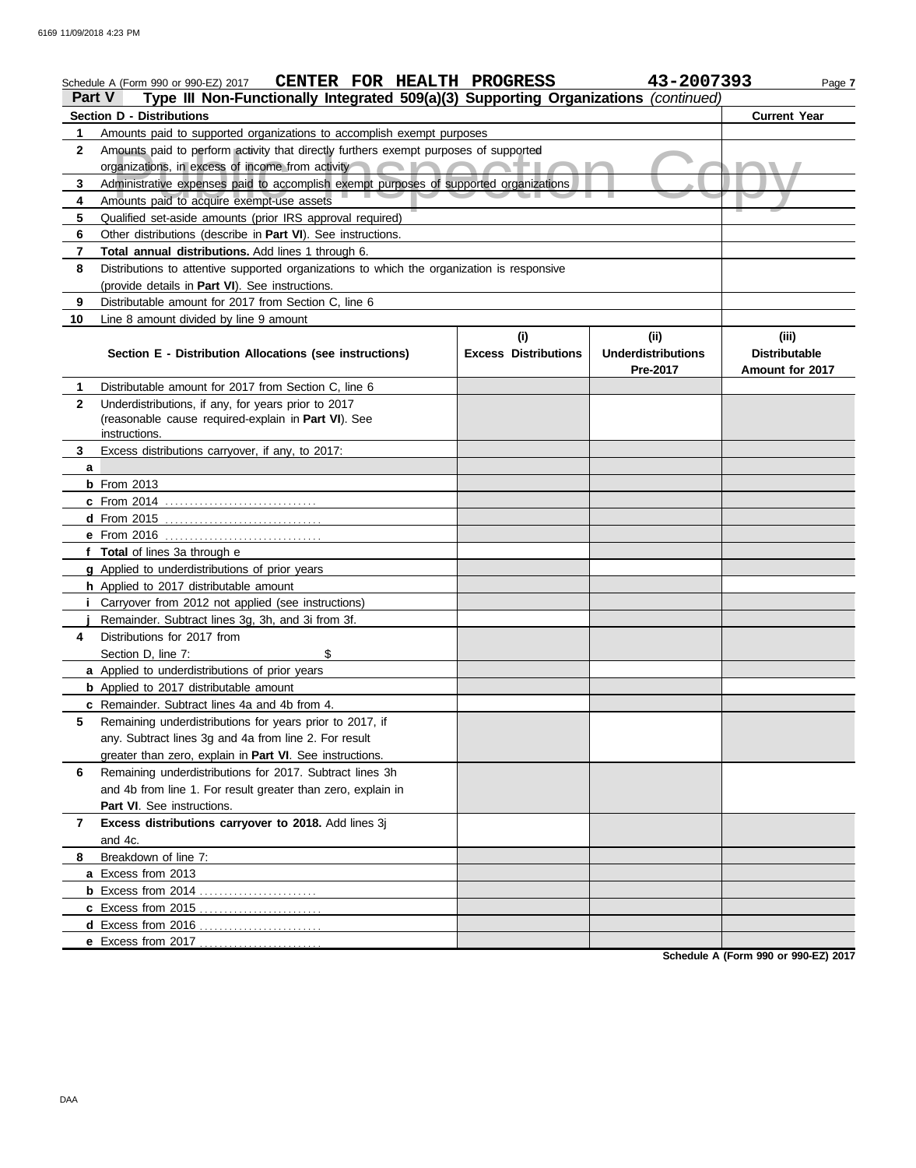|              | CENTER FOR HEALTH PROGRESS<br>Schedule A (Form 990 or 990-EZ) 2017                         |                             | 43-2007393                | Page 7               |
|--------------|--------------------------------------------------------------------------------------------|-----------------------------|---------------------------|----------------------|
| Part V       | Type III Non-Functionally Integrated 509(a)(3) Supporting Organizations (continued)        |                             |                           |                      |
|              | <b>Section D - Distributions</b>                                                           |                             |                           | <b>Current Year</b>  |
| 1            | Amounts paid to supported organizations to accomplish exempt purposes                      |                             |                           |                      |
| 2            | Amounts paid to perform activity that directly furthers exempt purposes of supported       |                             |                           |                      |
|              | organizations, in excess of income from activity                                           |                             |                           |                      |
| 3            | Administrative expenses paid to accomplish exempt purposes of supported organizations      |                             |                           |                      |
| 4            | Amounts paid to acquire exempt-use assets                                                  |                             |                           |                      |
| 5            | Qualified set-aside amounts (prior IRS approval required)                                  |                             |                           |                      |
| 6            | Other distributions (describe in Part VI). See instructions.                               |                             |                           |                      |
| 7            | Total annual distributions. Add lines 1 through 6.                                         |                             |                           |                      |
| 8            | Distributions to attentive supported organizations to which the organization is responsive |                             |                           |                      |
|              | (provide details in Part VI). See instructions.                                            |                             |                           |                      |
| 9            | Distributable amount for 2017 from Section C, line 6                                       |                             |                           |                      |
| 10           | Line 8 amount divided by line 9 amount                                                     |                             |                           |                      |
|              |                                                                                            | (i)                         | (ii)                      | (iii)                |
|              | Section E - Distribution Allocations (see instructions)                                    | <b>Excess Distributions</b> | <b>Underdistributions</b> | <b>Distributable</b> |
|              |                                                                                            |                             | Pre-2017                  | Amount for 2017      |
| 1.           | Distributable amount for 2017 from Section C, line 6                                       |                             |                           |                      |
| $\mathbf{2}$ | Underdistributions, if any, for years prior to 2017                                        |                             |                           |                      |
|              | (reasonable cause required-explain in Part VI). See                                        |                             |                           |                      |
|              | instructions.                                                                              |                             |                           |                      |
| 3            | Excess distributions carryover, if any, to 2017:                                           |                             |                           |                      |
| a            |                                                                                            |                             |                           |                      |
|              | $b$ From 2013                                                                              |                             |                           |                      |
|              | <b>c</b> From 2014                                                                         |                             |                           |                      |
|              |                                                                                            |                             |                           |                      |
|              |                                                                                            |                             |                           |                      |
|              | f Total of lines 3a through e                                                              |                             |                           |                      |
|              | g Applied to underdistributions of prior years                                             |                             |                           |                      |
|              | h Applied to 2017 distributable amount                                                     |                             |                           |                      |
|              | <i>i</i> Carryover from 2012 not applied (see instructions)                                |                             |                           |                      |
|              | Remainder. Subtract lines 3g, 3h, and 3i from 3f.                                          |                             |                           |                      |
| 4            | Distributions for 2017 from                                                                |                             |                           |                      |
|              | \$<br>Section D, line 7:                                                                   |                             |                           |                      |
|              | a Applied to underdistributions of prior years                                             |                             |                           |                      |
|              | <b>b</b> Applied to 2017 distributable amount                                              |                             |                           |                      |
|              | c Remainder. Subtract lines 4a and 4b from 4.                                              |                             |                           |                      |
| 5            | Remaining underdistributions for years prior to 2017, if                                   |                             |                           |                      |
|              | any. Subtract lines 3g and 4a from line 2. For result                                      |                             |                           |                      |
|              | greater than zero, explain in Part VI. See instructions.                                   |                             |                           |                      |
| 6            | Remaining underdistributions for 2017. Subtract lines 3h                                   |                             |                           |                      |
|              | and 4b from line 1. For result greater than zero, explain in                               |                             |                           |                      |
|              | Part VI. See instructions.                                                                 |                             |                           |                      |
| 7            | Excess distributions carryover to 2018. Add lines 3j                                       |                             |                           |                      |
|              | and 4c.                                                                                    |                             |                           |                      |
| 8            | Breakdown of line 7:                                                                       |                             |                           |                      |
|              | a Excess from 2013                                                                         |                             |                           |                      |
|              |                                                                                            |                             |                           |                      |
|              | c Excess from 2015                                                                         |                             |                           |                      |
|              | d Excess from 2016                                                                         |                             |                           |                      |
|              | e Excess from 2017                                                                         |                             |                           |                      |

**Schedule A (Form 990 or 990-EZ) 2017**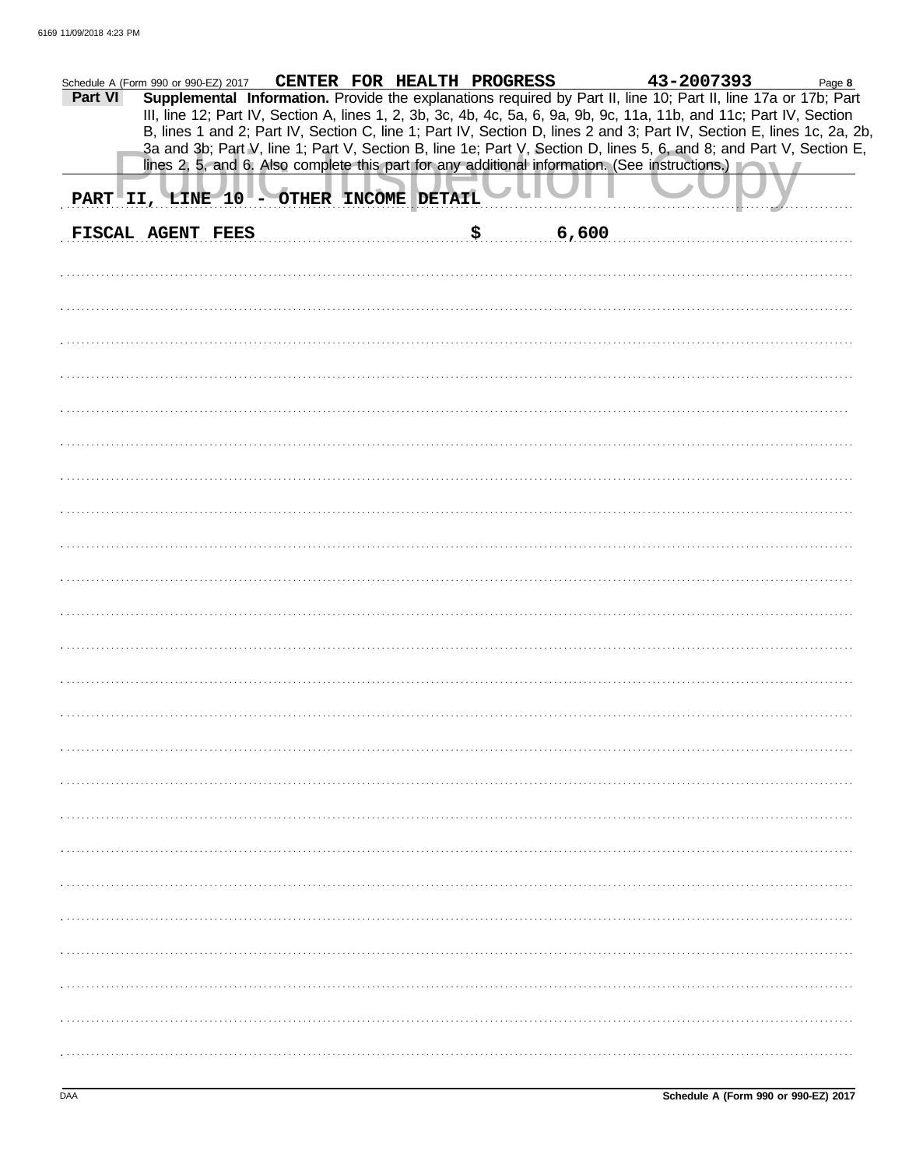| 43-2007393<br>CENTER FOR HEALTH PROGRESS<br>Schedule A (Form 990 or 990-EZ) 2017<br>Page 8<br>Supplemental Information. Provide the explanations required by Part II, line 10; Part II, line 17a or 17b; Part<br>Part VI<br>III, line 12; Part IV, Section A, lines 1, 2, 3b, 3c, 4b, 4c, 5a, 6, 9a, 9b, 9c, 11a, 11b, and 11c; Part IV, Section<br>B, lines 1 and 2; Part IV, Section C, line 1; Part IV, Section D, lines 2 and 3; Part IV, Section E, lines 1c, 2a, 2b,<br>3a and 3b; Part V, line 1; Part V, Section B, line 1e; Part V, Section D, lines 5, 6, and 8; and Part V, Section E, |  |
|---------------------------------------------------------------------------------------------------------------------------------------------------------------------------------------------------------------------------------------------------------------------------------------------------------------------------------------------------------------------------------------------------------------------------------------------------------------------------------------------------------------------------------------------------------------------------------------------------|--|
| lines 2, 5, and 6. Also complete this part for any additional information. (See instructions.)                                                                                                                                                                                                                                                                                                                                                                                                                                                                                                    |  |
| PART II, LINE 10 - OTHER INCOME DETAIL                                                                                                                                                                                                                                                                                                                                                                                                                                                                                                                                                            |  |
| FISCAL AGENT FEES<br>\$<br>6,600                                                                                                                                                                                                                                                                                                                                                                                                                                                                                                                                                                  |  |
|                                                                                                                                                                                                                                                                                                                                                                                                                                                                                                                                                                                                   |  |
|                                                                                                                                                                                                                                                                                                                                                                                                                                                                                                                                                                                                   |  |
|                                                                                                                                                                                                                                                                                                                                                                                                                                                                                                                                                                                                   |  |
|                                                                                                                                                                                                                                                                                                                                                                                                                                                                                                                                                                                                   |  |
|                                                                                                                                                                                                                                                                                                                                                                                                                                                                                                                                                                                                   |  |
|                                                                                                                                                                                                                                                                                                                                                                                                                                                                                                                                                                                                   |  |
|                                                                                                                                                                                                                                                                                                                                                                                                                                                                                                                                                                                                   |  |
|                                                                                                                                                                                                                                                                                                                                                                                                                                                                                                                                                                                                   |  |
|                                                                                                                                                                                                                                                                                                                                                                                                                                                                                                                                                                                                   |  |
|                                                                                                                                                                                                                                                                                                                                                                                                                                                                                                                                                                                                   |  |
|                                                                                                                                                                                                                                                                                                                                                                                                                                                                                                                                                                                                   |  |
|                                                                                                                                                                                                                                                                                                                                                                                                                                                                                                                                                                                                   |  |
|                                                                                                                                                                                                                                                                                                                                                                                                                                                                                                                                                                                                   |  |
|                                                                                                                                                                                                                                                                                                                                                                                                                                                                                                                                                                                                   |  |
|                                                                                                                                                                                                                                                                                                                                                                                                                                                                                                                                                                                                   |  |
|                                                                                                                                                                                                                                                                                                                                                                                                                                                                                                                                                                                                   |  |
|                                                                                                                                                                                                                                                                                                                                                                                                                                                                                                                                                                                                   |  |
|                                                                                                                                                                                                                                                                                                                                                                                                                                                                                                                                                                                                   |  |
|                                                                                                                                                                                                                                                                                                                                                                                                                                                                                                                                                                                                   |  |
|                                                                                                                                                                                                                                                                                                                                                                                                                                                                                                                                                                                                   |  |
|                                                                                                                                                                                                                                                                                                                                                                                                                                                                                                                                                                                                   |  |
|                                                                                                                                                                                                                                                                                                                                                                                                                                                                                                                                                                                                   |  |
|                                                                                                                                                                                                                                                                                                                                                                                                                                                                                                                                                                                                   |  |
|                                                                                                                                                                                                                                                                                                                                                                                                                                                                                                                                                                                                   |  |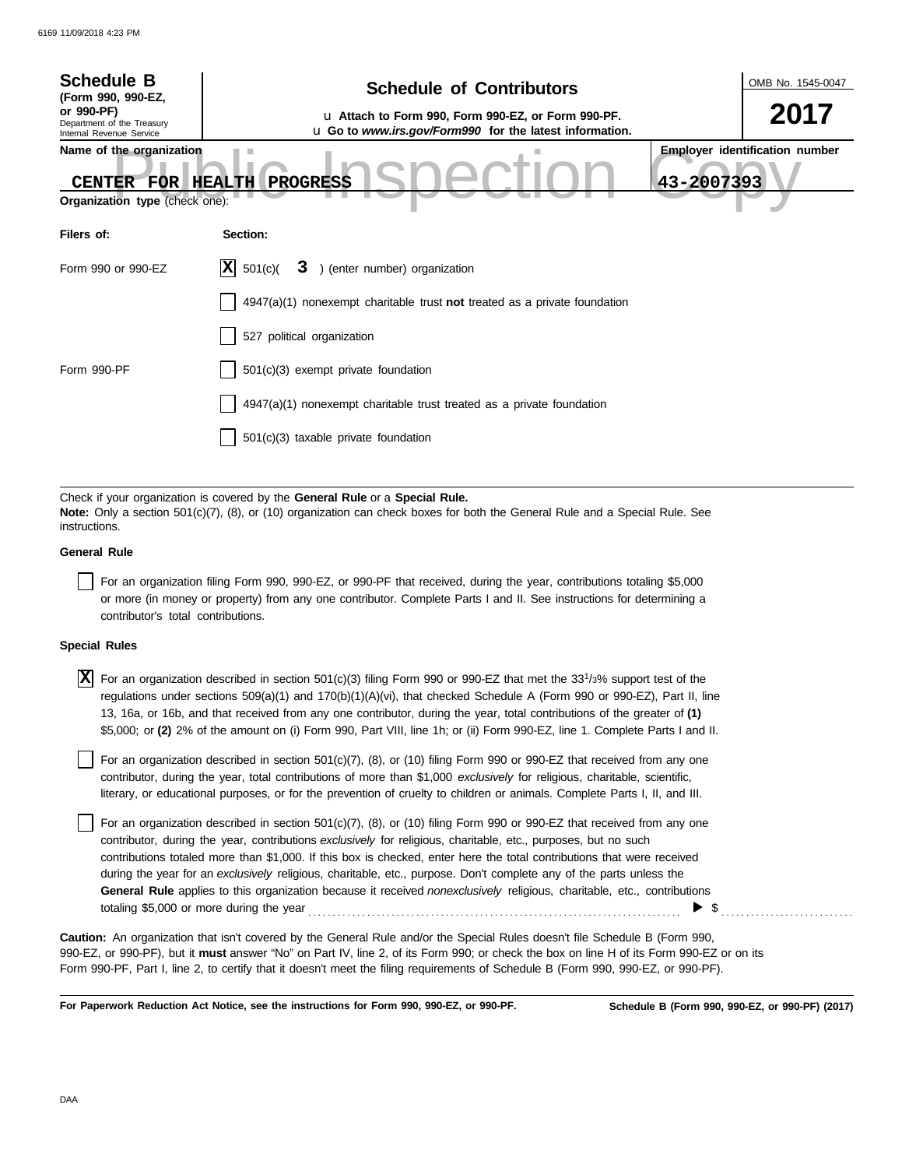| <b>Schedule B</b><br>(Form 990, 990-EZ,                                     | <b>Schedule of Contributors</b>                                                                                                                                                                             | OMB No. 1545-0047                                   |
|-----------------------------------------------------------------------------|-------------------------------------------------------------------------------------------------------------------------------------------------------------------------------------------------------------|-----------------------------------------------------|
| or 990-PF)<br>Department of the Treasury<br>Internal Revenue Service        | La Attach to Form 990, Form 990-EZ, or Form 990-PF.<br>u Go to www.irs.gov/Form990 for the latest information.                                                                                              | 2017                                                |
| Name of the organization<br><b>CENTER</b><br>Organization type (check one): | FOR HEALTH PROGRESS                                                                                                                                                                                         | <b>Employer identification number</b><br>43-2007393 |
| Filers of:                                                                  | Section:                                                                                                                                                                                                    |                                                     |
| Form 990 or 990-EZ                                                          | X <br>3 ) (enter number) organization<br>501(c)(                                                                                                                                                            |                                                     |
|                                                                             | $4947(a)(1)$ nonexempt charitable trust not treated as a private foundation                                                                                                                                 |                                                     |
|                                                                             | 527 political organization                                                                                                                                                                                  |                                                     |
| Form 990-PF                                                                 | 501(c)(3) exempt private foundation                                                                                                                                                                         |                                                     |
|                                                                             | 4947(a)(1) nonexempt charitable trust treated as a private foundation                                                                                                                                       |                                                     |
|                                                                             | 501(c)(3) taxable private foundation                                                                                                                                                                        |                                                     |
|                                                                             |                                                                                                                                                                                                             |                                                     |
| instructions.                                                               | Check if your organization is covered by the General Rule or a Special Rule.<br>Note: Only a section 501(c)(7), (8), or (10) organization can check boxes for both the General Rule and a Special Rule. See |                                                     |

**General Rule**

For an organization filing Form 990, 990-EZ, or 990-PF that received, during the year, contributions totaling \$5,000 or more (in money or property) from any one contributor. Complete Parts I and II. See instructions for determining a contributor's total contributions.

#### **Special Rules**

 $\overline{X}$  For an organization described in section 501(c)(3) filing Form 990 or 990-EZ that met the 33<sup>1</sup>/3% support test of the regulations under sections 509(a)(1) and 170(b)(1)(A)(vi), that checked Schedule A (Form 990 or 990-EZ), Part II, line 13, 16a, or 16b, and that received from any one contributor, during the year, total contributions of the greater of **(1)** \$5,000; or **(2)** 2% of the amount on (i) Form 990, Part VIII, line 1h; or (ii) Form 990-EZ, line 1. Complete Parts I and II.

literary, or educational purposes, or for the prevention of cruelty to children or animals. Complete Parts I, II, and III. For an organization described in section  $501(c)(7)$ ,  $(8)$ , or  $(10)$  filing Form 990 or 990-EZ that received from any one contributor, during the year, total contributions of more than \$1,000 *exclusively* for religious, charitable, scientific,

For an organization described in section  $501(c)(7)$ ,  $(8)$ , or  $(10)$  filing Form 990 or 990-EZ that received from any one contributor, during the year, contributions *exclusively* for religious, charitable, etc., purposes, but no such contributions totaled more than \$1,000. If this box is checked, enter here the total contributions that were received during the year for an *exclusively* religious, charitable, etc., purpose. Don't complete any of the parts unless the **General Rule** applies to this organization because it received *nonexclusively* religious, charitable, etc., contributions totaling \$5,000 or more during the year . . . . . . . . . . . . . . . . . . . . . . . . . . . . . . . . . . . . . . . . . . . . . . . . . . . . . . . . . . . . . . . . . . . . . . . . . . . .  $\triangleright$  \$

990-EZ, or 990-PF), but it **must** answer "No" on Part IV, line 2, of its Form 990; or check the box on line H of its Form 990-EZ or on its Form 990-PF, Part I, line 2, to certify that it doesn't meet the filing requirements of Schedule B (Form 990, 990-EZ, or 990-PF). **Caution:** An organization that isn't covered by the General Rule and/or the Special Rules doesn't file Schedule B (Form 990,

**For Paperwork Reduction Act Notice, see the instructions for Form 990, 990-EZ, or 990-PF.**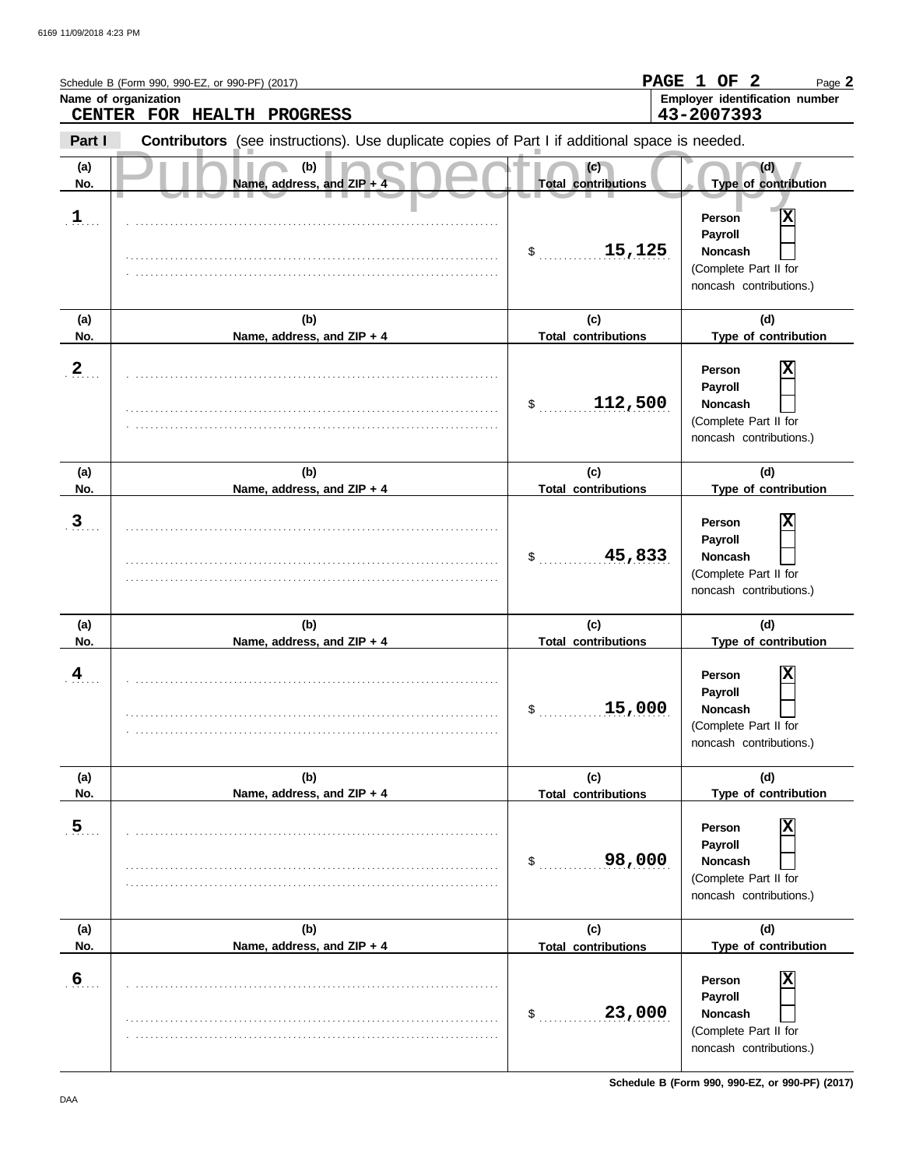|                         | Schedule B (Form 990, 990-EZ, or 990-PF) (2017)<br>Name of organization<br>CENTER FOR HEALTH PROGRESS |                                   | PAGE 1 OF 2<br>Page 2<br>Employer identification number<br>43-2007393                        |
|-------------------------|-------------------------------------------------------------------------------------------------------|-----------------------------------|----------------------------------------------------------------------------------------------|
| Part I                  | Contributors (see instructions). Use duplicate copies of Part I if additional space is needed.        |                                   |                                                                                              |
| (a)<br>No.              | (b)<br>Name, address, and ZIP +                                                                       | (c)<br><b>Total contributions</b> | (d)<br>Type of contribution                                                                  |
| $\mathbf{1}$            |                                                                                                       | 15, 125<br>$\sim$                 | X<br>Person<br>Payroll<br><b>Noncash</b><br>(Complete Part II for<br>noncash contributions.) |
| (a)<br>No.              | (b)<br>Name, address, and ZIP + 4                                                                     | (c)<br><b>Total contributions</b> | (d)<br>Type of contribution                                                                  |
| $\overline{2}$          |                                                                                                       | 112,500<br>$\mathcal{S}$          | X<br>Person<br>Payroll<br><b>Noncash</b><br>(Complete Part II for<br>noncash contributions.) |
| (a)<br>No.              | (b)                                                                                                   | (c)<br><b>Total contributions</b> | (d)<br>Type of contribution                                                                  |
| $\overline{3}$          | Name, address, and ZIP + 4                                                                            | 45,833<br>\$                      | Χ<br>Person<br>Payroll<br><b>Noncash</b><br>(Complete Part II for<br>noncash contributions.) |
| (a)<br>No.              | (b)<br>Name, address, and ZIP + 4                                                                     | (c)<br><b>Total contributions</b> | (d)<br>Type of contribution                                                                  |
| $\overline{\mathbf{4}}$ |                                                                                                       | 15,000<br>\$                      | X<br>Person<br>Payroll<br><b>Noncash</b><br>(Complete Part II for<br>noncash contributions.) |
| (a)<br>No.              | (b)<br>Name, address, and ZIP + 4                                                                     | (c)<br><b>Total contributions</b> | (d)<br>Type of contribution                                                                  |
| $\overline{5}$          |                                                                                                       | 98,000<br>$$^{\circ}$             | X<br>Person<br>Payroll<br><b>Noncash</b><br>(Complete Part II for<br>noncash contributions.) |
| (a)<br>No.              | (b)<br>Name, address, and ZIP + 4                                                                     | (c)<br><b>Total contributions</b> | (d)<br>Type of contribution                                                                  |
| 6                       |                                                                                                       | 23,000<br>$$^{\circ}$             | X<br>Person<br>Payroll<br>Noncash<br>(Complete Part II for<br>noncash contributions.)        |

**Schedule B (Form 990, 990-EZ, or 990-PF) (2017)**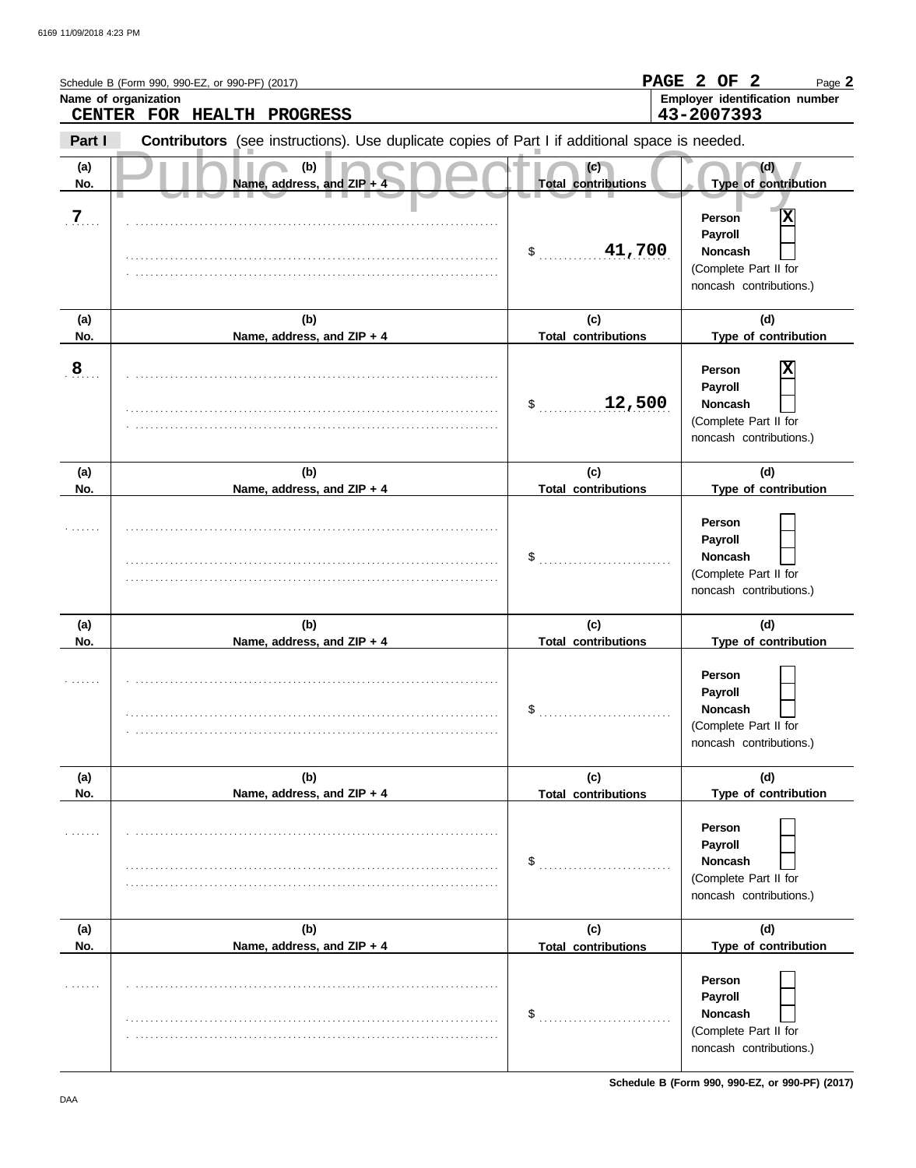|                | Schedule B (Form 990, 990-EZ, or 990-PF) (2017)<br>Name of organization<br>CENTER FOR HEALTH PROGRESS |                                   | PAGE 2 OF 2<br>Page 2<br>Employer identification number<br>43-2007393                        |
|----------------|-------------------------------------------------------------------------------------------------------|-----------------------------------|----------------------------------------------------------------------------------------------|
| Part I         | Contributors (see instructions). Use duplicate copies of Part I if additional space is needed.        |                                   |                                                                                              |
| (a)<br>No.     | (b)<br>Name, address, and ZIP + 4                                                                     | (c)<br><b>Total contributions</b> | (d)<br>Type of contribution                                                                  |
| $\overline{7}$ |                                                                                                       | 41,700<br>$\sim$                  | х<br>Person<br>Payroll<br><b>Noncash</b><br>(Complete Part II for<br>noncash contributions.) |
| (a)<br>No.     | (b)<br>Name, address, and ZIP + 4                                                                     | (c)<br><b>Total contributions</b> | (d)<br>Type of contribution                                                                  |
| $\overline{8}$ |                                                                                                       | 12,500<br>\$                      | X<br>Person<br>Payroll<br><b>Noncash</b><br>(Complete Part II for<br>noncash contributions.) |
| (a)<br>No.     | (b)<br>Name, address, and ZIP + 4                                                                     | (c)<br><b>Total contributions</b> | (d)<br>Type of contribution                                                                  |
|                |                                                                                                       | \$                                | Person<br>Payroll<br><b>Noncash</b><br>(Complete Part II for<br>noncash contributions.)      |
| (a)<br>No.     | (b)<br>Name, address, and ZIP + 4                                                                     | (c)<br><b>Total contributions</b> | (d)<br>Type of contribution                                                                  |
|                |                                                                                                       | \$                                | Person<br>Payroll<br>Noncash<br>(Complete Part II for<br>noncash contributions.)             |
| (a)<br>No.     | (b)<br>Name, address, and ZIP + 4                                                                     | (c)<br><b>Total contributions</b> | (d)<br>Type of contribution                                                                  |
|                |                                                                                                       | \$                                | Person<br>Payroll<br><b>Noncash</b><br>(Complete Part II for<br>noncash contributions.)      |
| (a)<br>No.     | (b)<br>Name, address, and ZIP + 4                                                                     | (c)<br><b>Total contributions</b> | (d)<br>Type of contribution                                                                  |
|                |                                                                                                       | \$                                | Person<br>Payroll<br>Noncash<br>(Complete Part II for<br>noncash contributions.)             |

**Schedule B (Form 990, 990-EZ, or 990-PF) (2017)**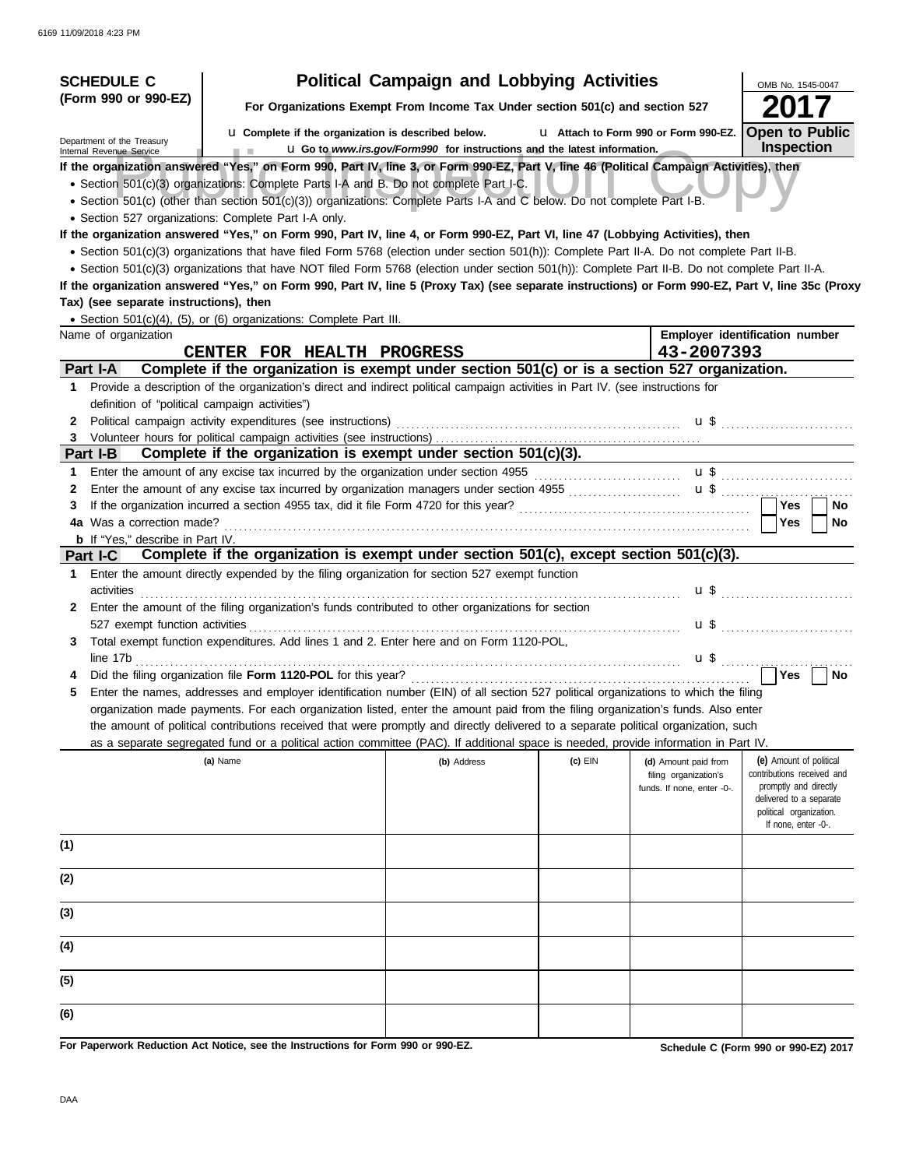| <b>SCHEDULE C</b>                                      |                                                                                                                                                  | <b>Political Campaign and Lobbying Activities</b>                             |           |                                               | OMB No. 1545-0047                                     |
|--------------------------------------------------------|--------------------------------------------------------------------------------------------------------------------------------------------------|-------------------------------------------------------------------------------|-----------|-----------------------------------------------|-------------------------------------------------------|
| (Form 990 or 990-EZ)                                   |                                                                                                                                                  | For Organizations Exempt From Income Tax Under section 501(c) and section 527 |           |                                               |                                                       |
| Department of the Treasury<br>Internal Revenue Service | <b>u</b> Complete if the organization is described below.<br><b>CONTRACTOR</b>                                                                   | La Go to www.irs.gov/Form990 for instructions and the latest information.     |           | L1 Attach to Form 990 or Form 990-EZ.         | <b>Open to Public</b><br><b>Inspection</b>            |
|                                                        | If the organization answered "Yes," on Form 990, Part IV, line 3, or Form 990-EZ, Part V, line 46 (Political Campaign Activities), then          |                                                                               |           |                                               |                                                       |
|                                                        | • Section 501(c)(3) organizations: Complete Parts I-A and B. Do not complete Part I-C.                                                           |                                                                               |           |                                               |                                                       |
|                                                        | · Section 501(c) (other than section 501(c)(3)) organizations: Complete Parts I-A and C below. Do not complete Part I-B.                         |                                                                               |           |                                               |                                                       |
|                                                        | • Section 527 organizations: Complete Part I-A only.                                                                                             |                                                                               |           |                                               |                                                       |
|                                                        | If the organization answered "Yes," on Form 990, Part IV, line 4, or Form 990-EZ, Part VI, line 47 (Lobbying Activities), then                   |                                                                               |           |                                               |                                                       |
|                                                        | • Section 501(c)(3) organizations that have filed Form 5768 (election under section 501(h)): Complete Part II-A. Do not complete Part II-B.      |                                                                               |           |                                               |                                                       |
|                                                        | • Section 501(c)(3) organizations that have NOT filed Form 5768 (election under section 501(h)): Complete Part II-B. Do not complete Part II-A.  |                                                                               |           |                                               |                                                       |
|                                                        | If the organization answered "Yes," on Form 990, Part IV, line 5 (Proxy Tax) (see separate instructions) or Form 990-EZ, Part V, line 35c (Proxy |                                                                               |           |                                               |                                                       |
| Tax) (see separate instructions), then                 |                                                                                                                                                  |                                                                               |           |                                               |                                                       |
|                                                        | • Section 501(c)(4), (5), or (6) organizations: Complete Part III.                                                                               |                                                                               |           |                                               |                                                       |
| Name of organization                                   |                                                                                                                                                  |                                                                               |           | 43-2007393                                    | Employer identification number                        |
| Part I-A                                               | CENTER FOR HEALTH PROGRESS<br>Complete if the organization is exempt under section 501(c) or is a section 527 organization.                      |                                                                               |           |                                               |                                                       |
|                                                        | 1 Provide a description of the organization's direct and indirect political campaign activities in Part IV. (see instructions for                |                                                                               |           |                                               |                                                       |
| definition of "political campaign activities")         |                                                                                                                                                  |                                                                               |           |                                               |                                                       |
| 2                                                      | Political campaign activity expenditures (see instructions)                                                                                      |                                                                               |           |                                               |                                                       |
|                                                        |                                                                                                                                                  |                                                                               |           |                                               |                                                       |
| Part I-B                                               | Complete if the organization is exempt under section 501(c)(3).                                                                                  |                                                                               |           |                                               |                                                       |
| 1.                                                     |                                                                                                                                                  |                                                                               |           |                                               | $\mathbf{u}$ \$                                       |
| 2                                                      | Enter the amount of any excise tax incurred by organization managers under section 4955 [[[[[[[[[[[[[[[[[[[[[                                    |                                                                               |           |                                               | $\mathbf{u}$ \$ $\mathbf{u}$                          |
| 3                                                      |                                                                                                                                                  |                                                                               |           |                                               | <b>Yes</b><br>No                                      |
| 4a Was a correction made?                              |                                                                                                                                                  |                                                                               |           |                                               | Yes<br><b>No</b>                                      |
| <b>b</b> If "Yes," describe in Part IV.                |                                                                                                                                                  |                                                                               |           |                                               |                                                       |
| Part I-C                                               | Complete if the organization is exempt under section 501(c), except section 501(c)(3).                                                           |                                                                               |           |                                               |                                                       |
| 1.                                                     | Enter the amount directly expended by the filing organization for section 527 exempt function                                                    |                                                                               |           |                                               |                                                       |
| activities                                             |                                                                                                                                                  |                                                                               |           |                                               |                                                       |
|                                                        | 2 Enter the amount of the filing organization's funds contributed to other organizations for section                                             |                                                                               |           |                                               |                                                       |
| 527 exempt function activities                         |                                                                                                                                                  |                                                                               |           |                                               | $\mathbf{u}$ \$                                       |
| 3.                                                     | Total exempt function expenditures. Add lines 1 and 2. Enter here and on Form 1120-POL,                                                          |                                                                               |           |                                               |                                                       |
| line 17b                                               |                                                                                                                                                  |                                                                               |           | $\mathbf{u}$ \$                               |                                                       |
|                                                        |                                                                                                                                                  |                                                                               |           |                                               | Yes<br>No                                             |
|                                                        | Enter the names, addresses and employer identification number (EIN) of all section 527 political organizations to which the filing               |                                                                               |           |                                               |                                                       |
|                                                        | organization made payments. For each organization listed, enter the amount paid from the filing organization's funds. Also enter                 |                                                                               |           |                                               |                                                       |
|                                                        | the amount of political contributions received that were promptly and directly delivered to a separate political organization, such              |                                                                               |           |                                               |                                                       |
|                                                        | as a separate segregated fund or a political action committee (PAC). If additional space is needed, provide information in Part IV.              |                                                                               |           |                                               |                                                       |
|                                                        | (a) Name                                                                                                                                         | (b) Address                                                                   | $(c)$ EIN | (d) Amount paid from<br>filing organization's | (e) Amount of political<br>contributions received and |
|                                                        |                                                                                                                                                  |                                                                               |           | funds. If none, enter -0-.                    | promptly and directly                                 |
|                                                        |                                                                                                                                                  |                                                                               |           |                                               | delivered to a separate                               |
|                                                        |                                                                                                                                                  |                                                                               |           |                                               | political organization.<br>If none, enter -0-.        |
|                                                        |                                                                                                                                                  |                                                                               |           |                                               |                                                       |
| (1)                                                    |                                                                                                                                                  |                                                                               |           |                                               |                                                       |
| (2)                                                    |                                                                                                                                                  |                                                                               |           |                                               |                                                       |
| (3)                                                    |                                                                                                                                                  |                                                                               |           |                                               |                                                       |
|                                                        |                                                                                                                                                  |                                                                               |           |                                               |                                                       |
| (4)                                                    |                                                                                                                                                  |                                                                               |           |                                               |                                                       |
| (5)                                                    |                                                                                                                                                  |                                                                               |           |                                               |                                                       |
| (6)                                                    |                                                                                                                                                  |                                                                               |           |                                               |                                                       |
|                                                        | For Paperwork Reduction Act Notice, see the Instructions for Form 990 or 990-EZ.                                                                 |                                                                               |           |                                               | Schedule C (Form 990 or 990-EZ) 2017                  |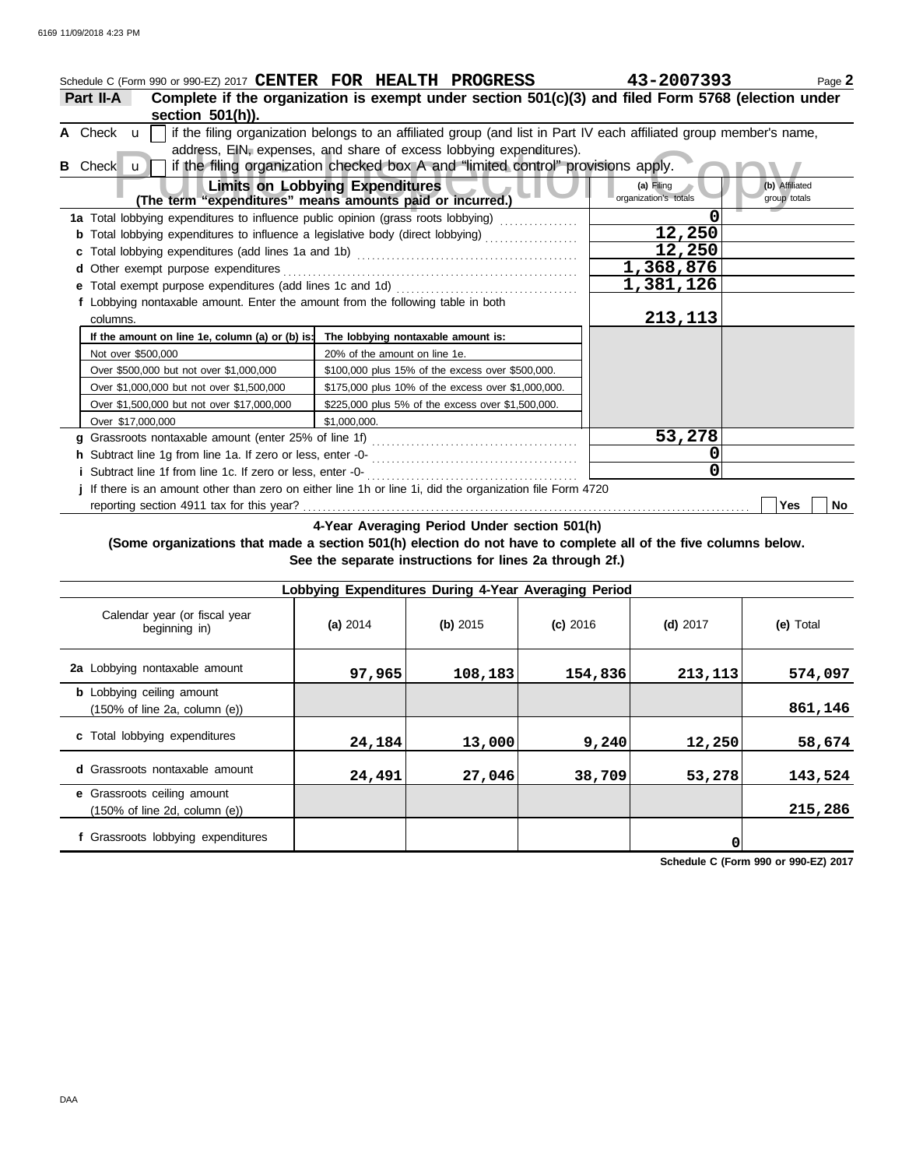| Schedule C (Form 990 or 990-EZ) 2017 CENTER FOR HEALTH PROGRESS                             |                                                                                                                                                                                                                                                                                | 43-2007393                          | Page 2                         |
|---------------------------------------------------------------------------------------------|--------------------------------------------------------------------------------------------------------------------------------------------------------------------------------------------------------------------------------------------------------------------------------|-------------------------------------|--------------------------------|
| Part II-A<br>section 501(h)).                                                               | Complete if the organization is exempt under section 501(c)(3) and filed Form 5768 (election under                                                                                                                                                                             |                                     |                                |
| A Check $\mathbf{u}$<br>Check u<br>B                                                        | if the filing organization belongs to an affiliated group (and list in Part IV each affiliated group member's name,<br>address, EIN, expenses, and share of excess lobbying expenditures).<br>if the filing organization checked box A and "limited control" provisions apply. |                                     |                                |
|                                                                                             | <b>Limits on Lobbying Expenditures</b><br>(The term "expenditures" means amounts paid or incurred.)                                                                                                                                                                            | (a) Filing<br>organization's totals | (b) Affiliated<br>group totals |
|                                                                                             | 1a Total lobbying expenditures to influence public opinion (grass roots lobbying) [                                                                                                                                                                                            |                                     |                                |
|                                                                                             | Total lobbying expenditures to influence a legislative body (direct lobbying) [[[[[[[[[[[[[[[[[[[[[[[[[[[[[[]]                                                                                                                                                                 | 12,250                              |                                |
|                                                                                             |                                                                                                                                                                                                                                                                                | 12,250                              |                                |
| Other exempt purpose expenditures<br>d                                                      |                                                                                                                                                                                                                                                                                | 1,368,876                           |                                |
|                                                                                             |                                                                                                                                                                                                                                                                                | 1,381,126                           |                                |
| f Lobbying nontaxable amount. Enter the amount from the following table in both<br>columns. |                                                                                                                                                                                                                                                                                | 213,113                             |                                |
| If the amount on line 1e, column (a) or (b) is:                                             | The lobbying nontaxable amount is:                                                                                                                                                                                                                                             |                                     |                                |
| Not over \$500,000                                                                          | 20% of the amount on line 1e.                                                                                                                                                                                                                                                  |                                     |                                |
| Over \$500,000 but not over \$1,000,000                                                     | \$100,000 plus 15% of the excess over \$500,000.                                                                                                                                                                                                                               |                                     |                                |
| Over \$1,000,000 but not over \$1,500,000                                                   | \$175,000 plus 10% of the excess over \$1,000,000.                                                                                                                                                                                                                             |                                     |                                |
| Over \$1,500,000 but not over \$17,000,000                                                  | \$225,000 plus 5% of the excess over \$1,500,000.                                                                                                                                                                                                                              |                                     |                                |
| Over \$17,000,000                                                                           | \$1.000.000.                                                                                                                                                                                                                                                                   |                                     |                                |
|                                                                                             |                                                                                                                                                                                                                                                                                | 53,278                              |                                |
|                                                                                             |                                                                                                                                                                                                                                                                                | 0                                   |                                |
| i Subtract line 1f from line 1c. If zero or less, enter -0-                                 |                                                                                                                                                                                                                                                                                | 0                                   |                                |
|                                                                                             | j If there is an amount other than zero on either line 1h or line 1i, did the organization file Form 4720                                                                                                                                                                      |                                     |                                |
|                                                                                             |                                                                                                                                                                                                                                                                                |                                     | Yes<br>No                      |

**4-Year Averaging Period Under section 501(h)**

### **(Some organizations that made a section 501(h) election do not have to complete all of the five columns below. See the separate instructions for lines 2a through 2f.)**

| Lobbying Expenditures During 4-Year Averaging Period                                   |          |          |            |            |           |  |  |  |  |
|----------------------------------------------------------------------------------------|----------|----------|------------|------------|-----------|--|--|--|--|
| Calendar year (or fiscal year<br>beginning in)                                         | (a) 2014 | (b) 2015 | $(c)$ 2016 | $(d)$ 2017 | (e) Total |  |  |  |  |
| 2a Lobbying nontaxable amount                                                          | 97,965   | 108,183  | 154,836    | 213, 113   | 574,097   |  |  |  |  |
| <b>b</b> Lobbying ceiling amount<br>$(150\% \text{ of line } 2a, \text{ column } (e))$ |          |          |            |            | 861,146   |  |  |  |  |
| c Total lobbying expenditures                                                          | 24,184   | 13,000   | 9,240      | 12,250     | 58,674    |  |  |  |  |
| <b>d</b> Grassroots nontaxable amount                                                  | 24,491   | 27,046   | 38,709     | 53,278     | 143,524   |  |  |  |  |
| e Grassroots ceiling amount<br>$(150\% \text{ of line } 2d, \text{ column } (e))$      |          |          |            |            | 215,286   |  |  |  |  |
| f Grassroots lobbying expenditures                                                     |          |          |            | 0          |           |  |  |  |  |

**Schedule C (Form 990 or 990-EZ) 2017**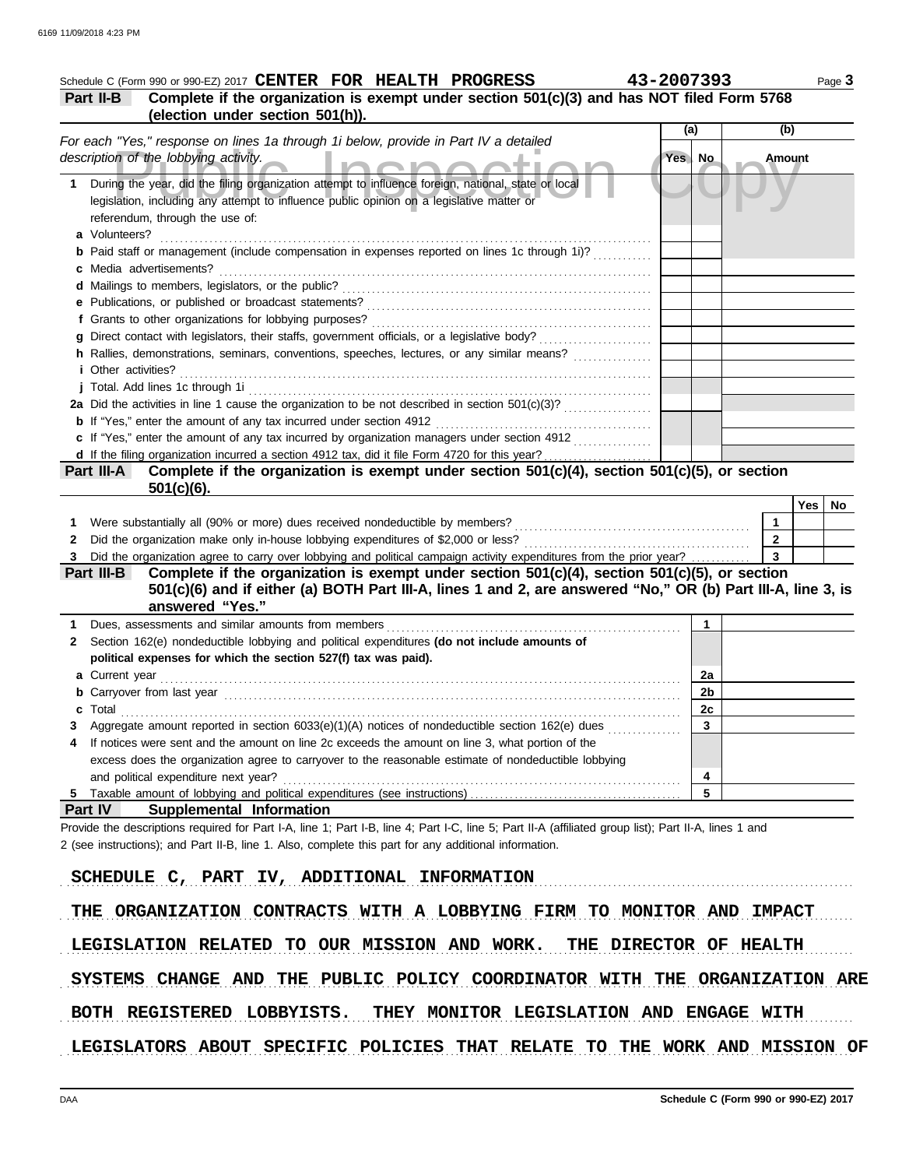|                            | Complete if the organization is exempt under section 501(c)(3) and has NOT filed Form 5768<br>(election under section 501(h)).                                                                                                 |          |              |                         |               |  |
|----------------------------|--------------------------------------------------------------------------------------------------------------------------------------------------------------------------------------------------------------------------------|----------|--------------|-------------------------|---------------|--|
|                            |                                                                                                                                                                                                                                | (a)      |              | (b)                     |               |  |
|                            | For each "Yes," response on lines 1a through 1i below, provide in Part IV a detailed<br>description of the lobbying activity.                                                                                                  | Yes   No |              | <b>Amount</b>           |               |  |
|                            | 1 During the year, did the filing organization attempt to influence foreign, national, state or local<br>legislation, including any attempt to influence public opinion on a legislative matter or                             |          |              |                         |               |  |
| a Volunteers?              | referendum, through the use of:                                                                                                                                                                                                |          |              |                         |               |  |
|                            | <b>b</b> Paid staff or management (include compensation in expenses reported on lines 1c through 1i)?                                                                                                                          |          |              |                         |               |  |
|                            | c Media advertisements?                                                                                                                                                                                                        |          |              |                         |               |  |
|                            |                                                                                                                                                                                                                                |          |              |                         |               |  |
|                            |                                                                                                                                                                                                                                |          |              |                         |               |  |
|                            |                                                                                                                                                                                                                                |          |              |                         |               |  |
|                            |                                                                                                                                                                                                                                |          |              |                         |               |  |
|                            | h Rallies, demonstrations, seminars, conventions, speeches, lectures, or any similar means?                                                                                                                                    |          |              |                         |               |  |
| <i>i</i> Other activities? |                                                                                                                                                                                                                                |          |              |                         |               |  |
|                            | j Total. Add lines 1c through 1i entertainment contracts and all the form of the state of the state of the state of the state of the state of the state of the state of the state of the state of the state of the state of th |          |              |                         |               |  |
|                            |                                                                                                                                                                                                                                |          |              |                         |               |  |
|                            |                                                                                                                                                                                                                                |          |              |                         |               |  |
|                            | c If "Yes," enter the amount of any tax incurred by organization managers under section 4912                                                                                                                                   |          |              |                         |               |  |
|                            |                                                                                                                                                                                                                                |          |              |                         |               |  |
| Part III-A                 | Complete if the organization is exempt under section 501(c)(4), section 501(c)(5), or section                                                                                                                                  |          |              |                         |               |  |
|                            |                                                                                                                                                                                                                                |          |              |                         |               |  |
|                            | $501(c)(6)$ .                                                                                                                                                                                                                  |          |              |                         |               |  |
|                            |                                                                                                                                                                                                                                |          |              |                         | $Yes \mid No$ |  |
| 1                          |                                                                                                                                                                                                                                |          |              | $\mathbf{1}$            |               |  |
| 2                          |                                                                                                                                                                                                                                |          |              | $\overline{2}$          |               |  |
| 3                          | Did the organization agree to carry over lobbying and political campaign activity expenditures from the prior year?                                                                                                            |          |              | $\overline{\mathbf{3}}$ |               |  |
| Part III-B                 | Complete if the organization is exempt under section $501(c)(4)$ , section $501(c)(5)$ , or section                                                                                                                            |          |              |                         |               |  |
|                            | 501(c)(6) and if either (a) BOTH Part III-A, lines 1 and 2, are answered "No," OR (b) Part III-A, line 3, is                                                                                                                   |          |              |                         |               |  |
|                            | answered "Yes."                                                                                                                                                                                                                |          |              |                         |               |  |
| 1                          |                                                                                                                                                                                                                                |          | 1            |                         |               |  |
| $\mathbf{2}$               | Section 162(e) nondeductible lobbying and political expenditures (do not include amounts of                                                                                                                                    |          |              |                         |               |  |
|                            | political expenses for which the section 527(f) tax was paid).                                                                                                                                                                 |          |              |                         |               |  |
| a Current year             |                                                                                                                                                                                                                                |          | 2a           |                         |               |  |
|                            |                                                                                                                                                                                                                                |          | 2b           |                         |               |  |
| Total<br>c                 |                                                                                                                                                                                                                                |          | 2c           |                         |               |  |
| 3                          | Aggregate amount reported in section 6033(e)(1)(A) notices of nondeductible section 162(e) dues                                                                                                                                |          | $\mathbf{3}$ |                         |               |  |
| 4                          | If notices were sent and the amount on line 2c exceeds the amount on line 3, what portion of the                                                                                                                               |          |              |                         |               |  |
|                            | excess does the organization agree to carryover to the reasonable estimate of nondeductible lobbying                                                                                                                           |          |              |                         |               |  |
| 5                          | and political expenditure next year?                                                                                                                                                                                           |          | 4<br>5       |                         |               |  |

SCHEDULE C, PART IV, ADDITIONAL INFORMATION

THE ORGANIZATION CONTRACTS WITH A LOBBYING FIRM TO MONITOR AND IMPACT

LEGISLATION RELATED TO OUR MISSION AND WORK. THE DIRECTOR OF HEALTH

SYSTEMS CHANGE AND THE PUBLIC POLICY COORDINATOR WITH THE ORGANIZATION ARE

BOTH REGISTERED LOBBYISTS. THEY MONITOR LEGISLATION AND ENGAGE WITH

LEGISLATORS ABOUT SPECIFIC POLICIES THAT RELATE TO THE WORK AND MISSION OF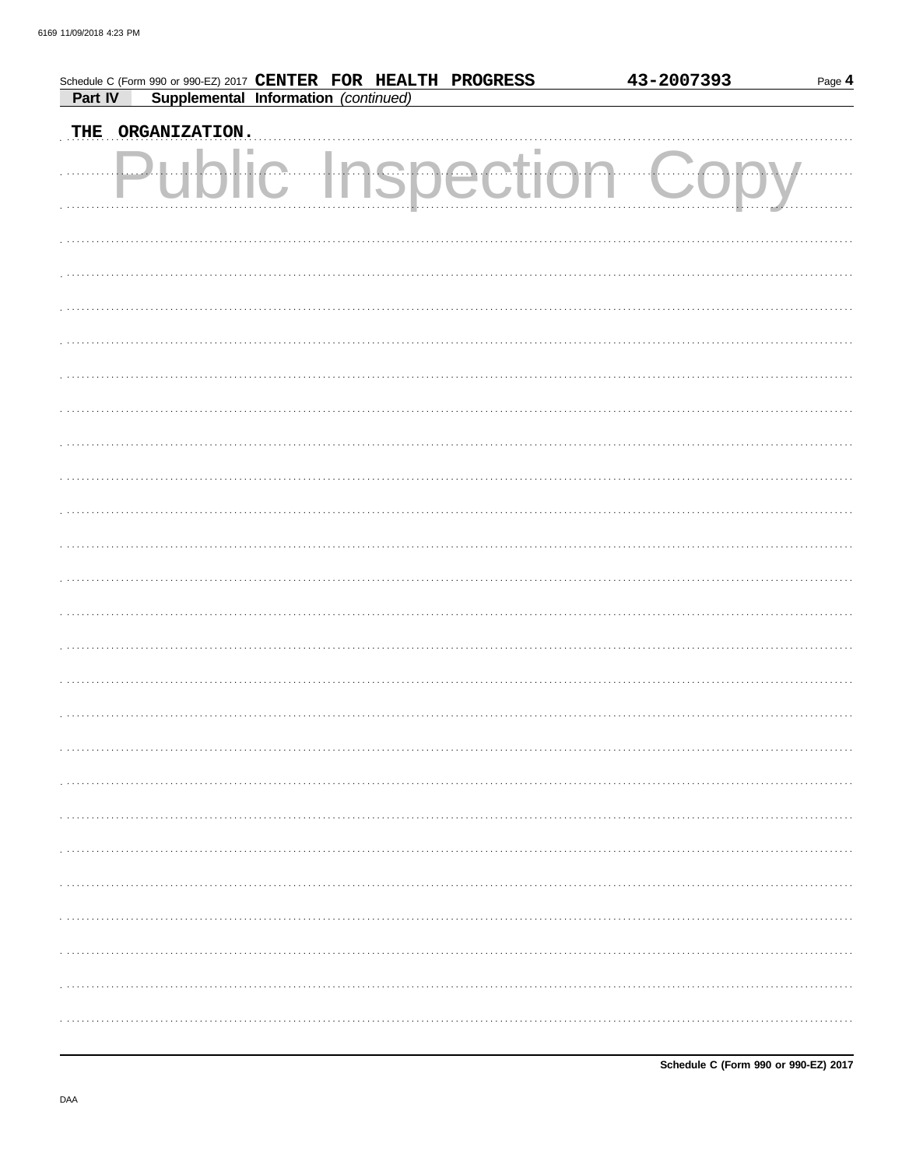|         | Schedule C (Form 990 or 990-EZ) 2017 CENTER FOR HEALTH PROGRESS |                             |     |        | 43-2007393 | Page 4 |
|---------|-----------------------------------------------------------------|-----------------------------|-----|--------|------------|--------|
| Part IV | Supplemental Information (continued)                            |                             |     |        |            |        |
|         | THE ORGANIZATION.                                               |                             |     |        |            |        |
|         |                                                                 | $\sqrt{2}$<br>$\mathcal{L}$ | nsp | ection |            |        |
|         |                                                                 |                             |     |        |            |        |
|         |                                                                 |                             |     |        |            |        |
|         |                                                                 |                             |     |        |            |        |
|         |                                                                 |                             |     |        |            |        |
|         |                                                                 |                             |     |        |            |        |
|         |                                                                 |                             |     |        |            |        |
|         |                                                                 |                             |     |        |            |        |
|         |                                                                 |                             |     |        |            |        |
|         |                                                                 |                             |     |        |            |        |
|         |                                                                 |                             |     |        |            |        |
|         |                                                                 |                             |     |        |            |        |
|         |                                                                 |                             |     |        |            |        |
|         |                                                                 |                             |     |        |            |        |
|         |                                                                 |                             |     |        |            |        |
|         |                                                                 |                             |     |        |            |        |
|         |                                                                 |                             |     |        |            |        |
|         |                                                                 |                             |     |        |            |        |
|         |                                                                 |                             |     |        |            |        |
|         |                                                                 |                             |     |        |            |        |
|         |                                                                 |                             |     |        |            |        |
|         |                                                                 |                             |     |        |            |        |
|         |                                                                 |                             |     |        |            |        |
|         |                                                                 |                             |     |        |            |        |
|         |                                                                 |                             |     |        |            |        |
|         |                                                                 |                             |     |        |            |        |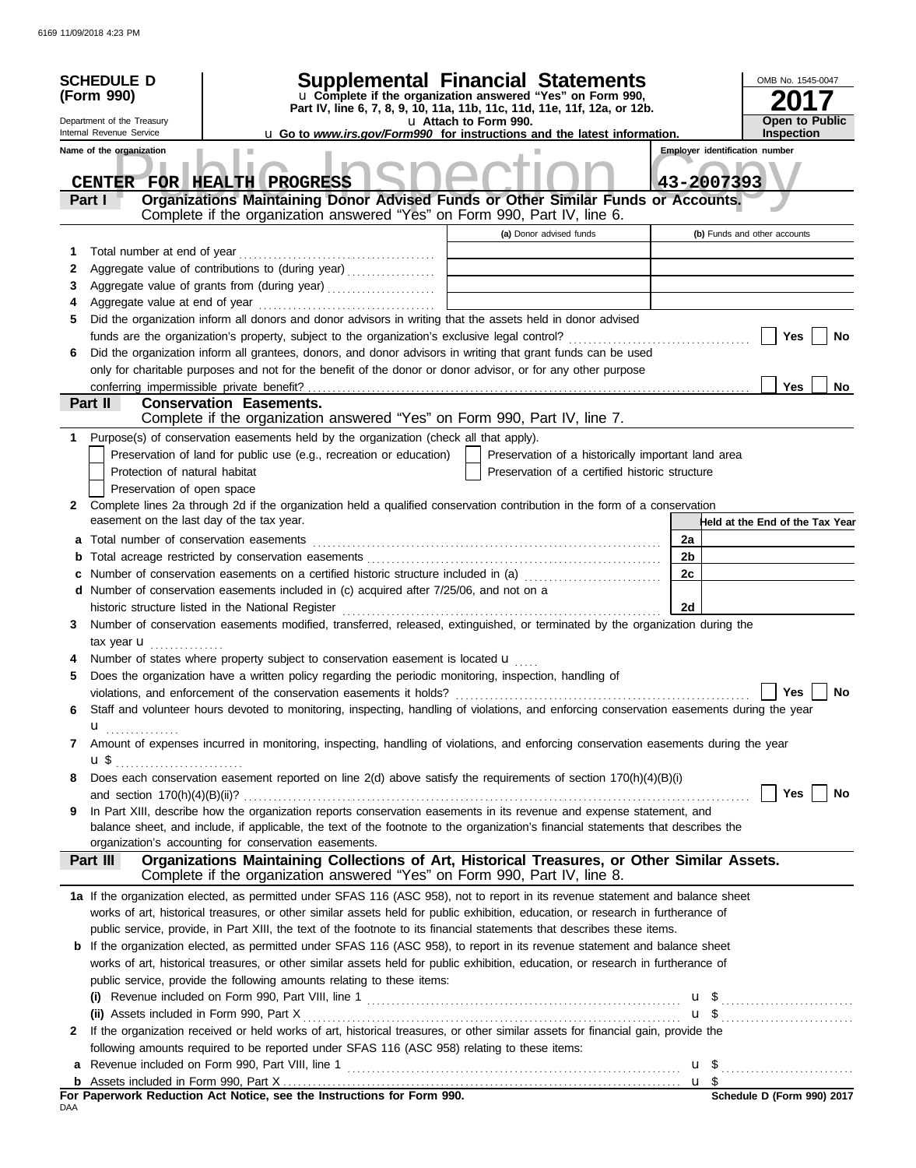|     | <b>SCHEDULE D</b><br>(Form 990)<br>Department of the Treasury<br>Internal Revenue Service<br>Name of the organization | <b>Supplemental Financial Statements</b><br>u Complete if the organization answered "Yes" on Form 990,<br>Part IV, line 6, 7, 8, 9, 10, 11a, 11b, 11c, 11d, 11e, 11f, 12a, or 12b.<br><b>u</b> Go to <i>www.irs.gov/Form990</i> for instructions and the latest information. | u Attach to Form 990. |                                                    |    | OMB No. 1545-0047<br><b>Open to Public</b><br><b>Inspection</b><br><b>Employer identification number</b> |
|-----|-----------------------------------------------------------------------------------------------------------------------|------------------------------------------------------------------------------------------------------------------------------------------------------------------------------------------------------------------------------------------------------------------------------|-----------------------|----------------------------------------------------|----|----------------------------------------------------------------------------------------------------------|
|     | Part I                                                                                                                | CENTER FOR HEALTH PROGRESS<br>Organizations Maintaining Donor Advised Funds or Other Similar Funds or Accounts.<br>Complete if the organization answered "Yes" on Form 990, Part IV, line 6.                                                                                 |                       |                                                    |    | 43-2007393                                                                                               |
|     |                                                                                                                       |                                                                                                                                                                                                                                                                              |                       | (a) Donor advised funds                            |    | (b) Funds and other accounts                                                                             |
| 1   | Total number at end of year                                                                                           |                                                                                                                                                                                                                                                                              |                       |                                                    |    |                                                                                                          |
| 2   |                                                                                                                       |                                                                                                                                                                                                                                                                              |                       |                                                    |    |                                                                                                          |
| 3   |                                                                                                                       | Aggregate value of grants from (during year)                                                                                                                                                                                                                                 |                       |                                                    |    |                                                                                                          |
| 4   |                                                                                                                       |                                                                                                                                                                                                                                                                              |                       |                                                    |    |                                                                                                          |
| 5   |                                                                                                                       | Did the organization inform all donors and donor advisors in writing that the assets held in donor advised                                                                                                                                                                   |                       |                                                    |    |                                                                                                          |
|     |                                                                                                                       |                                                                                                                                                                                                                                                                              |                       |                                                    |    | Yes<br>No                                                                                                |
| 6   |                                                                                                                       | Did the organization inform all grantees, donors, and donor advisors in writing that grant funds can be used                                                                                                                                                                 |                       |                                                    |    |                                                                                                          |
|     |                                                                                                                       | only for charitable purposes and not for the benefit of the donor or donor advisor, or for any other purpose                                                                                                                                                                 |                       |                                                    |    | Yes<br>No                                                                                                |
|     | Part II                                                                                                               | <b>Conservation Easements.</b>                                                                                                                                                                                                                                               |                       |                                                    |    |                                                                                                          |
|     |                                                                                                                       | Complete if the organization answered "Yes" on Form 990, Part IV, line 7.                                                                                                                                                                                                    |                       |                                                    |    |                                                                                                          |
| 1   |                                                                                                                       | Purpose(s) of conservation easements held by the organization (check all that apply).                                                                                                                                                                                        |                       |                                                    |    |                                                                                                          |
|     |                                                                                                                       | Preservation of land for public use (e.g., recreation or education)                                                                                                                                                                                                          |                       | Preservation of a historically important land area |    |                                                                                                          |
|     | Protection of natural habitat                                                                                         |                                                                                                                                                                                                                                                                              |                       | Preservation of a certified historic structure     |    |                                                                                                          |
|     | Preservation of open space                                                                                            |                                                                                                                                                                                                                                                                              |                       |                                                    |    |                                                                                                          |
| 2   |                                                                                                                       | Complete lines 2a through 2d if the organization held a qualified conservation contribution in the form of a conservation                                                                                                                                                    |                       |                                                    |    |                                                                                                          |
|     | easement on the last day of the tax year.                                                                             |                                                                                                                                                                                                                                                                              |                       |                                                    |    | Held at the End of the Tax Year                                                                          |
|     |                                                                                                                       |                                                                                                                                                                                                                                                                              |                       |                                                    | 2a |                                                                                                          |
|     |                                                                                                                       |                                                                                                                                                                                                                                                                              |                       |                                                    | 2b |                                                                                                          |
| c   |                                                                                                                       | Number of conservation easements on a certified historic structure included in (a) <i>[1] Number</i> of conservation easements on a certified historic structure included in (a)                                                                                             |                       |                                                    | 2c |                                                                                                          |
|     |                                                                                                                       | d Number of conservation easements included in (c) acquired after 7/25/06, and not on a                                                                                                                                                                                      |                       |                                                    |    |                                                                                                          |
|     |                                                                                                                       |                                                                                                                                                                                                                                                                              |                       |                                                    | 2d |                                                                                                          |
| 3   |                                                                                                                       | Number of conservation easements modified, transferred, released, extinguished, or terminated by the organization during the                                                                                                                                                 |                       |                                                    |    |                                                                                                          |
|     | tax year $\mathbf{u}$ ,                                                                                               | Number of states where property subject to conservation easement is located <b>u</b>                                                                                                                                                                                         |                       |                                                    |    |                                                                                                          |
| 5   |                                                                                                                       | Does the organization have a written policy regarding the periodic monitoring, inspection, handling of                                                                                                                                                                       |                       |                                                    |    |                                                                                                          |
|     |                                                                                                                       | violations, and enforcement of the conservation easements it holds?                                                                                                                                                                                                          |                       |                                                    |    | Yes<br>No                                                                                                |
| 6   |                                                                                                                       | Staff and volunteer hours devoted to monitoring, inspecting, handling of violations, and enforcing conservation easements during the year                                                                                                                                    |                       |                                                    |    |                                                                                                          |
|     | $\mathbf{u}$                                                                                                          |                                                                                                                                                                                                                                                                              |                       |                                                    |    |                                                                                                          |
| 7   |                                                                                                                       | Amount of expenses incurred in monitoring, inspecting, handling of violations, and enforcing conservation easements during the year                                                                                                                                          |                       |                                                    |    |                                                                                                          |
|     |                                                                                                                       |                                                                                                                                                                                                                                                                              |                       |                                                    |    |                                                                                                          |
| 8   |                                                                                                                       | Does each conservation easement reported on line 2(d) above satisfy the requirements of section 170(h)(4)(B)(i)                                                                                                                                                              |                       |                                                    |    |                                                                                                          |
|     |                                                                                                                       |                                                                                                                                                                                                                                                                              |                       |                                                    |    | <b>Yes</b><br>No                                                                                         |
| 9   |                                                                                                                       | In Part XIII, describe how the organization reports conservation easements in its revenue and expense statement, and                                                                                                                                                         |                       |                                                    |    |                                                                                                          |
|     |                                                                                                                       | balance sheet, and include, if applicable, the text of the footnote to the organization's financial statements that describes the                                                                                                                                            |                       |                                                    |    |                                                                                                          |
|     |                                                                                                                       | organization's accounting for conservation easements.                                                                                                                                                                                                                        |                       |                                                    |    |                                                                                                          |
|     | <b>Part III</b>                                                                                                       | Organizations Maintaining Collections of Art, Historical Treasures, or Other Similar Assets.<br>Complete if the organization answered "Yes" on Form 990, Part IV, line 8.                                                                                                    |                       |                                                    |    |                                                                                                          |
|     |                                                                                                                       | 1a If the organization elected, as permitted under SFAS 116 (ASC 958), not to report in its revenue statement and balance sheet                                                                                                                                              |                       |                                                    |    |                                                                                                          |
|     |                                                                                                                       | works of art, historical treasures, or other similar assets held for public exhibition, education, or research in furtherance of                                                                                                                                             |                       |                                                    |    |                                                                                                          |
|     |                                                                                                                       | public service, provide, in Part XIII, the text of the footnote to its financial statements that describes these items.                                                                                                                                                      |                       |                                                    |    |                                                                                                          |
|     |                                                                                                                       | <b>b</b> If the organization elected, as permitted under SFAS 116 (ASC 958), to report in its revenue statement and balance sheet                                                                                                                                            |                       |                                                    |    |                                                                                                          |
|     |                                                                                                                       | works of art, historical treasures, or other similar assets held for public exhibition, education, or research in furtherance of                                                                                                                                             |                       |                                                    |    |                                                                                                          |
|     |                                                                                                                       | public service, provide the following amounts relating to these items:                                                                                                                                                                                                       |                       |                                                    |    |                                                                                                          |
|     |                                                                                                                       | (i) Revenue included on Form 990, Part VIII, line 1 $\ldots$ $\ldots$ $\ldots$ $\ldots$ $\ldots$ $\ldots$ $\ldots$ $\ldots$ $\ldots$ $\ldots$ $\ldots$                                                                                                                       |                       |                                                    |    |                                                                                                          |
|     |                                                                                                                       |                                                                                                                                                                                                                                                                              |                       |                                                    |    |                                                                                                          |
| 2   |                                                                                                                       | If the organization received or held works of art, historical treasures, or other similar assets for financial gain, provide the                                                                                                                                             |                       |                                                    |    |                                                                                                          |
|     |                                                                                                                       | following amounts required to be reported under SFAS 116 (ASC 958) relating to these items:                                                                                                                                                                                  |                       |                                                    |    |                                                                                                          |
|     |                                                                                                                       |                                                                                                                                                                                                                                                                              |                       |                                                    |    |                                                                                                          |
|     |                                                                                                                       | For Paperwork Reduction Act Notice, see the Instructions for Form 990.                                                                                                                                                                                                       |                       |                                                    |    | Schedule D (Form 990) 2017                                                                               |
| DAA |                                                                                                                       |                                                                                                                                                                                                                                                                              |                       |                                                    |    |                                                                                                          |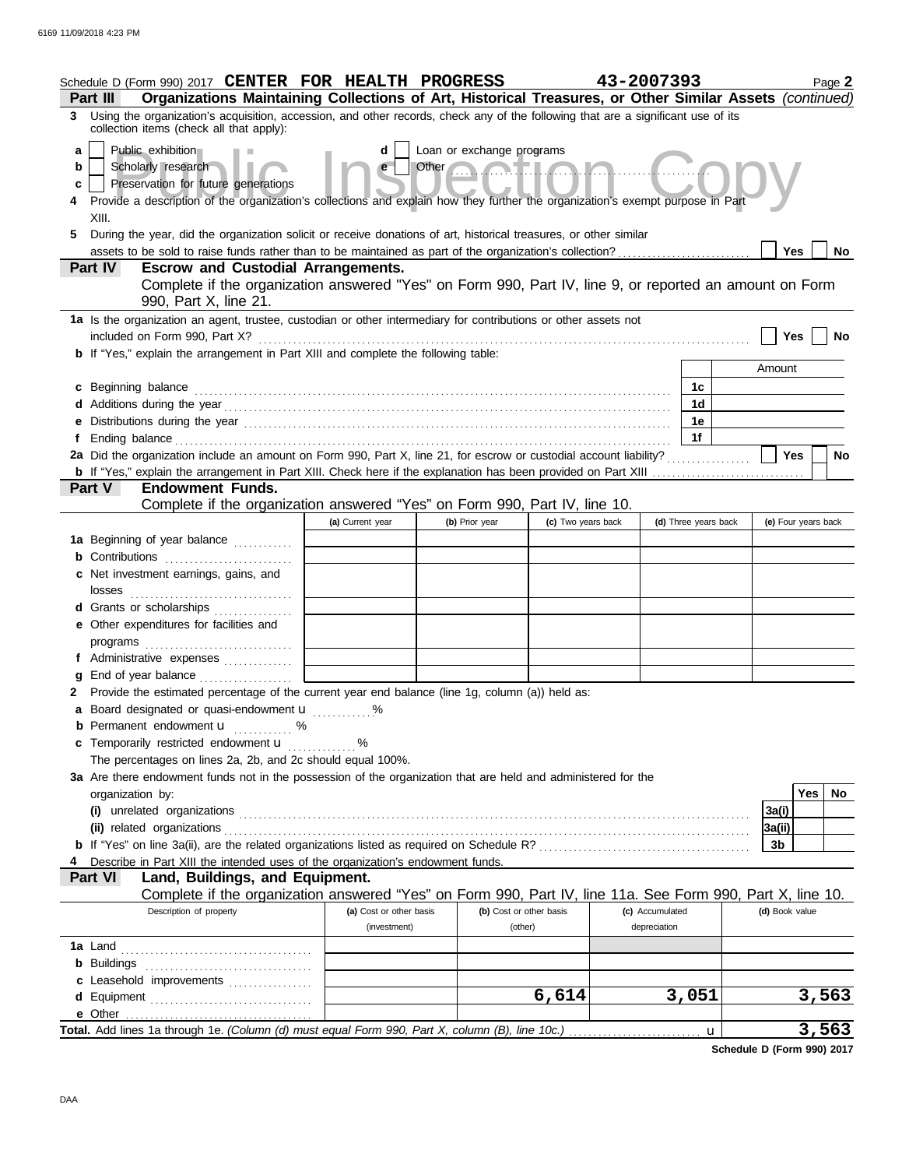|                  | Schedule D (Form 990) 2017 CENTER FOR HEALTH PROGRESS<br>Organizations Maintaining Collections of Art, Historical Treasures, or Other Similar Assets (continued)<br><b>Part III</b>                                                                                                                                                                                                                                                                       |                         |                                                         |                         | 43-2007393           |                     | Page 2    |
|------------------|-----------------------------------------------------------------------------------------------------------------------------------------------------------------------------------------------------------------------------------------------------------------------------------------------------------------------------------------------------------------------------------------------------------------------------------------------------------|-------------------------|---------------------------------------------------------|-------------------------|----------------------|---------------------|-----------|
|                  | 3 Using the organization's acquisition, accession, and other records, check any of the following that are a significant use of its<br>collection items (check all that apply):                                                                                                                                                                                                                                                                            |                         |                                                         |                         |                      |                     |           |
| a<br>b<br>c<br>5 | Public exhibition<br>Scholarly research<br>Preservation for future generations<br>Provide a description of the organization's collections and explain how they further the organization's exempt purpose in Part<br>XIII.<br>During the year, did the organization solicit or receive donations of art, historical treasures, or other similar<br>assets to be sold to raise funds rather than to be maintained as part of the organization's collection? | d<br>e                  | Loan or exchange programs<br>Other <b>Communication</b> |                         |                      | Yes                 | <b>No</b> |
|                  | Part IV<br><b>Escrow and Custodial Arrangements.</b>                                                                                                                                                                                                                                                                                                                                                                                                      |                         |                                                         |                         |                      |                     |           |
|                  | Complete if the organization answered "Yes" on Form 990, Part IV, line 9, or reported an amount on Form<br>990, Part X, line 21.                                                                                                                                                                                                                                                                                                                          |                         |                                                         |                         |                      |                     |           |
|                  | 1a Is the organization an agent, trustee, custodian or other intermediary for contributions or other assets not<br>included on Form 990, Part X?                                                                                                                                                                                                                                                                                                          |                         |                                                         |                         |                      | Yes                 | No        |
|                  | <b>b</b> If "Yes," explain the arrangement in Part XIII and complete the following table:                                                                                                                                                                                                                                                                                                                                                                 |                         |                                                         |                         |                      |                     |           |
|                  |                                                                                                                                                                                                                                                                                                                                                                                                                                                           |                         |                                                         |                         |                      | Amount              |           |
|                  | c Beginning balance<br>d Additions during the year contact the contact of the year contact the year contact the year contact the year                                                                                                                                                                                                                                                                                                                     |                         |                                                         |                         | 1c<br>1 <sub>d</sub> |                     |           |
|                  |                                                                                                                                                                                                                                                                                                                                                                                                                                                           |                         |                                                         |                         | 1е                   |                     |           |
|                  |                                                                                                                                                                                                                                                                                                                                                                                                                                                           |                         |                                                         |                         | 1f                   |                     |           |
|                  | 2a Did the organization include an amount on Form 990, Part X, line 21, for escrow or custodial account liability?                                                                                                                                                                                                                                                                                                                                        |                         |                                                         |                         |                      | <b>Yes</b>          | <b>No</b> |
|                  |                                                                                                                                                                                                                                                                                                                                                                                                                                                           |                         |                                                         |                         |                      |                     |           |
|                  | <b>Endowment Funds.</b><br>Part V                                                                                                                                                                                                                                                                                                                                                                                                                         |                         |                                                         |                         |                      |                     |           |
|                  | Complete if the organization answered "Yes" on Form 990, Part IV, line 10.                                                                                                                                                                                                                                                                                                                                                                                |                         |                                                         |                         |                      |                     |           |
|                  | 1a Beginning of year balance                                                                                                                                                                                                                                                                                                                                                                                                                              | (a) Current year        | (b) Prior year                                          | (c) Two years back      | (d) Three years back | (e) Four years back |           |
|                  | <b>b</b> Contributions                                                                                                                                                                                                                                                                                                                                                                                                                                    |                         |                                                         |                         |                      |                     |           |
|                  | c Net investment earnings, gains, and                                                                                                                                                                                                                                                                                                                                                                                                                     |                         |                                                         |                         |                      |                     |           |
|                  | losses                                                                                                                                                                                                                                                                                                                                                                                                                                                    |                         |                                                         |                         |                      |                     |           |
|                  | d Grants or scholarships                                                                                                                                                                                                                                                                                                                                                                                                                                  |                         |                                                         |                         |                      |                     |           |
|                  | e Other expenditures for facilities and                                                                                                                                                                                                                                                                                                                                                                                                                   |                         |                                                         |                         |                      |                     |           |
|                  |                                                                                                                                                                                                                                                                                                                                                                                                                                                           |                         |                                                         |                         |                      |                     |           |
|                  | f Administrative expenses                                                                                                                                                                                                                                                                                                                                                                                                                                 |                         |                                                         |                         |                      |                     |           |
|                  | g End of year balance                                                                                                                                                                                                                                                                                                                                                                                                                                     |                         |                                                         |                         |                      |                     |           |
|                  | 2 Provide the estimated percentage of the current year end balance (line 1g, column (a)) held as:<br>a Board designated or quasi-endowment <b>u</b> %                                                                                                                                                                                                                                                                                                     |                         |                                                         |                         |                      |                     |           |
|                  | <b>b</b> Permanent endowment <b>u</b> %                                                                                                                                                                                                                                                                                                                                                                                                                   |                         |                                                         |                         |                      |                     |           |
|                  | c Temporarily restricted endowment <b>u</b> %                                                                                                                                                                                                                                                                                                                                                                                                             |                         |                                                         |                         |                      |                     |           |
|                  | The percentages on lines 2a, 2b, and 2c should equal 100%.                                                                                                                                                                                                                                                                                                                                                                                                |                         |                                                         |                         |                      |                     |           |
|                  | 3a Are there endowment funds not in the possession of the organization that are held and administered for the                                                                                                                                                                                                                                                                                                                                             |                         |                                                         |                         |                      |                     |           |
|                  | organization by:                                                                                                                                                                                                                                                                                                                                                                                                                                          |                         |                                                         |                         |                      | Yes                 | No        |
|                  |                                                                                                                                                                                                                                                                                                                                                                                                                                                           |                         |                                                         |                         |                      | 3a(i)               |           |
|                  |                                                                                                                                                                                                                                                                                                                                                                                                                                                           |                         |                                                         |                         |                      | 3a(ii)              |           |
|                  | Describe in Part XIII the intended uses of the organization's endowment funds.                                                                                                                                                                                                                                                                                                                                                                            |                         |                                                         |                         |                      | 3b                  |           |
|                  | Land, Buildings, and Equipment.<br><b>Part VI</b>                                                                                                                                                                                                                                                                                                                                                                                                         |                         |                                                         |                         |                      |                     |           |
|                  | Complete if the organization answered "Yes" on Form 990, Part IV, line 11a. See Form 990, Part X, line 10.                                                                                                                                                                                                                                                                                                                                                |                         |                                                         |                         |                      |                     |           |
|                  | Description of property                                                                                                                                                                                                                                                                                                                                                                                                                                   | (a) Cost or other basis |                                                         | (b) Cost or other basis | (c) Accumulated      | (d) Book value      |           |
|                  |                                                                                                                                                                                                                                                                                                                                                                                                                                                           | (investment)            |                                                         | (other)                 | depreciation         |                     |           |
|                  |                                                                                                                                                                                                                                                                                                                                                                                                                                                           |                         |                                                         |                         |                      |                     |           |
|                  |                                                                                                                                                                                                                                                                                                                                                                                                                                                           |                         |                                                         |                         |                      |                     |           |
|                  | c Leasehold improvements                                                                                                                                                                                                                                                                                                                                                                                                                                  |                         |                                                         | 6,614                   | 3,051                | 3,563               |           |
|                  | d Equipment                                                                                                                                                                                                                                                                                                                                                                                                                                               |                         |                                                         |                         |                      |                     |           |
|                  |                                                                                                                                                                                                                                                                                                                                                                                                                                                           |                         |                                                         |                         |                      | 3,563<br>u          |           |

**Schedule D (Form 990) 2017**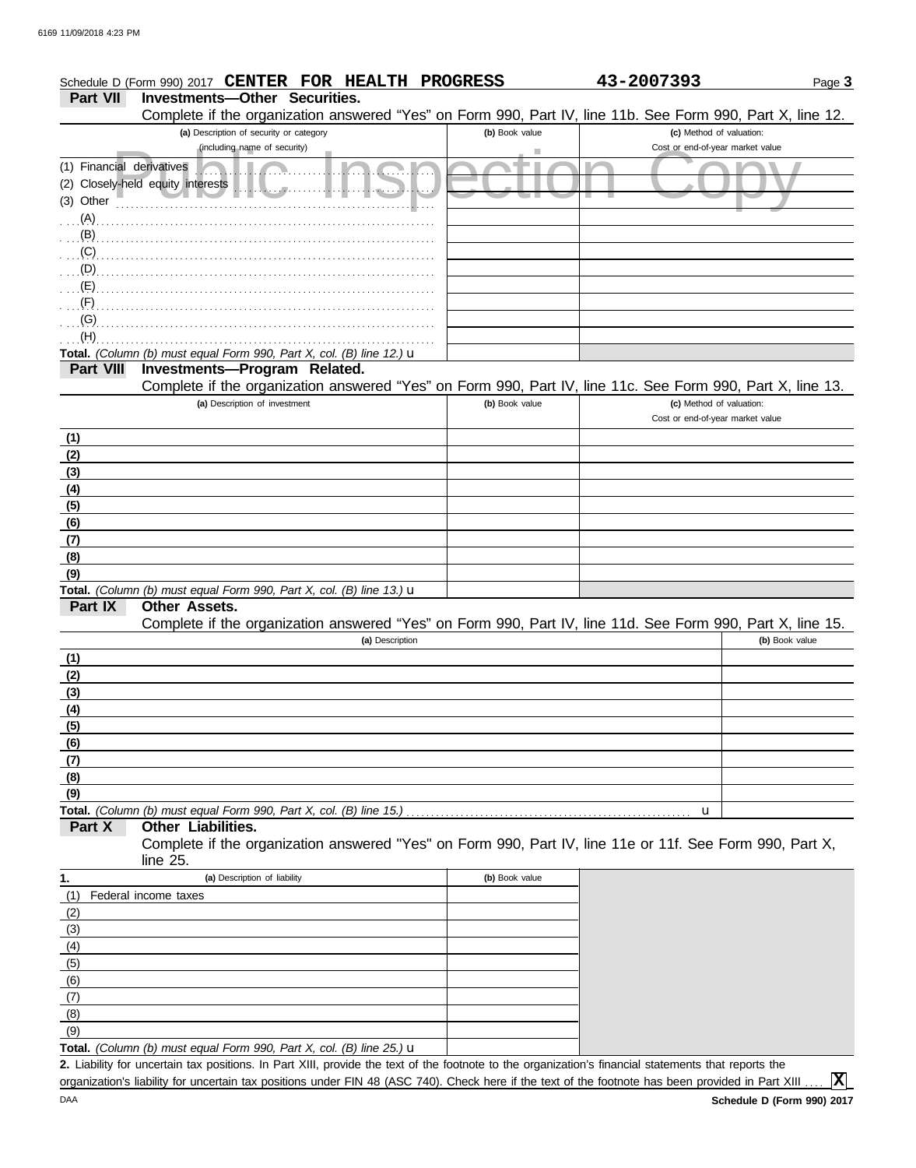|                           | Schedule D (Form 990) 2017 CENTER FOR HEALTH PROGRESS                                                                                       |                | 43-2007393                       | Page 3         |
|---------------------------|---------------------------------------------------------------------------------------------------------------------------------------------|----------------|----------------------------------|----------------|
| <b>Part VII</b>           | <b>Investments-Other Securities.</b>                                                                                                        |                |                                  |                |
|                           | Complete if the organization answered "Yes" on Form 990, Part IV, line 11b. See Form 990, Part X, line 12.                                  |                |                                  |                |
|                           | (a) Description of security or category                                                                                                     | (b) Book value | (c) Method of valuation:         |                |
|                           | (including name of security)                                                                                                                |                | Cost or end-of-year market value |                |
| (1) Financial derivatives |                                                                                                                                             |                |                                  |                |
| $(3)$ Other               | (2) Closely-held equity interests<br>Wallach a                                                                                              |                |                                  |                |
| $(A)$ .                   |                                                                                                                                             |                |                                  |                |
| (B)                       |                                                                                                                                             |                |                                  |                |
| (C)                       |                                                                                                                                             |                |                                  |                |
| (D)                       |                                                                                                                                             |                |                                  |                |
| (E)                       |                                                                                                                                             |                |                                  |                |
| (F)                       |                                                                                                                                             |                |                                  |                |
| (G)                       |                                                                                                                                             |                |                                  |                |
| (H)                       |                                                                                                                                             |                |                                  |                |
|                           | Total. (Column (b) must equal Form 990, Part X, col. (B) line 12.) $\mathbf u$                                                              |                |                                  |                |
| <b>Part VIII</b>          | Investments-Program Related.                                                                                                                |                |                                  |                |
|                           | Complete if the organization answered "Yes" on Form 990, Part IV, line 11c. See Form 990, Part X, line 13.<br>(a) Description of investment | (b) Book value | (c) Method of valuation:         |                |
|                           |                                                                                                                                             |                | Cost or end-of-year market value |                |
| (1)                       |                                                                                                                                             |                |                                  |                |
| (2)                       |                                                                                                                                             |                |                                  |                |
| (3)                       |                                                                                                                                             |                |                                  |                |
| (4)                       |                                                                                                                                             |                |                                  |                |
| (5)                       |                                                                                                                                             |                |                                  |                |
| (6)                       |                                                                                                                                             |                |                                  |                |
| (7)                       |                                                                                                                                             |                |                                  |                |
| (8)                       |                                                                                                                                             |                |                                  |                |
| (9)                       |                                                                                                                                             |                |                                  |                |
| Part IX                   | Total. (Column (b) must equal Form 990, Part X, col. (B) line 13.) u<br>Other Assets.                                                       |                |                                  |                |
|                           | Complete if the organization answered "Yes" on Form 990, Part IV, line 11d. See Form 990, Part X, line 15.                                  |                |                                  |                |
|                           | (a) Description                                                                                                                             |                |                                  | (b) Book value |
| (1)                       |                                                                                                                                             |                |                                  |                |
| (2)                       |                                                                                                                                             |                |                                  |                |
| (3)                       |                                                                                                                                             |                |                                  |                |
| (4)                       |                                                                                                                                             |                |                                  |                |
| (5)                       |                                                                                                                                             |                |                                  |                |
| (6)                       |                                                                                                                                             |                |                                  |                |
| (7)                       |                                                                                                                                             |                |                                  |                |
| (8)                       |                                                                                                                                             |                |                                  |                |
| (9)                       |                                                                                                                                             |                |                                  |                |
| Part X                    | Total. (Column (b) must equal Form 990, Part X, col. (B) line 15.)<br>Other Liabilities.                                                    |                | u                                |                |
|                           | Complete if the organization answered "Yes" on Form 990, Part IV, line 11e or 11f. See Form 990, Part X,                                    |                |                                  |                |
|                           | line 25.                                                                                                                                    |                |                                  |                |
| 1.                        | (a) Description of liability                                                                                                                | (b) Book value |                                  |                |
| (1)                       | Federal income taxes                                                                                                                        |                |                                  |                |
| (2)                       |                                                                                                                                             |                |                                  |                |
| (3)                       |                                                                                                                                             |                |                                  |                |
| (4)                       |                                                                                                                                             |                |                                  |                |
| (5)                       |                                                                                                                                             |                |                                  |                |
| (6)                       |                                                                                                                                             |                |                                  |                |
| (7)                       |                                                                                                                                             |                |                                  |                |
| (8)                       |                                                                                                                                             |                |                                  |                |

**Total.** *(Column (b) must equal Form 990, Part X, col. (B) line 25.)* u

Liability for uncertain tax positions. In Part XIII, provide the text of the footnote to the organization's financial statements that reports the **2.** organization's liability for uncertain tax positions under FIN 48 (ASC 740). Check here if the text of the footnote has been provided in Part XIII.

**X**

(9)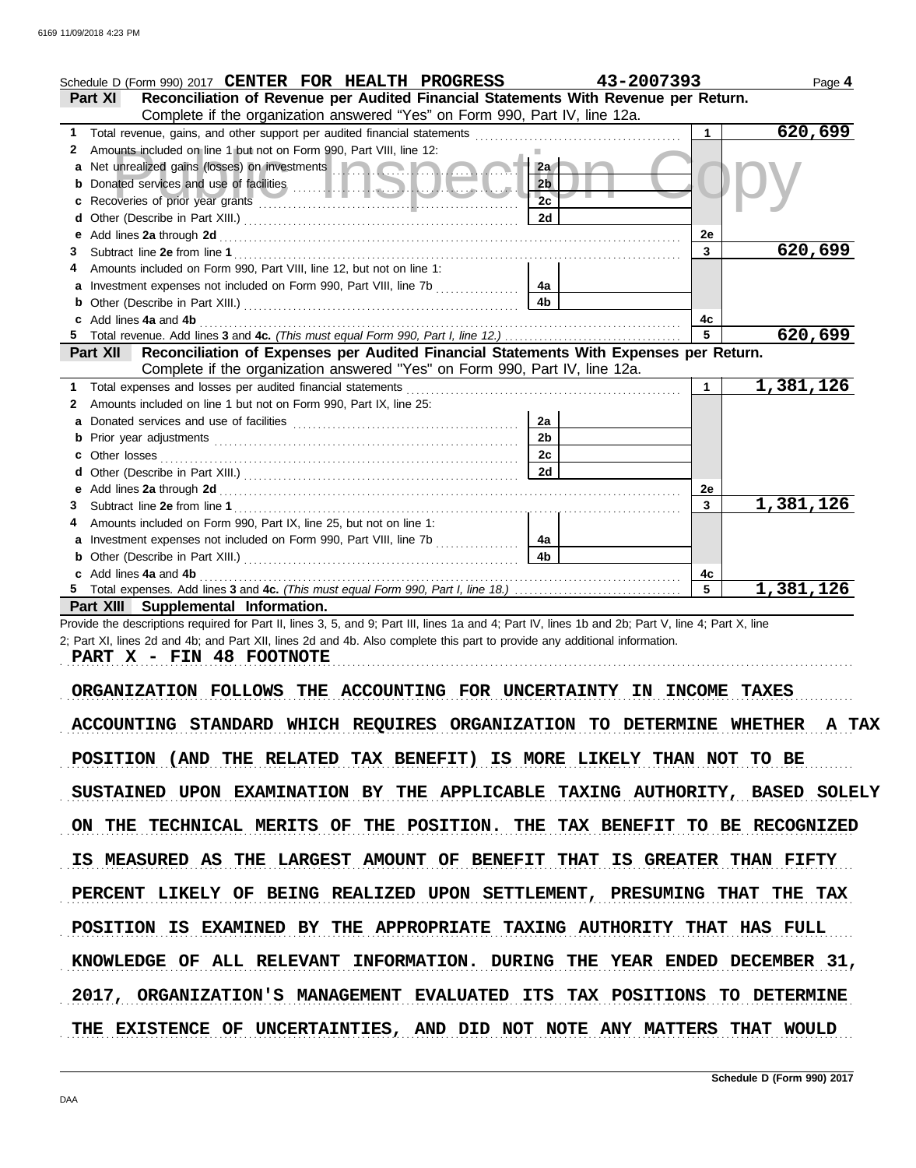|    | Schedule D (Form 990) 2017 CENTER FOR HEALTH PROGRESS                                                                                              | 43-2007393     |                | Page 4                 |
|----|----------------------------------------------------------------------------------------------------------------------------------------------------|----------------|----------------|------------------------|
|    | Reconciliation of Revenue per Audited Financial Statements With Revenue per Return.<br>Part XI                                                     |                |                |                        |
|    | Complete if the organization answered "Yes" on Form 990, Part IV, line 12a.                                                                        |                |                |                        |
| 1. | Total revenue, gains, and other support per audited financial statements                                                                           |                | $\mathbf{1}$   | 620,699                |
| 2  | Amounts included on line 1 but not on Form 990, Part VIII, line 12:                                                                                |                |                |                        |
| a  | Net unrealized gains (losses) on investments [1100] Contract to the contract of                                                                    | 2a             |                |                        |
| b  |                                                                                                                                                    | 2 <sub>b</sub> |                |                        |
|    |                                                                                                                                                    | 2c             |                |                        |
| d  |                                                                                                                                                    | 2d             |                |                        |
| е  |                                                                                                                                                    |                | 2e             |                        |
| 3. |                                                                                                                                                    |                | 3              | 620,699                |
|    | Amounts included on Form 990, Part VIII, line 12, but not on line 1:                                                                               |                |                |                        |
| a  | Investment expenses not included on Form 990, Part VIII, line 7b [[[[[[[[[[[[[[[[[[[[[[[[]]]]]]]]                                                  | 4a             |                |                        |
|    |                                                                                                                                                    | 4b             |                |                        |
|    | Add lines 4a and 4b                                                                                                                                |                | 4c             |                        |
|    |                                                                                                                                                    |                | 5              | 620,699                |
|    | Reconciliation of Expenses per Audited Financial Statements With Expenses per Return.<br><b>Part XII</b>                                           |                |                |                        |
|    | Complete if the organization answered "Yes" on Form 990, Part IV, line 12a.                                                                        |                |                |                        |
|    | Total expenses and losses per audited financial statements                                                                                         |                | $\mathbf 1$    | $\overline{1,381,126}$ |
| 2  | Amounts included on line 1 but not on Form 990, Part IX, line 25:                                                                                  |                |                |                        |
| a  |                                                                                                                                                    | 2a             |                |                        |
|    |                                                                                                                                                    | 2 <sub>b</sub> |                |                        |
|    | Other losses                                                                                                                                       | 2c             |                |                        |
| d  |                                                                                                                                                    | 2d             |                |                        |
| е  |                                                                                                                                                    |                | <b>2e</b>      |                        |
| 3. |                                                                                                                                                    |                | 3              | 1,381,126              |
|    | Amounts included on Form 990, Part IX, line 25, but not on line 1:                                                                                 |                |                |                        |
|    |                                                                                                                                                    | 4a             |                |                        |
| b  |                                                                                                                                                    | 4b.            |                |                        |
|    | Add lines 4a and 4b                                                                                                                                |                | 4с             |                        |
|    |                                                                                                                                                    |                | $5\phantom{1}$ | 1,381,126              |
|    | Part XIII Supplemental Information.                                                                                                                |                |                |                        |
|    | Provide the descriptions required for Part II, lines 3, 5, and 9; Part III, lines 1a and 4; Part IV, lines 1b and 2b; Part V, line 4; Part X, line |                |                |                        |

2; Part XI, lines 2d and 4b; and Part XII, lines 2d and 4b. Also complete this part to provide any additional information.

PART X - FIN 48 FOOTNOTE

ORGANIZATION FOLLOWS THE ACCOUNTING FOR UNCERTAINTY IN INCOME TAXES ACCOUNTING STANDARD WHICH REQUIRES ORGANIZATION TO DETERMINE WHETHER A TAX POSITION (AND THE RELATED TAX BENEFIT) IS MORE LIKELY THAN NOT TO BE SUSTAINED UPON EXAMINATION BY THE APPLICABLE TAXING AUTHORITY, BASED SOLELY ON THE TECHNICAL MERITS OF THE POSITION. THE TAX BENEFIT TO BE RECOGNIZED IS MEASURED AS THE LARGEST AMOUNT OF BENEFIT THAT IS GREATER THAN FIFTY KNOWLEDGE OF ALL RELEVANT INFORMATION. DURING THE YEAR ENDED DECEMBER 31, PERCENT LIKELY OF BEING REALIZED UPON SETTLEMENT, PRESUMING THAT THE TAX POSITION IS EXAMINED BY THE APPROPRIATE TAXING AUTHORITY THAT HAS FULL 2017, ORGANIZATION'S MANAGEMENT EVALUATED ITS TAX POSITIONS TO DETERMINE THE EXISTENCE OF UNCERTAINTIES, AND DID NOT NOTE ANY MATTERS THAT WOULD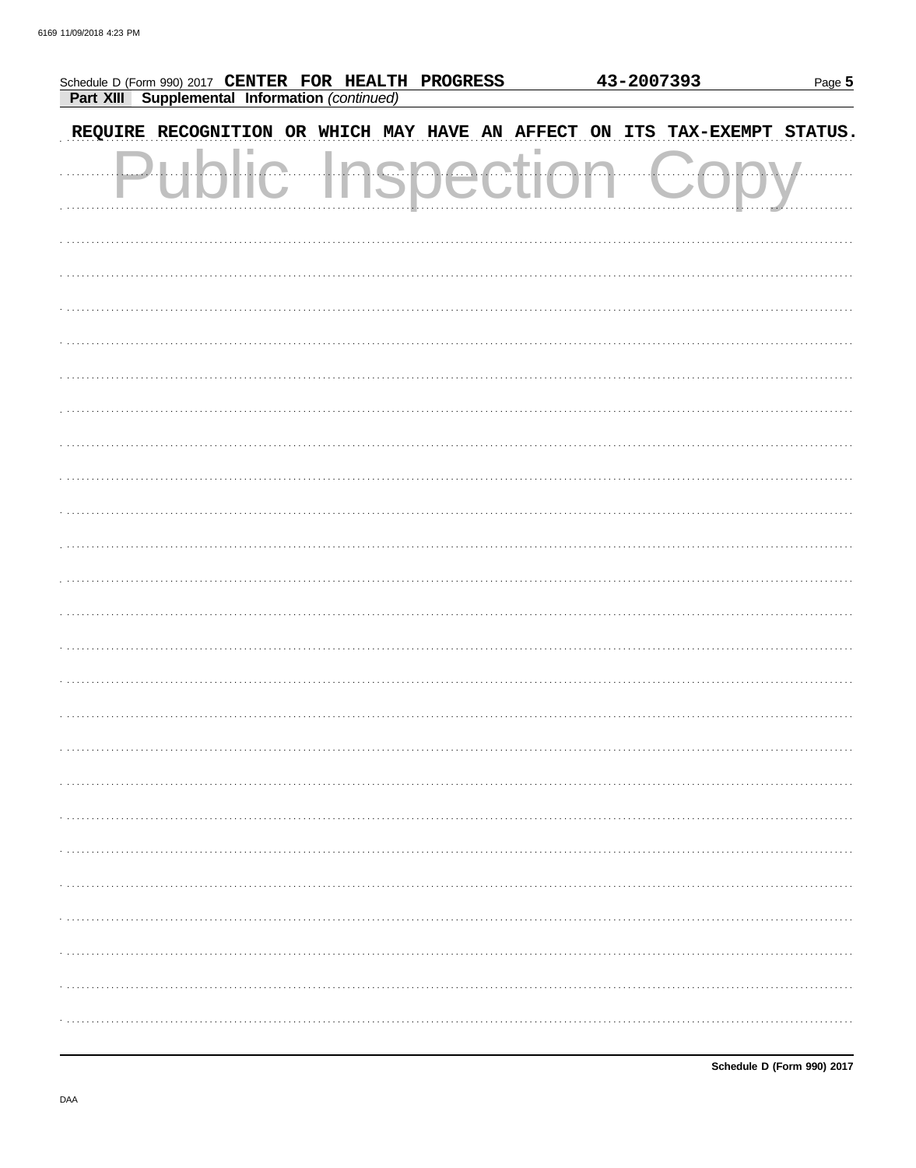| Schedule D (Form 990) 2017 CENTER FOR HEALTH PROGRESS             |            |           | 43-2007393 | Page 5         |
|-------------------------------------------------------------------|------------|-----------|------------|----------------|
| Part XIII Supplemental Information (continued)                    |            |           |            |                |
| REQUIRE RECOGNITION OR WHICH MAY HAVE AN AFFECT ON ITS TAX-EXEMPT |            |           |            | <b>STATUS.</b> |
|                                                                   | ala a atil | (1, 1, 1) | . 7.       |                |
|                                                                   |            |           |            |                |
|                                                                   |            |           |            |                |
|                                                                   |            |           |            |                |
|                                                                   |            |           |            |                |
|                                                                   |            |           |            |                |
|                                                                   |            |           |            |                |
|                                                                   |            |           |            |                |
|                                                                   |            |           |            |                |
|                                                                   |            |           |            |                |
|                                                                   |            |           |            |                |
|                                                                   |            |           |            |                |
|                                                                   |            |           |            |                |
|                                                                   |            |           |            |                |
|                                                                   |            |           |            |                |
|                                                                   |            |           |            |                |
|                                                                   |            |           |            |                |
|                                                                   |            |           |            |                |
|                                                                   |            |           |            |                |
|                                                                   |            |           |            |                |
|                                                                   |            |           |            |                |
|                                                                   |            |           |            |                |
|                                                                   |            |           |            |                |
|                                                                   |            |           |            |                |
|                                                                   |            |           |            |                |
|                                                                   |            |           |            |                |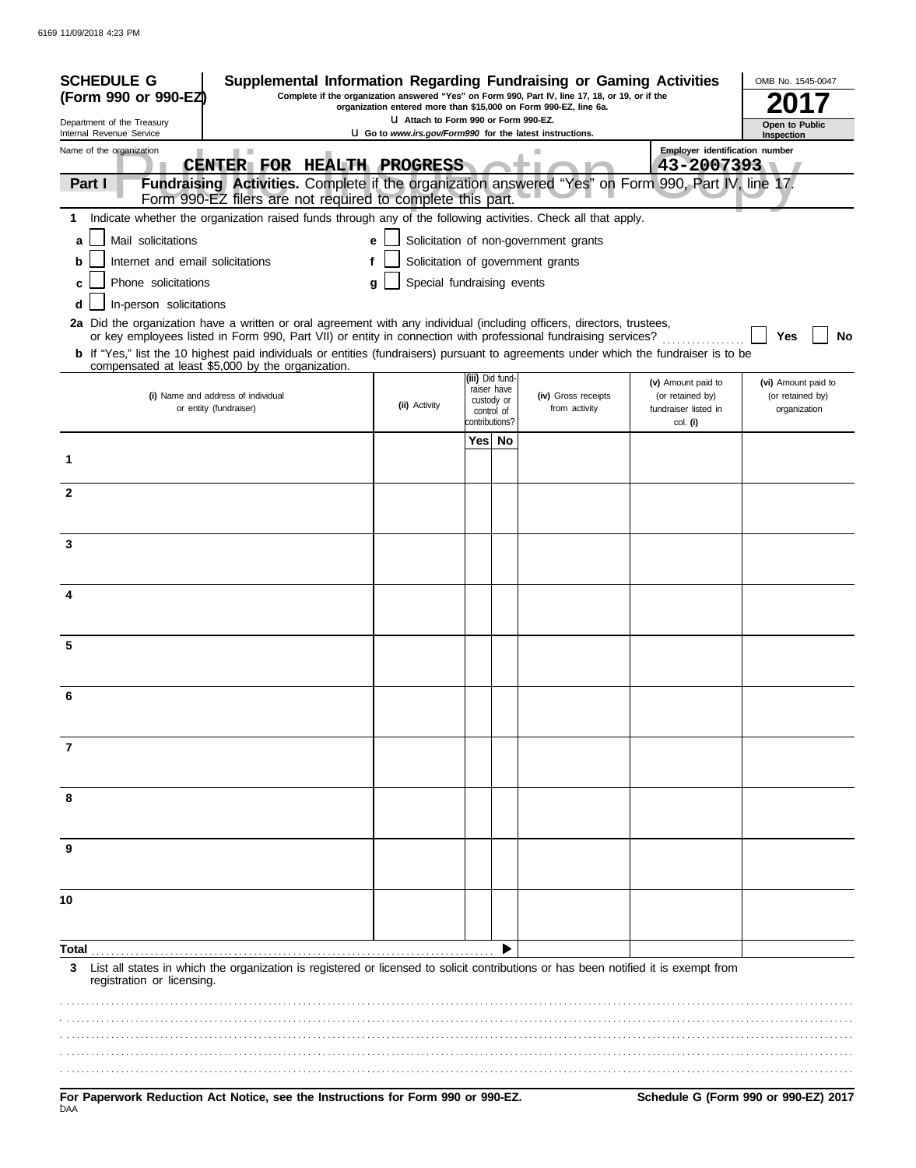| <b>SCHEDULE G</b><br>Supplemental Information Regarding Fundraising or Gaming Activities<br>Complete if the organization answered "Yes" on Form 990, Part IV, line 17, 18, or 19, or if the<br>(Form 990 or 990-EZ)<br>organization entered more than \$15,000 on Form 990-EZ, line 6a. |                                                                                                                                                                                                                                                                                                                                                                                                                                               |                                                                                                          |                |                                                            | OMB No. 1545-0047                                                          |                                                                            |                                                         |
|-----------------------------------------------------------------------------------------------------------------------------------------------------------------------------------------------------------------------------------------------------------------------------------------|-----------------------------------------------------------------------------------------------------------------------------------------------------------------------------------------------------------------------------------------------------------------------------------------------------------------------------------------------------------------------------------------------------------------------------------------------|----------------------------------------------------------------------------------------------------------|----------------|------------------------------------------------------------|----------------------------------------------------------------------------|----------------------------------------------------------------------------|---------------------------------------------------------|
| Department of the Treasury<br>Internal Revenue Service                                                                                                                                                                                                                                  |                                                                                                                                                                                                                                                                                                                                                                                                                                               | LI Attach to Form 990 or Form 990-EZ.<br><b>U</b> Go to www.irs.gov/Form990 for the latest instructions. |                |                                                            |                                                                            |                                                                            | Open to Public<br>Inspection                            |
| Name of the organization<br>Part I                                                                                                                                                                                                                                                      | CENTER FOR HEALTH PROGRESS<br>Fundraising Activities. Complete if the organization answered "Yes" on Form 990, Part IV, line 17.                                                                                                                                                                                                                                                                                                              |                                                                                                          |                |                                                            |                                                                            | Employer identification number<br>43-2007393                               |                                                         |
|                                                                                                                                                                                                                                                                                         | Form 990-EZ filers are not required to complete this part.                                                                                                                                                                                                                                                                                                                                                                                    |                                                                                                          |                |                                                            |                                                                            |                                                                            |                                                         |
| 1                                                                                                                                                                                                                                                                                       | Indicate whether the organization raised funds through any of the following activities. Check all that apply.                                                                                                                                                                                                                                                                                                                                 |                                                                                                          |                |                                                            |                                                                            |                                                                            |                                                         |
| Mail solicitations<br>a<br>Internet and email solicitations<br>b                                                                                                                                                                                                                        |                                                                                                                                                                                                                                                                                                                                                                                                                                               | е                                                                                                        |                |                                                            | Solicitation of non-government grants<br>Solicitation of government grants |                                                                            |                                                         |
| Phone solicitations<br>c                                                                                                                                                                                                                                                                |                                                                                                                                                                                                                                                                                                                                                                                                                                               | Special fundraising events<br>g                                                                          |                |                                                            |                                                                            |                                                                            |                                                         |
| In-person solicitations<br>d                                                                                                                                                                                                                                                            |                                                                                                                                                                                                                                                                                                                                                                                                                                               |                                                                                                          |                |                                                            |                                                                            |                                                                            |                                                         |
|                                                                                                                                                                                                                                                                                         | 2a Did the organization have a written or oral agreement with any individual (including officers, directors, trustees,<br>or key employees listed in Form 990, Part VII) or entity in connection with professional fundraising services?<br><b>b</b> If "Yes," list the 10 highest paid individuals or entities (fundraisers) pursuant to agreements under which the fundraiser is to be<br>compensated at least \$5,000 by the organization. |                                                                                                          |                |                                                            |                                                                            |                                                                            | Yes<br><b>No</b>                                        |
|                                                                                                                                                                                                                                                                                         | (i) Name and address of individual<br>or entity (fundraiser)                                                                                                                                                                                                                                                                                                                                                                                  | (ii) Activity                                                                                            | contributions? | (iii) Did fund-<br>raiser have<br>custody or<br>control of | (iv) Gross receipts<br>from activity                                       | (v) Amount paid to<br>(or retained by)<br>fundraiser listed in<br>col. (i) | (vi) Amount paid to<br>(or retained by)<br>organization |
|                                                                                                                                                                                                                                                                                         |                                                                                                                                                                                                                                                                                                                                                                                                                                               |                                                                                                          |                | Yes No                                                     |                                                                            |                                                                            |                                                         |
| 1                                                                                                                                                                                                                                                                                       |                                                                                                                                                                                                                                                                                                                                                                                                                                               |                                                                                                          |                |                                                            |                                                                            |                                                                            |                                                         |
| $\mathbf{2}$                                                                                                                                                                                                                                                                            |                                                                                                                                                                                                                                                                                                                                                                                                                                               |                                                                                                          |                |                                                            |                                                                            |                                                                            |                                                         |
| 3                                                                                                                                                                                                                                                                                       |                                                                                                                                                                                                                                                                                                                                                                                                                                               |                                                                                                          |                |                                                            |                                                                            |                                                                            |                                                         |
| 4                                                                                                                                                                                                                                                                                       |                                                                                                                                                                                                                                                                                                                                                                                                                                               |                                                                                                          |                |                                                            |                                                                            |                                                                            |                                                         |
| 5                                                                                                                                                                                                                                                                                       |                                                                                                                                                                                                                                                                                                                                                                                                                                               |                                                                                                          |                |                                                            |                                                                            |                                                                            |                                                         |
| 6                                                                                                                                                                                                                                                                                       |                                                                                                                                                                                                                                                                                                                                                                                                                                               |                                                                                                          |                |                                                            |                                                                            |                                                                            |                                                         |
| 7                                                                                                                                                                                                                                                                                       |                                                                                                                                                                                                                                                                                                                                                                                                                                               |                                                                                                          |                |                                                            |                                                                            |                                                                            |                                                         |
|                                                                                                                                                                                                                                                                                         |                                                                                                                                                                                                                                                                                                                                                                                                                                               |                                                                                                          |                |                                                            |                                                                            |                                                                            |                                                         |
|                                                                                                                                                                                                                                                                                         |                                                                                                                                                                                                                                                                                                                                                                                                                                               |                                                                                                          |                |                                                            |                                                                            |                                                                            |                                                         |
| 10                                                                                                                                                                                                                                                                                      |                                                                                                                                                                                                                                                                                                                                                                                                                                               |                                                                                                          |                |                                                            |                                                                            |                                                                            |                                                         |
| Total                                                                                                                                                                                                                                                                                   |                                                                                                                                                                                                                                                                                                                                                                                                                                               |                                                                                                          |                |                                                            |                                                                            |                                                                            |                                                         |
| 3<br>registration or licensing.                                                                                                                                                                                                                                                         | List all states in which the organization is registered or licensed to solicit contributions or has been notified it is exempt from                                                                                                                                                                                                                                                                                                           |                                                                                                          |                |                                                            |                                                                            |                                                                            |                                                         |
|                                                                                                                                                                                                                                                                                         |                                                                                                                                                                                                                                                                                                                                                                                                                                               |                                                                                                          |                |                                                            |                                                                            |                                                                            |                                                         |
|                                                                                                                                                                                                                                                                                         |                                                                                                                                                                                                                                                                                                                                                                                                                                               |                                                                                                          |                |                                                            |                                                                            |                                                                            |                                                         |
|                                                                                                                                                                                                                                                                                         | For Paperwork Reduction Act Notice, see the Instructions for Form 000 or 000-F7                                                                                                                                                                                                                                                                                                                                                               |                                                                                                          |                |                                                            |                                                                            |                                                                            | Schodule G (Form 000 or 000-F7) 2017                    |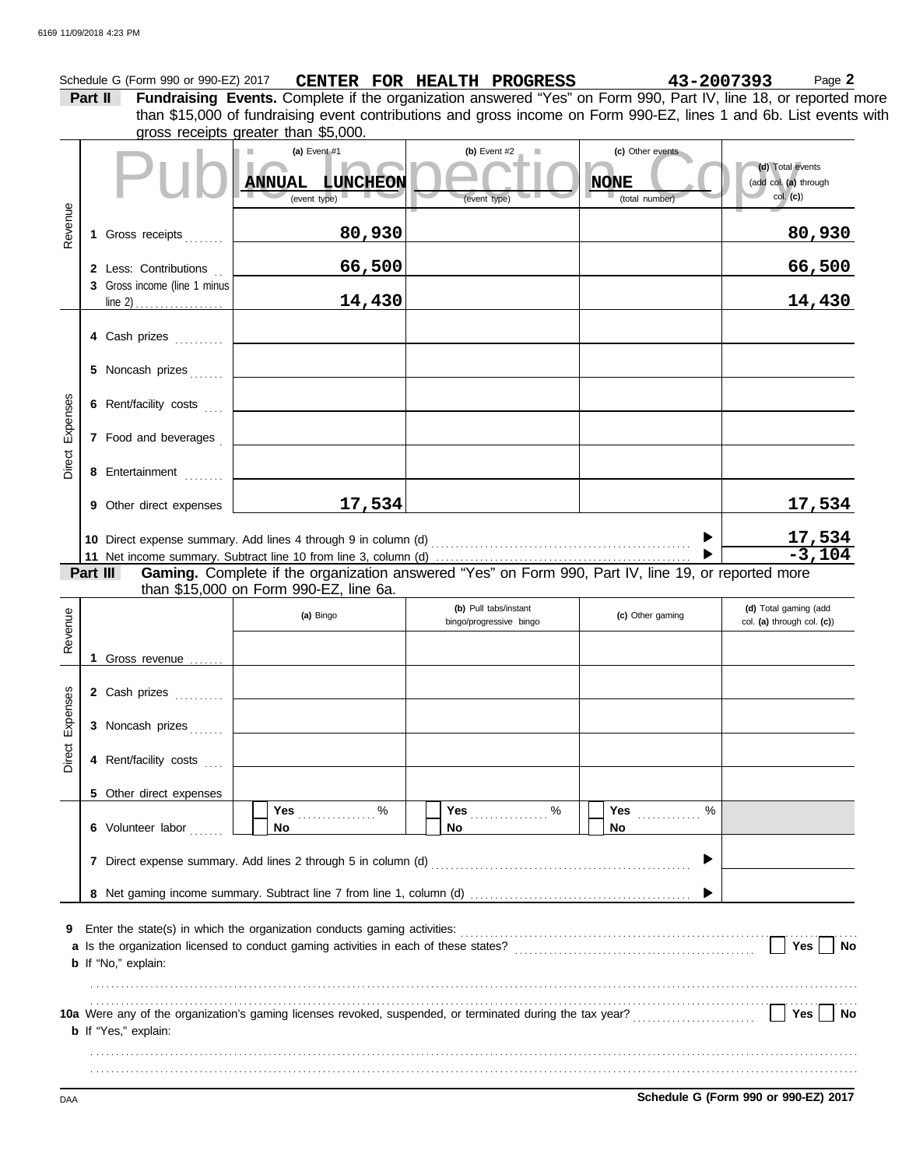|                        | Part II | Schedule G (Form 990 or 990-EZ) 2017                          |                                |                        | CENTER FOR HEALTH PROGRESS<br>Fundraising Events. Complete if the organization answered "Yes" on Form 990, Part IV, line 18, or reported more<br>than \$15,000 of fundraising event contributions and gross income on Form 990-EZ, lines 1 and 6b. List events with |             |                                    | 43-2007393 | Page 2                                                |
|------------------------|---------|---------------------------------------------------------------|--------------------------------|------------------------|---------------------------------------------------------------------------------------------------------------------------------------------------------------------------------------------------------------------------------------------------------------------|-------------|------------------------------------|------------|-------------------------------------------------------|
|                        |         | gross receipts greater than \$5,000.                          |                                |                        |                                                                                                                                                                                                                                                                     |             |                                    |            |                                                       |
|                        |         |                                                               | (a) Event $#1$<br>(event type) | <b>ANNUAL LUNCHEON</b> | (b) Event $#2$<br>ш<br>(event type)                                                                                                                                                                                                                                 | <b>NONE</b> | (c) Other events<br>(total number) |            | (d) Total events<br>(add col. (a) through<br>col. (c) |
| Revenue                |         | 1 Gross receipts                                              |                                | 80,930                 |                                                                                                                                                                                                                                                                     |             |                                    |            | 80,930                                                |
|                        |         | 2 Less: Contributions                                         |                                | 66,500                 |                                                                                                                                                                                                                                                                     |             |                                    |            | 66,500                                                |
|                        |         | 3 Gross income (line 1 minus                                  |                                | 14,430                 |                                                                                                                                                                                                                                                                     |             |                                    |            | 14,430                                                |
|                        |         | 4 Cash prizes                                                 |                                |                        |                                                                                                                                                                                                                                                                     |             |                                    |            |                                                       |
|                        |         | 5 Noncash prizes                                              |                                |                        |                                                                                                                                                                                                                                                                     |             |                                    |            |                                                       |
|                        |         | 6 Rent/facility costs                                         |                                |                        |                                                                                                                                                                                                                                                                     |             |                                    |            |                                                       |
|                        |         | 7 Food and beverages                                          |                                |                        |                                                                                                                                                                                                                                                                     |             |                                    |            |                                                       |
|                        |         | 8 Entertainment                                               |                                |                        |                                                                                                                                                                                                                                                                     |             |                                    |            |                                                       |
|                        |         | 9 Other direct expenses                                       |                                | 17,534                 |                                                                                                                                                                                                                                                                     |             |                                    |            | 17,534                                                |
|                        |         |                                                               |                                |                        |                                                                                                                                                                                                                                                                     |             |                                    |            |                                                       |
|                        |         |                                                               |                                |                        |                                                                                                                                                                                                                                                                     |             |                                    |            |                                                       |
|                        |         |                                                               |                                |                        |                                                                                                                                                                                                                                                                     |             |                                    |            | $\frac{17,534}{-3,104}$                               |
|                        |         |                                                               |                                |                        |                                                                                                                                                                                                                                                                     |             |                                    |            |                                                       |
| Part III<br>Revenue    |         | than \$15,000 on Form 990-EZ, line 6a.                        | (a) Bingo                      |                        | (b) Pull tabs/instant<br>bingo/progressive bingo                                                                                                                                                                                                                    |             | (c) Other gaming                   |            | (d) Total gaming (add<br>col. (a) through col. (c))   |
|                        |         | 1 Gross revenue                                               |                                |                        |                                                                                                                                                                                                                                                                     |             |                                    |            |                                                       |
|                        |         | 2 Cash prizes                                                 |                                |                        |                                                                                                                                                                                                                                                                     |             |                                    |            |                                                       |
|                        |         | 3 Noncash prizes                                              |                                |                        |                                                                                                                                                                                                                                                                     |             |                                    |            |                                                       |
| 89<br>Expens<br>Direct |         | 4 Rent/facility costs                                         |                                |                        |                                                                                                                                                                                                                                                                     |             |                                    |            |                                                       |
|                        |         | 5 Other direct expenses                                       |                                |                        |                                                                                                                                                                                                                                                                     |             |                                    |            |                                                       |
|                        |         | 6 Volunteer labor                                             | Yes 2000<br>No                 |                        | Yes $%$<br>No                                                                                                                                                                                                                                                       | No          | <b>Yes</b><br>%                    |            |                                                       |
|                        |         | 7 Direct expense summary. Add lines 2 through 5 in column (d) |                                |                        |                                                                                                                                                                                                                                                                     |             |                                    |            |                                                       |
|                        |         |                                                               |                                |                        |                                                                                                                                                                                                                                                                     |             |                                    |            |                                                       |

. . . . . . . . . . . . . . . . . . . . . . . . . . . . . . . . . . . . . . . . . . . . . . . . . . . . . . . . . . . . . . . . . . . . . . . . . . . . . . . . . . . . . . . . . . . . . . . . . . . . . . . . . . . . . . . . . . . . . . . . . . . . . . . . . . . . . . . . . . . . . . . . . . . . . . . . . . . . . . . . . . . . . . . . . . . . . . . . . . . . . . . . . . . . . . . . . . . . . . . . . . . . . . . . . . . . . . . . . . . . . . . . . . . . . . . . . . . . . . . . . . . . . . . . . . . . . . . . . . . . . . . . . . . . . . . . . . . . . . . . . . . . . . . . . . . . . . . . . . . . . . . . . . . . . . . .

**CONFIDENTIFY CONTROLLED A SCHEDULE G (Form 990 or 990-EZ) 2017**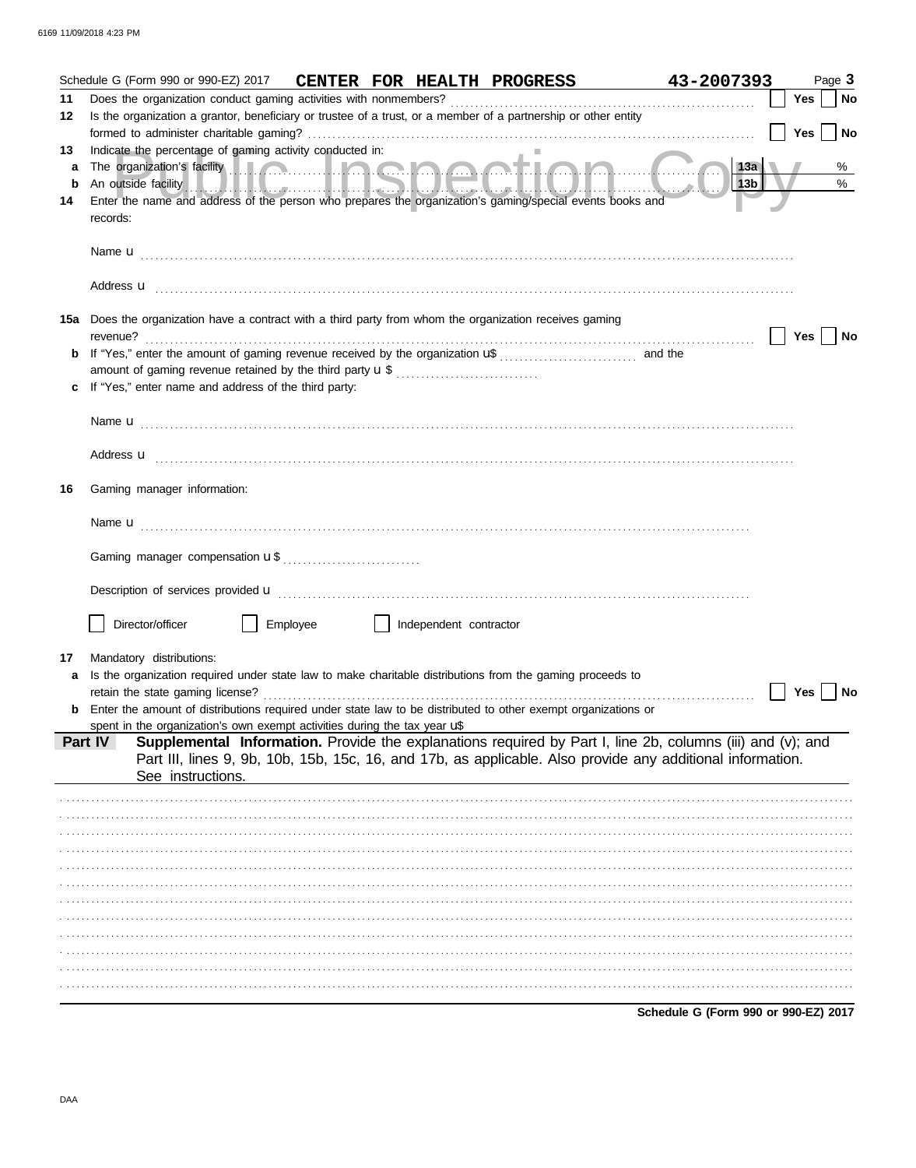|        | Schedule G (Form 990 or 990-EZ) 2017                                                                                                                                                                                                                                                                                                      |          |                        | CENTER FOR HEALTH PROGRESS | 43-2007393                                                                                                 | Page 3                  |
|--------|-------------------------------------------------------------------------------------------------------------------------------------------------------------------------------------------------------------------------------------------------------------------------------------------------------------------------------------------|----------|------------------------|----------------------------|------------------------------------------------------------------------------------------------------------|-------------------------|
| 11     |                                                                                                                                                                                                                                                                                                                                           |          |                        |                            |                                                                                                            | <b>Yes</b><br><b>No</b> |
| 12     | Is the organization a grantor, beneficiary or trustee of a trust, or a member of a partnership or other entity                                                                                                                                                                                                                            |          |                        |                            |                                                                                                            |                         |
|        |                                                                                                                                                                                                                                                                                                                                           |          |                        |                            |                                                                                                            | Yes<br>l No             |
| 13     | Indicate the percentage of gaming activity conducted in:                                                                                                                                                                                                                                                                                  |          |                        |                            | 13a                                                                                                        |                         |
| a<br>b | The organization's facility <b>and the contract of the organization's facility</b>                                                                                                                                                                                                                                                        |          |                        |                            | 13b                                                                                                        | %<br>%                  |
| 14     | An outside facility of the control of the control of the control of the control of the control of the control of the control of the control of the control of the control of the control of the control of the control of the<br>Enter the name and address of the person who prepares the organization's gaming/special events books and |          |                        |                            |                                                                                                            |                         |
|        | records:                                                                                                                                                                                                                                                                                                                                  |          |                        |                            |                                                                                                            |                         |
|        |                                                                                                                                                                                                                                                                                                                                           |          |                        |                            |                                                                                                            |                         |
|        |                                                                                                                                                                                                                                                                                                                                           |          |                        |                            |                                                                                                            |                         |
|        |                                                                                                                                                                                                                                                                                                                                           |          |                        |                            |                                                                                                            |                         |
|        |                                                                                                                                                                                                                                                                                                                                           |          |                        |                            |                                                                                                            |                         |
|        | 15a Does the organization have a contract with a third party from whom the organization receives gaming                                                                                                                                                                                                                                   |          |                        |                            |                                                                                                            |                         |
|        |                                                                                                                                                                                                                                                                                                                                           |          |                        |                            |                                                                                                            | Yes<br>No               |
| b      |                                                                                                                                                                                                                                                                                                                                           |          |                        |                            |                                                                                                            |                         |
|        |                                                                                                                                                                                                                                                                                                                                           |          |                        |                            |                                                                                                            |                         |
| c      | If "Yes," enter name and address of the third party:                                                                                                                                                                                                                                                                                      |          |                        |                            |                                                                                                            |                         |
|        |                                                                                                                                                                                                                                                                                                                                           |          |                        |                            |                                                                                                            |                         |
|        |                                                                                                                                                                                                                                                                                                                                           |          |                        |                            |                                                                                                            |                         |
|        |                                                                                                                                                                                                                                                                                                                                           |          |                        |                            |                                                                                                            |                         |
|        | Address <b>u</b> <u>contractive and the contractive and the contractive and the contractive and the contractive and the contractive and the contractive and contract and contract and contract and contract and contract and contract</u>                                                                                                 |          |                        |                            |                                                                                                            |                         |
| 16     | Gaming manager information:                                                                                                                                                                                                                                                                                                               |          |                        |                            |                                                                                                            |                         |
|        |                                                                                                                                                                                                                                                                                                                                           |          |                        |                            |                                                                                                            |                         |
|        |                                                                                                                                                                                                                                                                                                                                           |          |                        |                            |                                                                                                            |                         |
|        |                                                                                                                                                                                                                                                                                                                                           |          |                        |                            |                                                                                                            |                         |
|        |                                                                                                                                                                                                                                                                                                                                           |          |                        |                            |                                                                                                            |                         |
|        |                                                                                                                                                                                                                                                                                                                                           |          |                        |                            |                                                                                                            |                         |
|        |                                                                                                                                                                                                                                                                                                                                           |          |                        |                            |                                                                                                            |                         |
|        | Director/officer                                                                                                                                                                                                                                                                                                                          | Employee | Independent contractor |                            |                                                                                                            |                         |
|        |                                                                                                                                                                                                                                                                                                                                           |          |                        |                            |                                                                                                            |                         |
| 17     | Mandatory distributions:                                                                                                                                                                                                                                                                                                                  |          |                        |                            |                                                                                                            |                         |
| a      | Is the organization required under state law to make charitable distributions from the gaming proceeds to                                                                                                                                                                                                                                 |          |                        |                            |                                                                                                            |                         |
|        | retain the state gaming license?                                                                                                                                                                                                                                                                                                          |          |                        |                            |                                                                                                            | Yes<br>No               |
|        | Enter the amount of distributions required under state law to be distributed to other exempt organizations or<br>spent in the organization's own exempt activities during the tax year uß                                                                                                                                                 |          |                        |                            |                                                                                                            |                         |
|        | Part IV                                                                                                                                                                                                                                                                                                                                   |          |                        |                            | Supplemental Information. Provide the explanations required by Part I, line 2b, columns (iii) and (v); and |                         |
|        |                                                                                                                                                                                                                                                                                                                                           |          |                        |                            | Part III, lines 9, 9b, 10b, 15b, 15c, 16, and 17b, as applicable. Also provide any additional information. |                         |
|        | See instructions.                                                                                                                                                                                                                                                                                                                         |          |                        |                            |                                                                                                            |                         |
|        |                                                                                                                                                                                                                                                                                                                                           |          |                        |                            |                                                                                                            |                         |
|        |                                                                                                                                                                                                                                                                                                                                           |          |                        |                            |                                                                                                            |                         |
|        |                                                                                                                                                                                                                                                                                                                                           |          |                        |                            |                                                                                                            |                         |
|        |                                                                                                                                                                                                                                                                                                                                           |          |                        |                            |                                                                                                            |                         |
|        |                                                                                                                                                                                                                                                                                                                                           |          |                        |                            |                                                                                                            |                         |
|        |                                                                                                                                                                                                                                                                                                                                           |          |                        |                            |                                                                                                            |                         |
|        |                                                                                                                                                                                                                                                                                                                                           |          |                        |                            |                                                                                                            |                         |
|        |                                                                                                                                                                                                                                                                                                                                           |          |                        |                            |                                                                                                            |                         |
|        |                                                                                                                                                                                                                                                                                                                                           |          |                        |                            |                                                                                                            |                         |
|        |                                                                                                                                                                                                                                                                                                                                           |          |                        |                            |                                                                                                            |                         |
|        |                                                                                                                                                                                                                                                                                                                                           |          |                        |                            |                                                                                                            |                         |
|        |                                                                                                                                                                                                                                                                                                                                           |          |                        |                            | Schedule G (Form 990 or 990-EZ) 2017                                                                       |                         |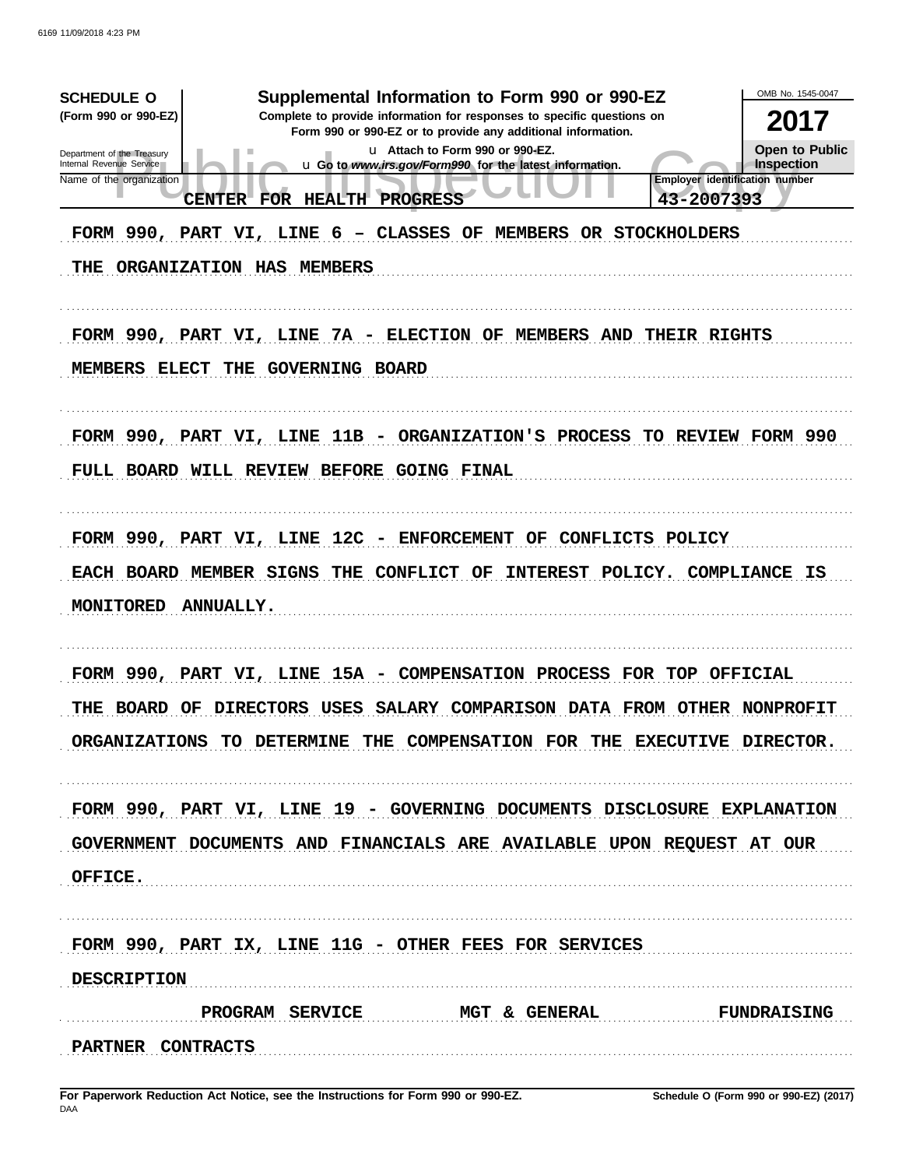| Supplemental Information to Form 990 or 990-EZ<br><b>SCHEDULE O</b><br>(Form 990 or 990-EZ)<br>Complete to provide information for responses to specific questions on<br>Form 990 or 990-EZ or to provide any additional information.<br>u Attach to Form 990 or 990-EZ.<br>Department of the Treasury<br>Internal Revenue Service<br>u Go to www.irs.gov/Form990 for the latest information.<br><b>Employer identification number</b><br>Name of the organization<br>CENTER FOR HEALTH PROGRESS<br>43-2007393<br>FORM 990, PART VI, LINE 6 - CLASSES OF MEMBERS OR STOCKHOLDERS<br>THE ORGANIZATION HAS MEMBERS | OMB No. 1545-0047<br>2017<br><b>Open to Public</b><br>Inspection |
|------------------------------------------------------------------------------------------------------------------------------------------------------------------------------------------------------------------------------------------------------------------------------------------------------------------------------------------------------------------------------------------------------------------------------------------------------------------------------------------------------------------------------------------------------------------------------------------------------------------|------------------------------------------------------------------|
| FORM 990, PART VI, LINE 7A - ELECTION OF MEMBERS AND THEIR RIGHTS<br>MEMBERS ELECT THE GOVERNING BOARD                                                                                                                                                                                                                                                                                                                                                                                                                                                                                                           |                                                                  |
| FORM 990, PART VI, LINE 11B - ORGANIZATION'S PROCESS TO REVIEW FORM 990<br>FULL BOARD WILL REVIEW BEFORE GOING FINAL                                                                                                                                                                                                                                                                                                                                                                                                                                                                                             |                                                                  |
| FORM 990, PART VI, LINE 12C - ENFORCEMENT OF CONFLICTS POLICY<br>EACH BOARD MEMBER SIGNS THE CONFLICT OF<br>INTEREST POLICY. COMPLIANCE IS<br>MONITORED<br><b>ANNUALLY.</b>                                                                                                                                                                                                                                                                                                                                                                                                                                      |                                                                  |
| FORM 990, PART VI, LINE 15A - COMPENSATION PROCESS FOR TOP OFFICIAL<br>THE BOARD OF DIRECTORS USES SALARY COMPARISON DATA FROM OTHER NONPROFIT<br>ORGANIZATIONS TO DETERMINE THE COMPENSATION FOR THE EXECUTIVE DIRECTOR.                                                                                                                                                                                                                                                                                                                                                                                        |                                                                  |
| FORM 990, PART VI, LINE 19 - GOVERNING DOCUMENTS DISCLOSURE EXPLANATION<br>GOVERNMENT DOCUMENTS AND FINANCIALS ARE AVAILABLE UPON REQUEST AT OUR<br>OFFICE.                                                                                                                                                                                                                                                                                                                                                                                                                                                      |                                                                  |
| FORM 990, PART IX, LINE 11G - OTHER FEES FOR SERVICES<br><b>DESCRIPTION</b><br>PROGRAM SERVICE MGT & GENERAL FUNDRAISING                                                                                                                                                                                                                                                                                                                                                                                                                                                                                         |                                                                  |
| PARTNER CONTRACTS                                                                                                                                                                                                                                                                                                                                                                                                                                                                                                                                                                                                |                                                                  |